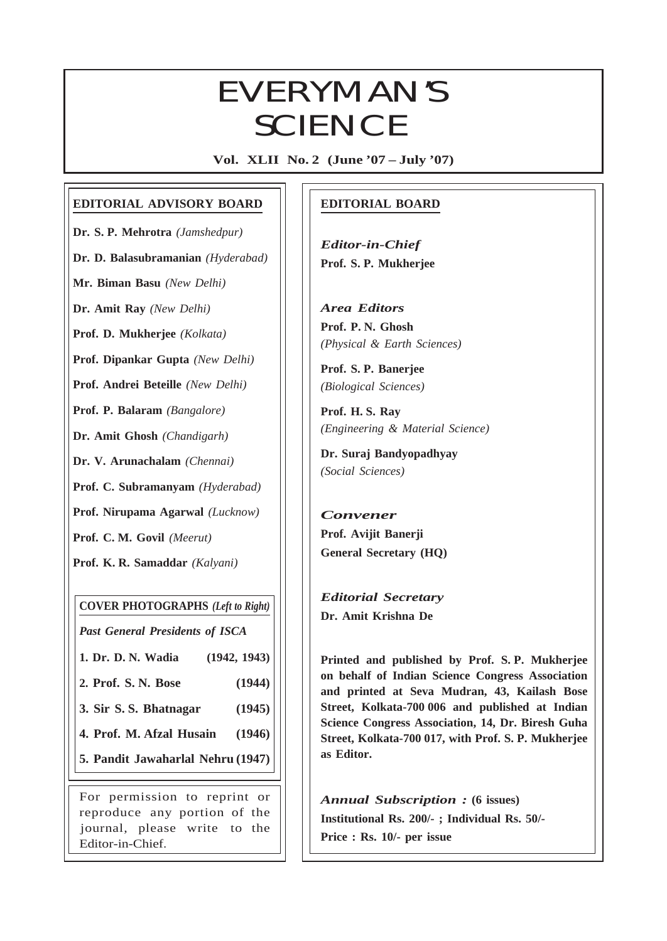# $EVIEWIANS$ **SCIENCE**

**Vol. XLII No. 2 (June '07 – July '07)**

## **EDITORIAL ADVISORY BOARD**

**Dr. S. P. Mehrotra** *(Jamshedpur)*

**Dr. D. Balasubramanian** *(Hyderabad)*

**Mr. Biman Basu** *(New Delhi)*

**Dr. Amit Ray** *(New Delhi)*

**Prof. D. Mukherjee** *(Kolkata)*

**Prof. Dipankar Gupta** *(New Delhi)*

**Prof. Andrei Beteille** *(New Delhi)*

**Prof. P. Balaram** *(Bangalore)*

**Dr. Amit Ghosh** *(Chandigarh)*

**Dr. V. Arunachalam** *(Chennai)*

**Prof. C. Subramanyam** *(Hyderabad)*

**Prof. Nirupama Agarwal** *(Lucknow)*

**Prof. C. M. Govil** *(Meerut)*

**Prof. K. R. Samaddar** *(Kalyani)*

#### **COVER PHOTOGRAPHS** *(Left to Right)*

*Past General Presidents of ISCA*

**1. Dr. D. N. Wadia (1942, 1943)**

**2. Prof. S. N. Bose (1944)**

**3. Sir S. S. Bhatnagar (1945)**

**4. Prof. M. Afzal Husain (1946)**

**5. Pandit Jawaharlal Nehru (1947)**

For permission to reprint or reproduce any portion of the journal, please write to the Editor-in-Chief.

## **EDITORIAL BOARD**

*Editor-in-Chief* **Prof. S. P. Mukherjee**

*Area Editors* **Prof. P. N. Ghosh** *(Physical & Earth Sciences)*

**Prof. S. P. Banerjee** *(Biological Sciences)*

**Prof. H. S. Ray** *(Engineering & Material Science)*

**Dr. Suraj Bandyopadhyay** *(Social Sciences)*

## *Convener* **Prof. Avijit Banerji General Secretary (HQ)**

*Editorial Secretary* **Dr. Amit Krishna De**

 $\overline{a}$ 

**Printed and published by Prof. S. P. Mukherjee on behalf of Indian Science Congress Association and printed at Seva Mudran, 43, Kailash Bose Street, Kolkata-700 006 and published at Indian Science Congress Association, 14, Dr. Biresh Guha Street, Kolkata-700 017, with Prof. S. P. Mukherjee as Editor.**

*Annual Subscription :* **(6 issues) Institutional Rs. 200/- ; Individual Rs. 50/- Price : Rs. 10/- per issue**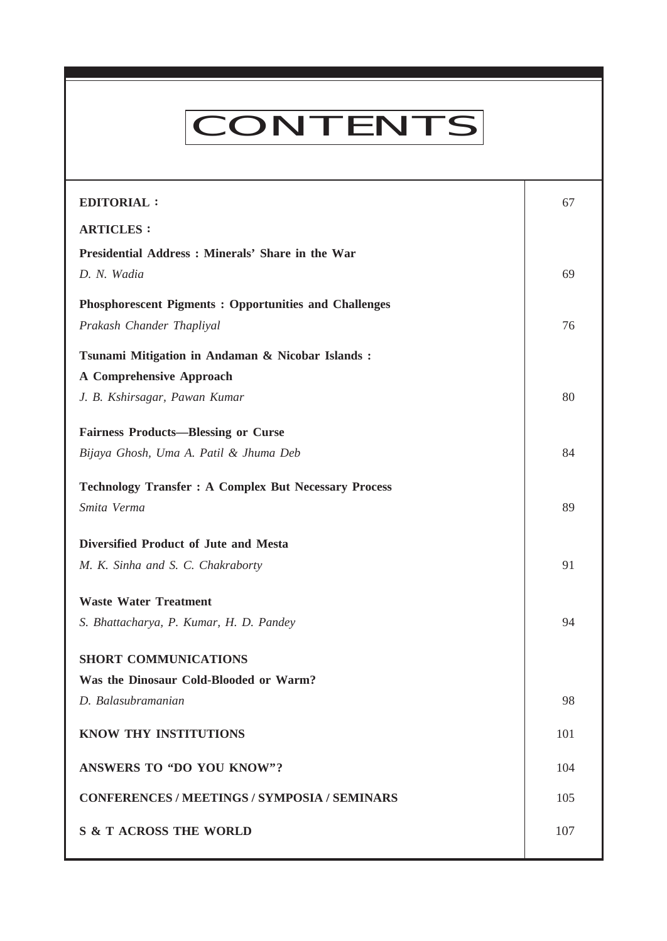# **CONTENTS**

**Everyman's Science VOL. XLII NO. 2, June '07 —July '07**

| <b>EDITORIAL:</b>                                            | 67  |
|--------------------------------------------------------------|-----|
| <b>ARTICLES:</b>                                             |     |
| Presidential Address : Minerals' Share in the War            |     |
| D. N. Wadia                                                  | 69  |
| <b>Phosphorescent Pigments: Opportunities and Challenges</b> |     |
| Prakash Chander Thapliyal                                    | 76  |
| Tsunami Mitigation in Andaman & Nicobar Islands:             |     |
| <b>A Comprehensive Approach</b>                              |     |
| J. B. Kshirsagar, Pawan Kumar                                | 80  |
| <b>Fairness Products—Blessing or Curse</b>                   |     |
| Bijaya Ghosh, Uma A. Patil & Jhuma Deb                       | 84  |
| <b>Technology Transfer : A Complex But Necessary Process</b> |     |
| Smita Verma                                                  | 89  |
| Diversified Product of Jute and Mesta                        |     |
| M. K. Sinha and S. C. Chakraborty                            | 91  |
| <b>Waste Water Treatment</b>                                 |     |
| S. Bhattacharya, P. Kumar, H. D. Pandey                      | 94  |
| <b>SHORT COMMUNICATIONS</b>                                  |     |
| Was the Dinosaur Cold-Blooded or Warm?                       |     |
| D. Balasubramanian                                           | 98  |
| KNOW THY INSTITUTIONS                                        | 101 |
| ANSWERS TO "DO YOU KNOW"?                                    | 104 |
| <b>CONFERENCES / MEETINGS / SYMPOSIA / SEMINARS</b>          | 105 |
| <b>S &amp; T ACROSS THE WORLD</b>                            | 107 |
|                                                              |     |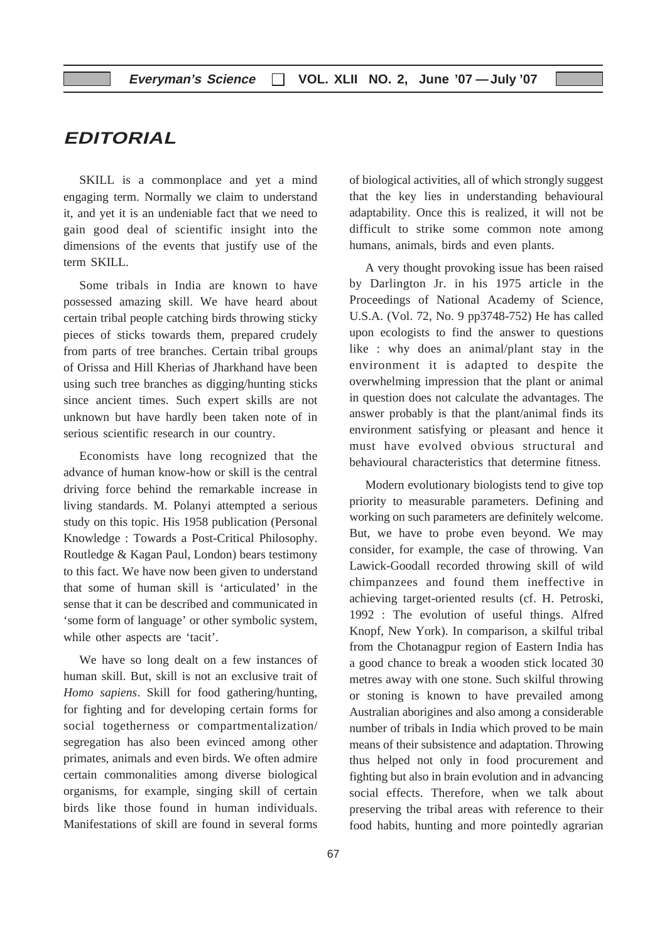## **EDITORIAL**

SKILL is a commonplace and yet a mind engaging term. Normally we claim to understand it, and yet it is an undeniable fact that we need to gain good deal of scientific insight into the dimensions of the events that justify use of the term SKILL.

Some tribals in India are known to have possessed amazing skill. We have heard about certain tribal people catching birds throwing sticky pieces of sticks towards them, prepared crudely from parts of tree branches. Certain tribal groups of Orissa and Hill Kherias of Jharkhand have been using such tree branches as digging/hunting sticks since ancient times. Such expert skills are not unknown but have hardly been taken note of in serious scientific research in our country.

Economists have long recognized that the advance of human know-how or skill is the central driving force behind the remarkable increase in living standards. M. Polanyi attempted a serious study on this topic. His 1958 publication (Personal Knowledge : Towards a Post-Critical Philosophy. Routledge & Kagan Paul, London) bears testimony to this fact. We have now been given to understand that some of human skill is 'articulated' in the sense that it can be described and communicated in 'some form of language' or other symbolic system, while other aspects are 'tacit'.

We have so long dealt on a few instances of human skill. But, skill is not an exclusive trait of *Homo sapiens*. Skill for food gathering/hunting, for fighting and for developing certain forms for social togetherness or compartmentalization/ segregation has also been evinced among other primates, animals and even birds. We often admire certain commonalities among diverse biological organisms, for example, singing skill of certain birds like those found in human individuals. Manifestations of skill are found in several forms

of biological activities, all of which strongly suggest that the key lies in understanding behavioural adaptability. Once this is realized, it will not be difficult to strike some common note among humans, animals, birds and even plants.

A very thought provoking issue has been raised by Darlington Jr. in his 1975 article in the Proceedings of National Academy of Science, U.S.A. (Vol. 72, No. 9 pp3748-752) He has called upon ecologists to find the answer to questions like : why does an animal/plant stay in the environment it is adapted to despite the overwhelming impression that the plant or animal in question does not calculate the advantages. The answer probably is that the plant/animal finds its environment satisfying or pleasant and hence it must have evolved obvious structural and behavioural characteristics that determine fitness.

Modern evolutionary biologists tend to give top priority to measurable parameters. Defining and working on such parameters are definitely welcome. But, we have to probe even beyond. We may consider, for example, the case of throwing. Van Lawick-Goodall recorded throwing skill of wild chimpanzees and found them ineffective in achieving target-oriented results (cf. H. Petroski, 1992 : The evolution of useful things. Alfred Knopf, New York). In comparison, a skilful tribal from the Chotanagpur region of Eastern India has a good chance to break a wooden stick located 30 metres away with one stone. Such skilful throwing or stoning is known to have prevailed among Australian aborigines and also among a considerable number of tribals in India which proved to be main means of their subsistence and adaptation. Throwing thus helped not only in food procurement and fighting but also in brain evolution and in advancing social effects. Therefore, when we talk about preserving the tribal areas with reference to their food habits, hunting and more pointedly agrarian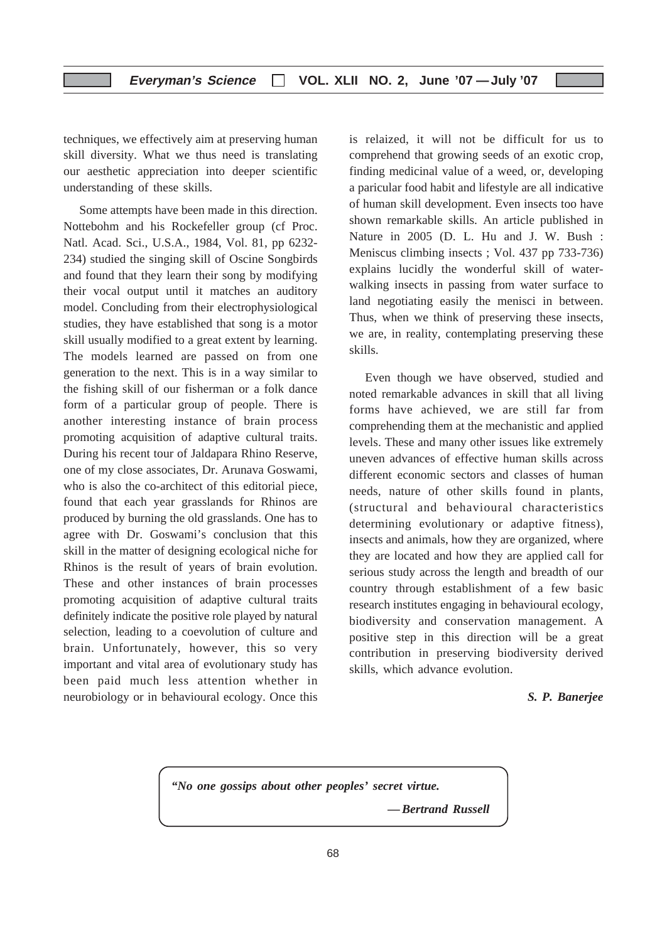techniques, we effectively aim at preserving human skill diversity. What we thus need is translating our aesthetic appreciation into deeper scientific understanding of these skills.

Some attempts have been made in this direction. Nottebohm and his Rockefeller group (cf Proc. Natl. Acad. Sci., U.S.A., 1984, Vol. 81, pp 6232- 234) studied the singing skill of Oscine Songbirds and found that they learn their song by modifying their vocal output until it matches an auditory model. Concluding from their electrophysiological studies, they have established that song is a motor skill usually modified to a great extent by learning. The models learned are passed on from one generation to the next. This is in a way similar to the fishing skill of our fisherman or a folk dance form of a particular group of people. There is another interesting instance of brain process promoting acquisition of adaptive cultural traits. During his recent tour of Jaldapara Rhino Reserve, one of my close associates, Dr. Arunava Goswami, who is also the co-architect of this editorial piece, found that each year grasslands for Rhinos are produced by burning the old grasslands. One has to agree with Dr. Goswami's conclusion that this skill in the matter of designing ecological niche for Rhinos is the result of years of brain evolution. These and other instances of brain processes promoting acquisition of adaptive cultural traits definitely indicate the positive role played by natural selection, leading to a coevolution of culture and brain. Unfortunately, however, this so very important and vital area of evolutionary study has been paid much less attention whether in neurobiology or in behavioural ecology. Once this

is relaized, it will not be difficult for us to comprehend that growing seeds of an exotic crop, finding medicinal value of a weed, or, developing a paricular food habit and lifestyle are all indicative of human skill development. Even insects too have shown remarkable skills. An article published in Nature in 2005 (D. L. Hu and J. W. Bush : Meniscus climbing insects ; Vol. 437 pp 733-736) explains lucidly the wonderful skill of waterwalking insects in passing from water surface to land negotiating easily the menisci in between. Thus, when we think of preserving these insects, we are, in reality, contemplating preserving these skills.

Even though we have observed, studied and noted remarkable advances in skill that all living forms have achieved, we are still far from comprehending them at the mechanistic and applied levels. These and many other issues like extremely uneven advances of effective human skills across different economic sectors and classes of human needs, nature of other skills found in plants, (structural and behavioural characteristics determining evolutionary or adaptive fitness), insects and animals, how they are organized, where they are located and how they are applied call for serious study across the length and breadth of our country through establishment of a few basic research institutes engaging in behavioural ecology, biodiversity and conservation management. A positive step in this direction will be a great contribution in preserving biodiversity derived skills, which advance evolution.

#### *S. P. Banerjee*

*"No one gossips about other peoples' secret virtue. — Bertrand Russell*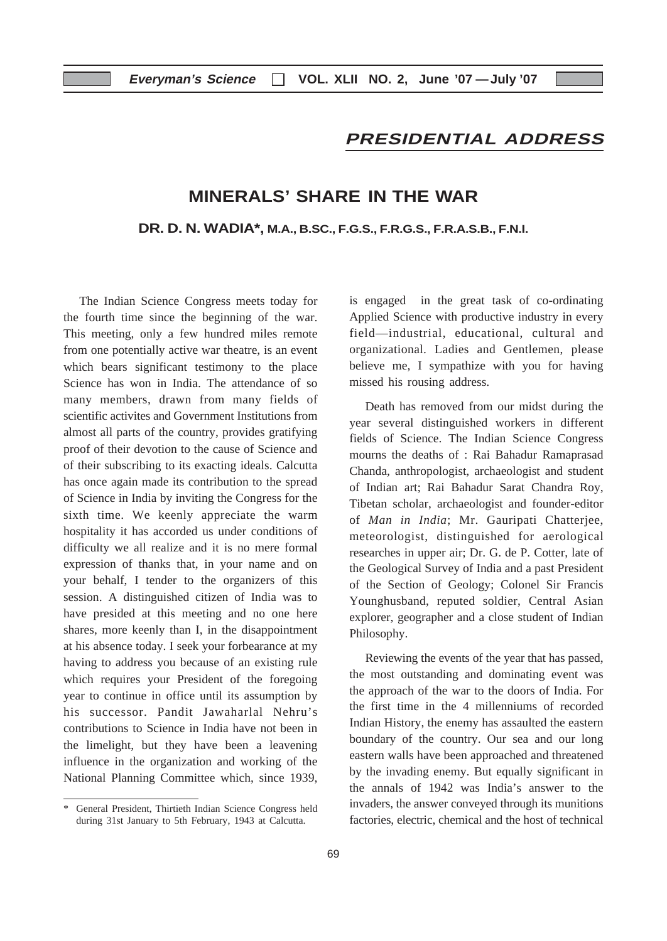## **PRESIDENTIAL ADDRESS**

## **MINERALS' SHARE IN THE WAR**

**DR. D. N. WADIA\*, M.A., B.SC., F.G.S., F.R.G.S., F.R.A.S.B., F.N.I.**

The Indian Science Congress meets today for the fourth time since the beginning of the war. This meeting, only a few hundred miles remote from one potentially active war theatre, is an event which bears significant testimony to the place Science has won in India. The attendance of so many members, drawn from many fields of scientific activites and Government Institutions from almost all parts of the country, provides gratifying proof of their devotion to the cause of Science and of their subscribing to its exacting ideals. Calcutta has once again made its contribution to the spread of Science in India by inviting the Congress for the sixth time. We keenly appreciate the warm hospitality it has accorded us under conditions of difficulty we all realize and it is no mere formal expression of thanks that, in your name and on your behalf, I tender to the organizers of this session. A distinguished citizen of India was to have presided at this meeting and no one here shares, more keenly than I, in the disappointment at his absence today. I seek your forbearance at my having to address you because of an existing rule which requires your President of the foregoing year to continue in office until its assumption by his successor. Pandit Jawaharlal Nehru's contributions to Science in India have not been in the limelight, but they have been a leavening influence in the organization and working of the National Planning Committee which, since 1939,

is engaged in the great task of co-ordinating Applied Science with productive industry in every field—industrial, educational, cultural and organizational. Ladies and Gentlemen, please believe me, I sympathize with you for having missed his rousing address.

Death has removed from our midst during the year several distinguished workers in different fields of Science. The Indian Science Congress mourns the deaths of : Rai Bahadur Ramaprasad Chanda, anthropologist, archaeologist and student of Indian art; Rai Bahadur Sarat Chandra Roy, Tibetan scholar, archaeologist and founder-editor of *Man in India*; Mr. Gauripati Chatterjee, meteorologist, distinguished for aerological researches in upper air; Dr. G. de P. Cotter, late of the Geological Survey of India and a past President of the Section of Geology; Colonel Sir Francis Younghusband, reputed soldier, Central Asian explorer, geographer and a close student of Indian Philosophy.

Reviewing the events of the year that has passed, the most outstanding and dominating event was the approach of the war to the doors of India. For the first time in the 4 millenniums of recorded Indian History, the enemy has assaulted the eastern boundary of the country. Our sea and our long eastern walls have been approached and threatened by the invading enemy. But equally significant in the annals of 1942 was India's answer to the invaders, the answer conveyed through its munitions factories, electric, chemical and the host of technical

General President, Thirtieth Indian Science Congress held during 31st January to 5th February, 1943 at Calcutta.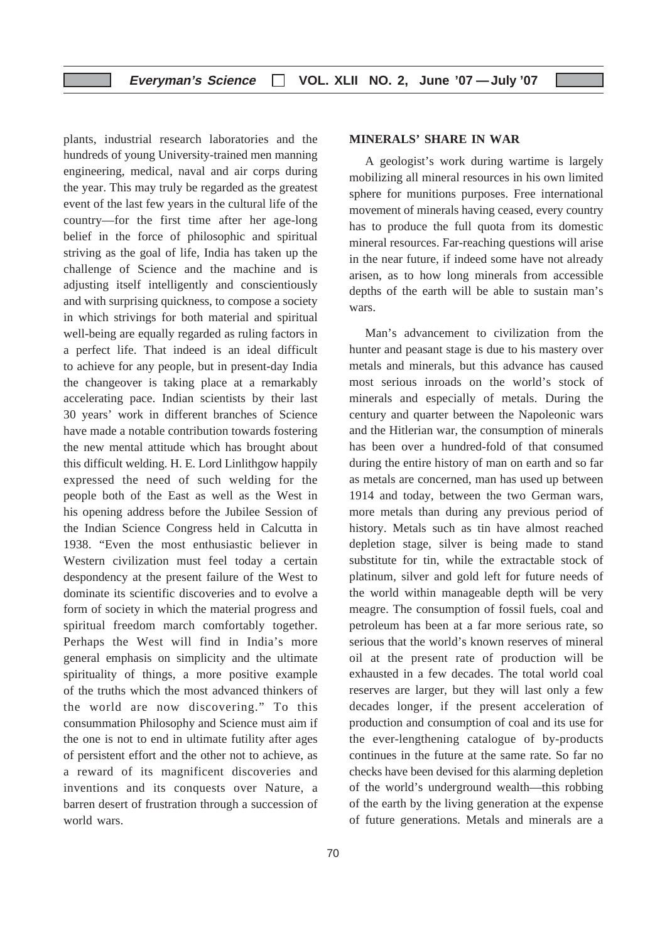plants, industrial research laboratories and the hundreds of young University-trained men manning engineering, medical, naval and air corps during the year. This may truly be regarded as the greatest event of the last few years in the cultural life of the country—for the first time after her age-long belief in the force of philosophic and spiritual striving as the goal of life, India has taken up the challenge of Science and the machine and is adjusting itself intelligently and conscientiously and with surprising quickness, to compose a society in which strivings for both material and spiritual well-being are equally regarded as ruling factors in a perfect life. That indeed is an ideal difficult to achieve for any people, but in present-day India the changeover is taking place at a remarkably accelerating pace. Indian scientists by their last 30 years' work in different branches of Science have made a notable contribution towards fostering the new mental attitude which has brought about this difficult welding. H. E. Lord Linlithgow happily expressed the need of such welding for the people both of the East as well as the West in his opening address before the Jubilee Session of the Indian Science Congress held in Calcutta in 1938. "Even the most enthusiastic believer in Western civilization must feel today a certain despondency at the present failure of the West to dominate its scientific discoveries and to evolve a form of society in which the material progress and spiritual freedom march comfortably together. Perhaps the West will find in India's more general emphasis on simplicity and the ultimate spirituality of things, a more positive example of the truths which the most advanced thinkers of the world are now discovering." To this consummation Philosophy and Science must aim if the one is not to end in ultimate futility after ages of persistent effort and the other not to achieve, as a reward of its magnificent discoveries and inventions and its conquests over Nature, a barren desert of frustration through a succession of world wars.

## 70

#### **MINERALS' SHARE IN WAR**

A geologist's work during wartime is largely mobilizing all mineral resources in his own limited sphere for munitions purposes. Free international movement of minerals having ceased, every country has to produce the full quota from its domestic mineral resources. Far-reaching questions will arise in the near future, if indeed some have not already arisen, as to how long minerals from accessible depths of the earth will be able to sustain man's wars.

Man's advancement to civilization from the hunter and peasant stage is due to his mastery over metals and minerals, but this advance has caused most serious inroads on the world's stock of minerals and especially of metals. During the century and quarter between the Napoleonic wars and the Hitlerian war, the consumption of minerals has been over a hundred-fold of that consumed during the entire history of man on earth and so far as metals are concerned, man has used up between 1914 and today, between the two German wars, more metals than during any previous period of history. Metals such as tin have almost reached depletion stage, silver is being made to stand substitute for tin, while the extractable stock of platinum, silver and gold left for future needs of the world within manageable depth will be very meagre. The consumption of fossil fuels, coal and petroleum has been at a far more serious rate, so serious that the world's known reserves of mineral oil at the present rate of production will be exhausted in a few decades. The total world coal reserves are larger, but they will last only a few decades longer, if the present acceleration of production and consumption of coal and its use for the ever-lengthening catalogue of by-products continues in the future at the same rate. So far no checks have been devised for this alarming depletion of the world's underground wealth—this robbing of the earth by the living generation at the expense of future generations. Metals and minerals are a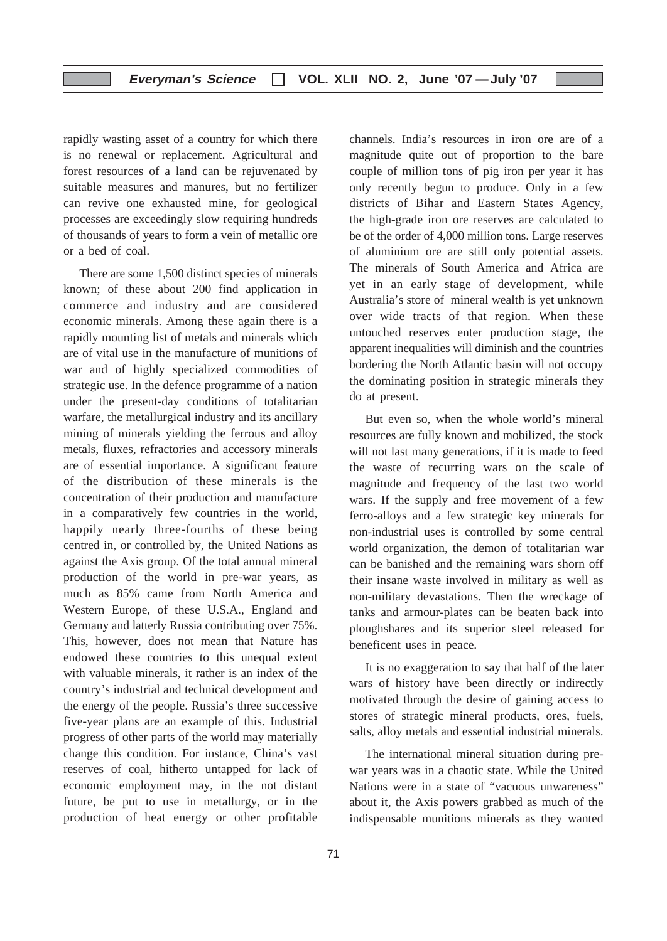rapidly wasting asset of a country for which there is no renewal or replacement. Agricultural and forest resources of a land can be rejuvenated by suitable measures and manures, but no fertilizer can revive one exhausted mine, for geological processes are exceedingly slow requiring hundreds of thousands of years to form a vein of metallic ore or a bed of coal.

There are some 1,500 distinct species of minerals known; of these about 200 find application in commerce and industry and are considered economic minerals. Among these again there is a rapidly mounting list of metals and minerals which are of vital use in the manufacture of munitions of war and of highly specialized commodities of strategic use. In the defence programme of a nation under the present-day conditions of totalitarian warfare, the metallurgical industry and its ancillary mining of minerals yielding the ferrous and alloy metals, fluxes, refractories and accessory minerals are of essential importance. A significant feature of the distribution of these minerals is the concentration of their production and manufacture in a comparatively few countries in the world, happily nearly three-fourths of these being centred in, or controlled by, the United Nations as against the Axis group. Of the total annual mineral production of the world in pre-war years, as much as 85% came from North America and Western Europe, of these U.S.A., England and Germany and latterly Russia contributing over 75%. This, however, does not mean that Nature has endowed these countries to this unequal extent with valuable minerals, it rather is an index of the country's industrial and technical development and the energy of the people. Russia's three successive five-year plans are an example of this. Industrial progress of other parts of the world may materially change this condition. For instance, China's vast reserves of coal, hitherto untapped for lack of economic employment may, in the not distant future, be put to use in metallurgy, or in the production of heat energy or other profitable

channels. India's resources in iron ore are of a magnitude quite out of proportion to the bare couple of million tons of pig iron per year it has only recently begun to produce. Only in a few districts of Bihar and Eastern States Agency, the high-grade iron ore reserves are calculated to be of the order of 4,000 million tons. Large reserves of aluminium ore are still only potential assets. The minerals of South America and Africa are yet in an early stage of development, while Australia's store of mineral wealth is yet unknown over wide tracts of that region. When these untouched reserves enter production stage, the apparent inequalities will diminish and the countries bordering the North Atlantic basin will not occupy the dominating position in strategic minerals they do at present.

But even so, when the whole world's mineral resources are fully known and mobilized, the stock will not last many generations, if it is made to feed the waste of recurring wars on the scale of magnitude and frequency of the last two world wars. If the supply and free movement of a few ferro-alloys and a few strategic key minerals for non-industrial uses is controlled by some central world organization, the demon of totalitarian war can be banished and the remaining wars shorn off their insane waste involved in military as well as non-military devastations. Then the wreckage of tanks and armour-plates can be beaten back into ploughshares and its superior steel released for beneficent uses in peace.

It is no exaggeration to say that half of the later wars of history have been directly or indirectly motivated through the desire of gaining access to stores of strategic mineral products, ores, fuels, salts, alloy metals and essential industrial minerals.

The international mineral situation during prewar years was in a chaotic state. While the United Nations were in a state of "vacuous unwareness" about it, the Axis powers grabbed as much of the indispensable munitions minerals as they wanted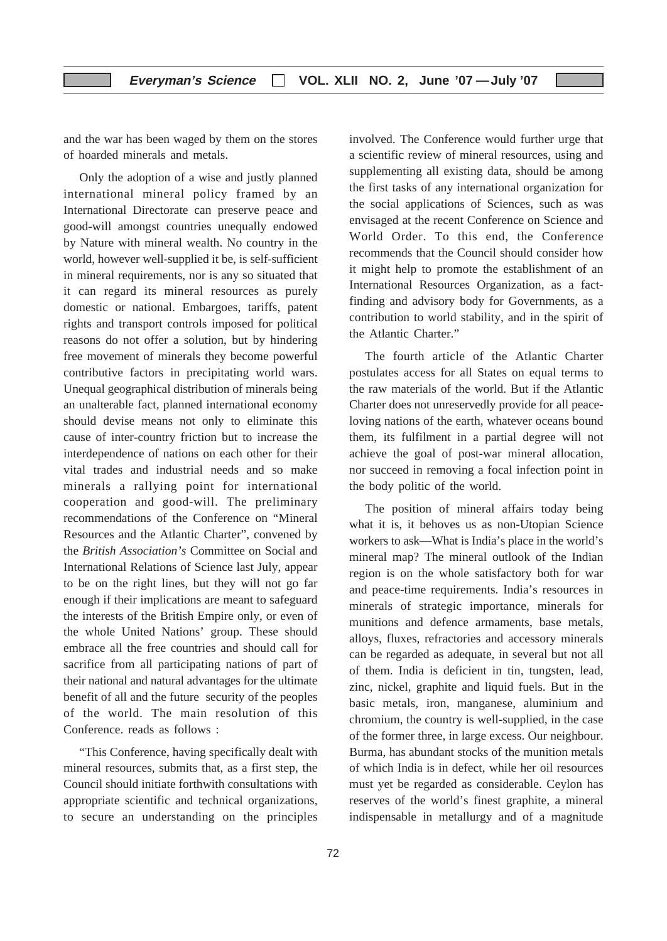and the war has been waged by them on the stores of hoarded minerals and metals.

Only the adoption of a wise and justly planned international mineral policy framed by an International Directorate can preserve peace and good-will amongst countries unequally endowed by Nature with mineral wealth. No country in the world, however well-supplied it be, is self-sufficient in mineral requirements, nor is any so situated that it can regard its mineral resources as purely domestic or national. Embargoes, tariffs, patent rights and transport controls imposed for political reasons do not offer a solution, but by hindering free movement of minerals they become powerful contributive factors in precipitating world wars. Unequal geographical distribution of minerals being an unalterable fact, planned international economy should devise means not only to eliminate this cause of inter-country friction but to increase the interdependence of nations on each other for their vital trades and industrial needs and so make minerals a rallying point for international cooperation and good-will. The preliminary recommendations of the Conference on "Mineral Resources and the Atlantic Charter", convened by the *British Association's* Committee on Social and International Relations of Science last July, appear to be on the right lines, but they will not go far enough if their implications are meant to safeguard the interests of the British Empire only, or even of the whole United Nations' group. These should embrace all the free countries and should call for sacrifice from all participating nations of part of their national and natural advantages for the ultimate benefit of all and the future security of the peoples of the world. The main resolution of this Conference. reads as follows :

"This Conference, having specifically dealt with mineral resources, submits that, as a first step, the Council should initiate forthwith consultations with appropriate scientific and technical organizations, to secure an understanding on the principles involved. The Conference would further urge that a scientific review of mineral resources, using and supplementing all existing data, should be among the first tasks of any international organization for the social applications of Sciences, such as was envisaged at the recent Conference on Science and World Order. To this end, the Conference recommends that the Council should consider how it might help to promote the establishment of an International Resources Organization, as a factfinding and advisory body for Governments, as a contribution to world stability, and in the spirit of the Atlantic Charter."

The fourth article of the Atlantic Charter postulates access for all States on equal terms to the raw materials of the world. But if the Atlantic Charter does not unreservedly provide for all peaceloving nations of the earth, whatever oceans bound them, its fulfilment in a partial degree will not achieve the goal of post-war mineral allocation, nor succeed in removing a focal infection point in the body politic of the world.

The position of mineral affairs today being what it is, it behoves us as non-Utopian Science workers to ask—What is India's place in the world's mineral map? The mineral outlook of the Indian region is on the whole satisfactory both for war and peace-time requirements. India's resources in minerals of strategic importance, minerals for munitions and defence armaments, base metals, alloys, fluxes, refractories and accessory minerals can be regarded as adequate, in several but not all of them. India is deficient in tin, tungsten, lead, zinc, nickel, graphite and liquid fuels. But in the basic metals, iron, manganese, aluminium and chromium, the country is well-supplied, in the case of the former three, in large excess. Our neighbour. Burma, has abundant stocks of the munition metals of which India is in defect, while her oil resources must yet be regarded as considerable. Ceylon has reserves of the world's finest graphite, a mineral indispensable in metallurgy and of a magnitude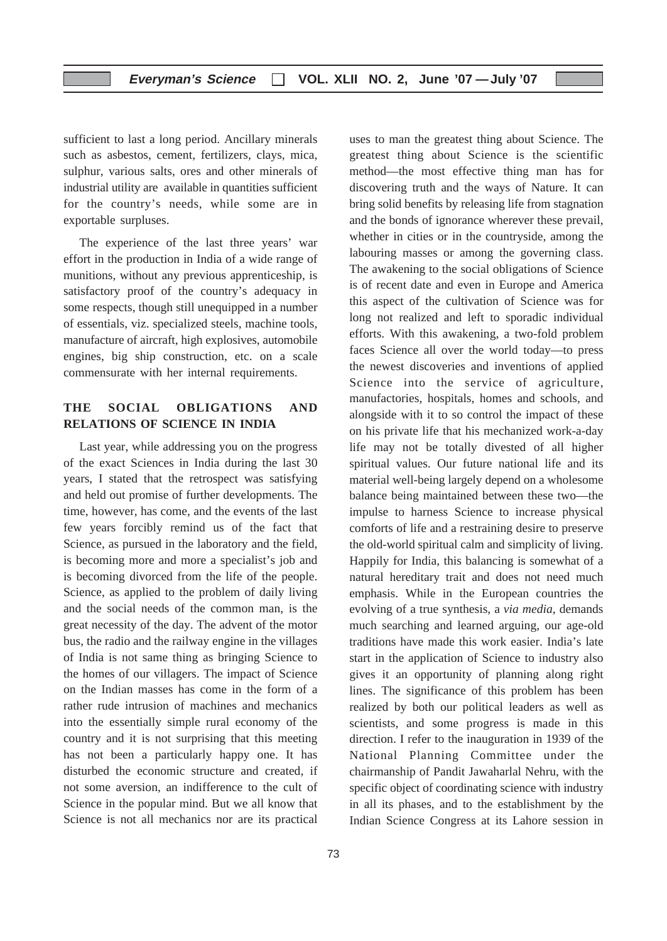sufficient to last a long period. Ancillary minerals such as asbestos, cement, fertilizers, clays, mica, sulphur, various salts, ores and other minerals of industrial utility are available in quantities sufficient for the country's needs, while some are in exportable surpluses.

The experience of the last three years' war effort in the production in India of a wide range of munitions, without any previous apprenticeship, is satisfactory proof of the country's adequacy in some respects, though still unequipped in a number of essentials, viz. specialized steels, machine tools, manufacture of aircraft, high explosives, automobile engines, big ship construction, etc. on a scale commensurate with her internal requirements.

#### **THE SOCIAL OBLIGATIONS AND RELATIONS OF SCIENCE IN INDIA**

Last year, while addressing you on the progress of the exact Sciences in India during the last 30 years, I stated that the retrospect was satisfying and held out promise of further developments. The time, however, has come, and the events of the last few years forcibly remind us of the fact that Science, as pursued in the laboratory and the field, is becoming more and more a specialist's job and is becoming divorced from the life of the people. Science, as applied to the problem of daily living and the social needs of the common man, is the great necessity of the day. The advent of the motor bus, the radio and the railway engine in the villages of India is not same thing as bringing Science to the homes of our villagers. The impact of Science on the Indian masses has come in the form of a rather rude intrusion of machines and mechanics into the essentially simple rural economy of the country and it is not surprising that this meeting has not been a particularly happy one. It has disturbed the economic structure and created, if not some aversion, an indifference to the cult of Science in the popular mind. But we all know that Science is not all mechanics nor are its practical

uses to man the greatest thing about Science. The greatest thing about Science is the scientific method—the most effective thing man has for discovering truth and the ways of Nature. It can bring solid benefits by releasing life from stagnation and the bonds of ignorance wherever these prevail, whether in cities or in the countryside, among the labouring masses or among the governing class. The awakening to the social obligations of Science is of recent date and even in Europe and America this aspect of the cultivation of Science was for long not realized and left to sporadic individual efforts. With this awakening, a two-fold problem faces Science all over the world today—to press the newest discoveries and inventions of applied Science into the service of agriculture, manufactories, hospitals, homes and schools, and alongside with it to so control the impact of these on his private life that his mechanized work-a-day life may not be totally divested of all higher spiritual values. Our future national life and its material well-being largely depend on a wholesome balance being maintained between these two—the impulse to harness Science to increase physical comforts of life and a restraining desire to preserve the old-world spiritual calm and simplicity of living. Happily for India, this balancing is somewhat of a natural hereditary trait and does not need much emphasis. While in the European countries the evolving of a true synthesis, a *via media*, demands much searching and learned arguing, our age-old traditions have made this work easier. India's late start in the application of Science to industry also gives it an opportunity of planning along right lines. The significance of this problem has been realized by both our political leaders as well as scientists, and some progress is made in this direction. I refer to the inauguration in 1939 of the National Planning Committee under the chairmanship of Pandit Jawaharlal Nehru, with the specific object of coordinating science with industry in all its phases, and to the establishment by the Indian Science Congress at its Lahore session in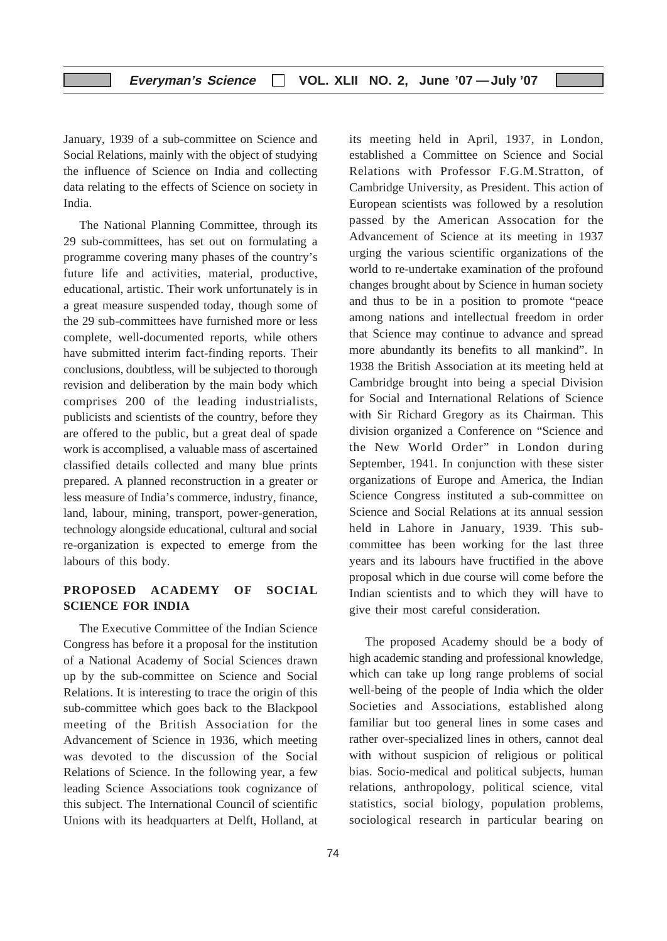January, 1939 of a sub-committee on Science and Social Relations, mainly with the object of studying the influence of Science on India and collecting data relating to the effects of Science on society in India.

The National Planning Committee, through its 29 sub-committees, has set out on formulating a programme covering many phases of the country's future life and activities, material, productive, educational, artistic. Their work unfortunately is in a great measure suspended today, though some of the 29 sub-committees have furnished more or less complete, well-documented reports, while others have submitted interim fact-finding reports. Their conclusions, doubtless, will be subjected to thorough revision and deliberation by the main body which comprises 200 of the leading industrialists, publicists and scientists of the country, before they are offered to the public, but a great deal of spade work is accomplised, a valuable mass of ascertained classified details collected and many blue prints prepared. A planned reconstruction in a greater or less measure of India's commerce, industry, finance, land, labour, mining, transport, power-generation, technology alongside educational, cultural and social re-organization is expected to emerge from the labours of this body.

#### **PROPOSED ACADEMY OF SOCIAL SCIENCE FOR INDIA**

The Executive Committee of the Indian Science Congress has before it a proposal for the institution of a National Academy of Social Sciences drawn up by the sub-committee on Science and Social Relations. It is interesting to trace the origin of this sub-committee which goes back to the Blackpool meeting of the British Association for the Advancement of Science in 1936, which meeting was devoted to the discussion of the Social Relations of Science. In the following year, a few leading Science Associations took cognizance of this subject. The International Council of scientific Unions with its headquarters at Delft, Holland, at

74

its meeting held in April, 1937, in London, established a Committee on Science and Social Relations with Professor F.G.M.Stratton, of Cambridge University, as President. This action of European scientists was followed by a resolution passed by the American Assocation for the Advancement of Science at its meeting in 1937 urging the various scientific organizations of the world to re-undertake examination of the profound changes brought about by Science in human society and thus to be in a position to promote "peace among nations and intellectual freedom in order that Science may continue to advance and spread more abundantly its benefits to all mankind". In 1938 the British Association at its meeting held at Cambridge brought into being a special Division for Social and International Relations of Science with Sir Richard Gregory as its Chairman. This division organized a Conference on "Science and the New World Order" in London during September, 1941. In conjunction with these sister organizations of Europe and America, the Indian Science Congress instituted a sub-committee on Science and Social Relations at its annual session held in Lahore in January, 1939. This subcommittee has been working for the last three years and its labours have fructified in the above proposal which in due course will come before the Indian scientists and to which they will have to give their most careful consideration.

The proposed Academy should be a body of high academic standing and professional knowledge, which can take up long range problems of social well-being of the people of India which the older Societies and Associations, established along familiar but too general lines in some cases and rather over-specialized lines in others, cannot deal with without suspicion of religious or political bias. Socio-medical and political subjects, human relations, anthropology, political science, vital statistics, social biology, population problems, sociological research in particular bearing on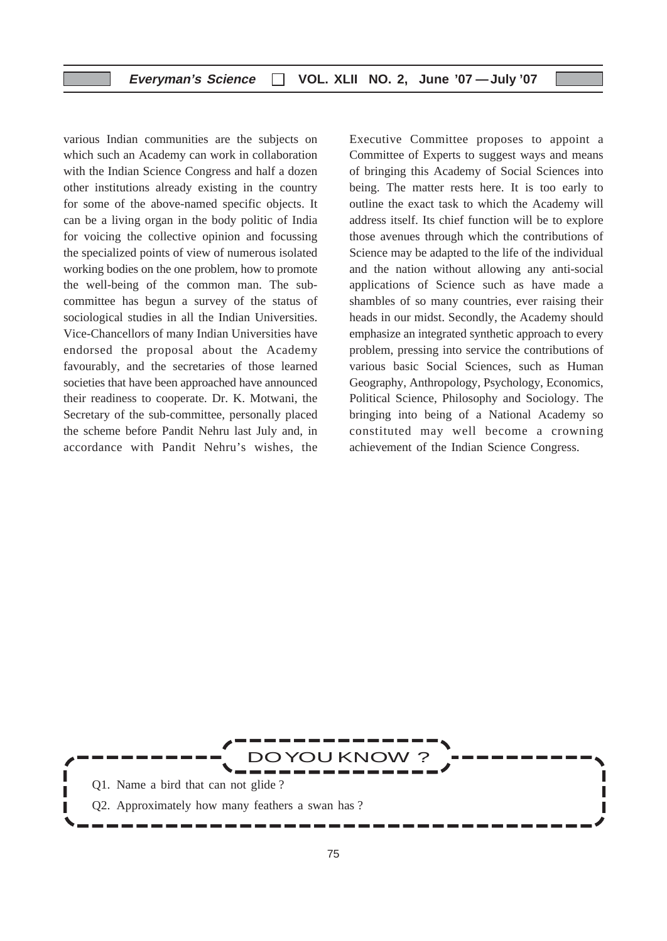#### **Everyman's Science VOL. XLII NO. 2, June '07 —July '07**

various Indian communities are the subjects on which such an Academy can work in collaboration with the Indian Science Congress and half a dozen other institutions already existing in the country for some of the above-named specific objects. It can be a living organ in the body politic of India for voicing the collective opinion and focussing the specialized points of view of numerous isolated working bodies on the one problem, how to promote the well-being of the common man. The subcommittee has begun a survey of the status of sociological studies in all the Indian Universities. Vice-Chancellors of many Indian Universities have endorsed the proposal about the Academy favourably, and the secretaries of those learned societies that have been approached have announced their readiness to cooperate. Dr. K. Motwani, the Secretary of the sub-committee, personally placed the scheme before Pandit Nehru last July and, in accordance with Pandit Nehru's wishes, the

Executive Committee proposes to appoint a Committee of Experts to suggest ways and means of bringing this Academy of Social Sciences into being. The matter rests here. It is too early to outline the exact task to which the Academy will address itself. Its chief function will be to explore those avenues through which the contributions of Science may be adapted to the life of the individual and the nation without allowing any anti-social applications of Science such as have made a shambles of so many countries, ever raising their heads in our midst. Secondly, the Academy should emphasize an integrated synthetic approach to every problem, pressing into service the contributions of various basic Social Sciences, such as Human Geography, Anthropology, Psychology, Economics, Political Science, Philosophy and Sociology. The bringing into being of a National Academy so constituted may well become a crowning achievement of the Indian Science Congress.

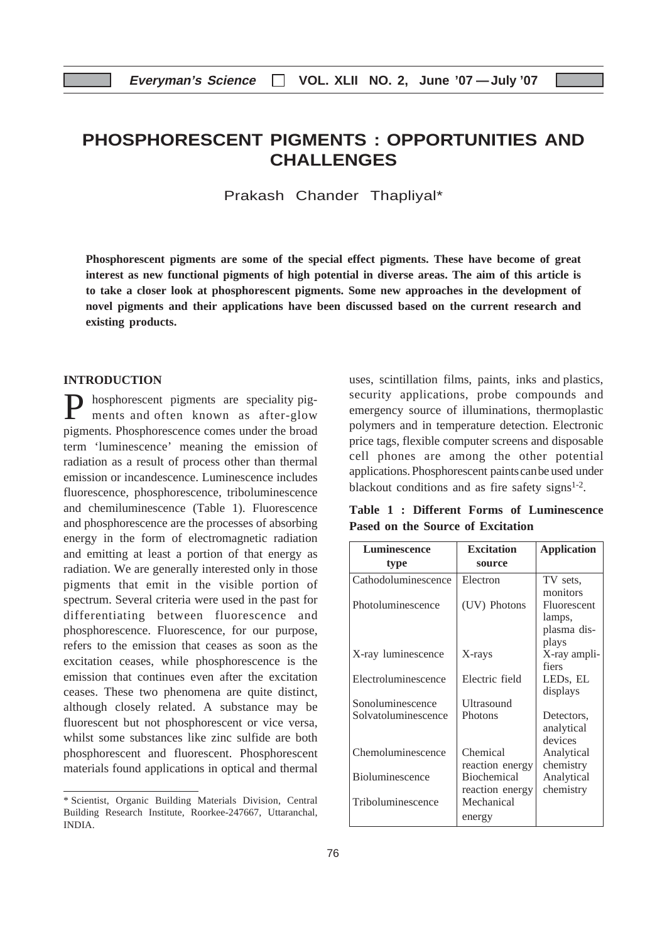## **PHOSPHORESCENT PIGMENTS : OPPORTUNITIES AND CHALLENGES**

Prakash Chander Thapliyal\*

**Phosphorescent pigments are some of the special effect pigments. These have become of great interest as new functional pigments of high potential in diverse areas. The aim of this article is to take a closer look at phosphorescent pigments. Some new approaches in the development of novel pigments and their applications have been discussed based on the current research and existing products.**

#### **INTRODUCTION**

P hosphorescent pigments are speciality pigments and often known as after-glow pigments. Phosphorescence comes under the broad term 'luminescence' meaning the emission of radiation as a result of process other than thermal emission or incandescence. Luminescence includes fluorescence, phosphorescence, triboluminescence and chemiluminescence (Table 1). Fluorescence and phosphorescence are the processes of absorbing energy in the form of electromagnetic radiation and emitting at least a portion of that energy as radiation. We are generally interested only in those pigments that emit in the visible portion of spectrum. Several criteria were used in the past for differentiating between fluorescence and phosphorescence. Fluorescence, for our purpose, refers to the emission that ceases as soon as the excitation ceases, while phosphorescence is the emission that continues even after the excitation ceases. These two phenomena are quite distinct, although closely related. A substance may be fluorescent but not phosphorescent or vice versa, whilst some substances like zinc sulfide are both phosphorescent and fluorescent. Phosphorescent materials found applications in optical and thermal

uses, scintillation films, paints, inks and plastics, security applications, probe compounds and emergency source of illuminations, thermoplastic polymers and in temperature detection. Electronic price tags, flexible computer screens and disposable cell phones are among the other potential applications. Phosphorescent paintscanbe used under blackout conditions and as fire safety signs $1-2$ .

**Table 1 : Different Forms of Luminescence Pased on the Source of Excitation**

| Luminescence        | <b>Excitation</b>  | <b>Application</b>    |
|---------------------|--------------------|-----------------------|
| type                | source             |                       |
| Cathodoluminescence | Electron           | TV sets.              |
|                     |                    | monitors              |
| Photoluminescence   | (UV) Photons       | Fluorescent           |
|                     |                    | lamps,<br>plasma dis- |
|                     |                    | plays                 |
| X-ray luminescence  | X-rays             | X-ray ampli-          |
|                     |                    | fiers                 |
| Electroluminescence | Electric field     | LED <sub>s</sub> , EL |
|                     |                    | displays              |
| Sonoluminescence    | Ultrasound         |                       |
| Solvatoluminescence | Photons            | Detectors,            |
|                     |                    | analytical            |
|                     |                    | devices               |
| Chemoluminescence   | Chemical           | Analytical            |
|                     | reaction energy    | chemistry             |
| Bioluminescence     | <b>Biochemical</b> | Analytical            |
|                     | reaction energy    | chemistry             |
| Triboluminescence   | Mechanical         |                       |
|                     | energy             |                       |

<sup>\*</sup> Scientist, Organic Building Materials Division, Central Building Research Institute, Roorkee-247667, Uttaranchal, INDIA.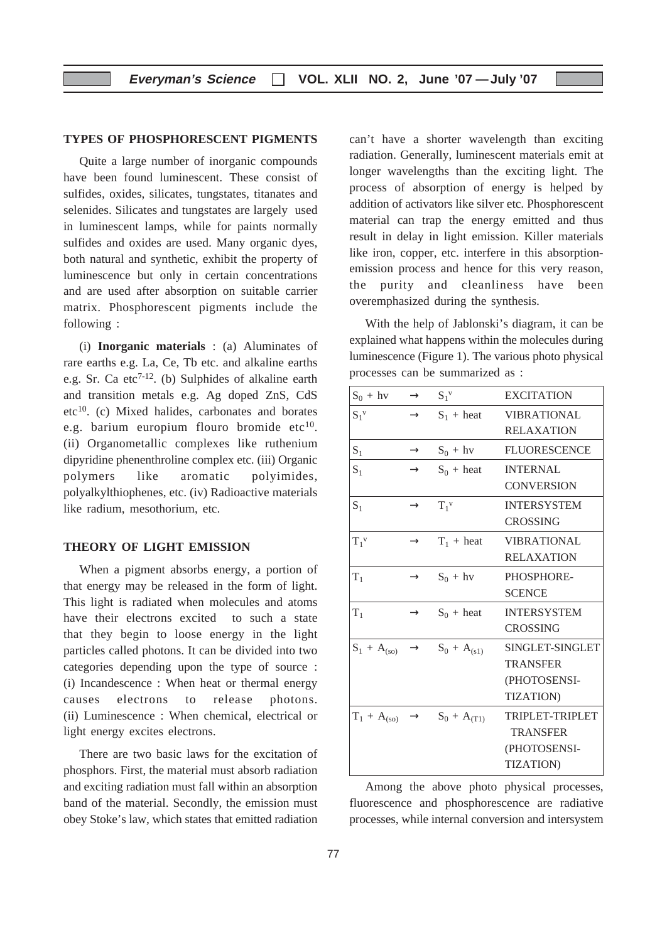#### **TYPES OF PHOSPHORESCENT PIGMENTS**

Quite a large number of inorganic compounds have been found luminescent. These consist of sulfides, oxides, silicates, tungstates, titanates and selenides. Silicates and tungstates are largely used in luminescent lamps, while for paints normally sulfides and oxides are used. Many organic dyes, both natural and synthetic, exhibit the property of luminescence but only in certain concentrations and are used after absorption on suitable carrier matrix. Phosphorescent pigments include the following :

(i) **Inorganic materials** : (a) Aluminates of rare earths e.g. La, Ce, Tb etc. and alkaline earths e.g. Sr. Ca etc<sup>7-12</sup>. (b) Sulphides of alkaline earth and transition metals e.g. Ag doped ZnS, CdS  $etc<sup>10</sup>$ . (c) Mixed halides, carbonates and borates e.g. barium europium flouro bromide etc $10$ . (ii) Organometallic complexes like ruthenium dipyridine phenenthroline complex etc. (iii) Organic polymers like aromatic polyimides, polyalkylthiophenes, etc. (iv) Radioactive materials like radium, mesothorium, etc.

#### **THEORY OF LIGHT EMISSION**

When a pigment absorbs energy, a portion of that energy may be released in the form of light. This light is radiated when molecules and atoms have their electrons excited to such a state that they begin to loose energy in the light particles called photons. It can be divided into two categories depending upon the type of source : (i) Incandescence : When heat or thermal energy causes electrons to release photons. (ii) Luminescence : When chemical, electrical or light energy excites electrons.

There are two basic laws for the excitation of phosphors. First, the material must absorb radiation and exciting radiation must fall within an absorption band of the material. Secondly, the emission must obey Stoke's law, which states that emitted radiation

can't have a shorter wavelength than exciting radiation. Generally, luminescent materials emit at longer wavelengths than the exciting light. The process of absorption of energy is helped by addition of activators like silver etc. Phosphorescent material can trap the energy emitted and thus result in delay in light emission. Killer materials like iron, copper, etc. interfere in this absorptionemission process and hence for this very reason, the purity and cleanliness have been overemphasized during the synthesis.

With the help of Jablonski's diagram, it can be explained what happens within the molecules during luminescence (Figure 1). The various photo physical processes can be summarized as :

| $S_0 + hv$       | $\rightarrow$ | $S_1^v$                                     | <b>EXCITATION</b>   |
|------------------|---------------|---------------------------------------------|---------------------|
| $S_1^{\nu}$      | $\rightarrow$ | $S_1$ + heat                                | <b>VIBRATIONAL</b>  |
|                  |               |                                             | <b>RELAXATION</b>   |
| $S_1$            | $\rightarrow$ | $S_0 + hv$                                  | <b>FLUORESCENCE</b> |
| $S_1$            | $\rightarrow$ | $S_0$ + heat                                | <b>INTERNAL</b>     |
|                  |               |                                             | <b>CONVERSION</b>   |
| $S_1$            | $\rightarrow$ | $T_1^{\nu}$                                 | <b>INTERSYSTEM</b>  |
|                  |               |                                             | <b>CROSSING</b>     |
| $T_1^{\nu}$      | $\rightarrow$ | $T_1$ + heat                                | <b>VIBRATIONAL</b>  |
|                  |               |                                             | <b>RELAXATION</b>   |
| $T_1$            | $\rightarrow$ | $S_0 + hv$                                  | PHOSPHORE-          |
|                  |               |                                             | <b>SCENCE</b>       |
| $T_1$            | $\rightarrow$ | $S_0$ + heat                                | <b>INTERSYSTEM</b>  |
|                  |               |                                             | <b>CROSSING</b>     |
| $S_1 + A_{(so)}$ |               | $\rightarrow$ $S_0 + A_{(s1)}$              | SINGLET-SINGLET     |
|                  |               |                                             | <b>TRANSFER</b>     |
|                  |               |                                             | (PHOTOSENSI-        |
|                  |               |                                             | <b>TIZATION</b> )   |
|                  |               | $T_1 + A_{(so)} \rightarrow S_0 + A_{(T1)}$ | TRIPLET-TRIPLET     |
|                  |               |                                             | <b>TRANSFER</b>     |
|                  |               |                                             | (PHOTOSENSI-        |
|                  |               |                                             | <b>TIZATION</b> )   |

Among the above photo physical processes, fluorescence and phosphorescence are radiative processes, while internal conversion and intersystem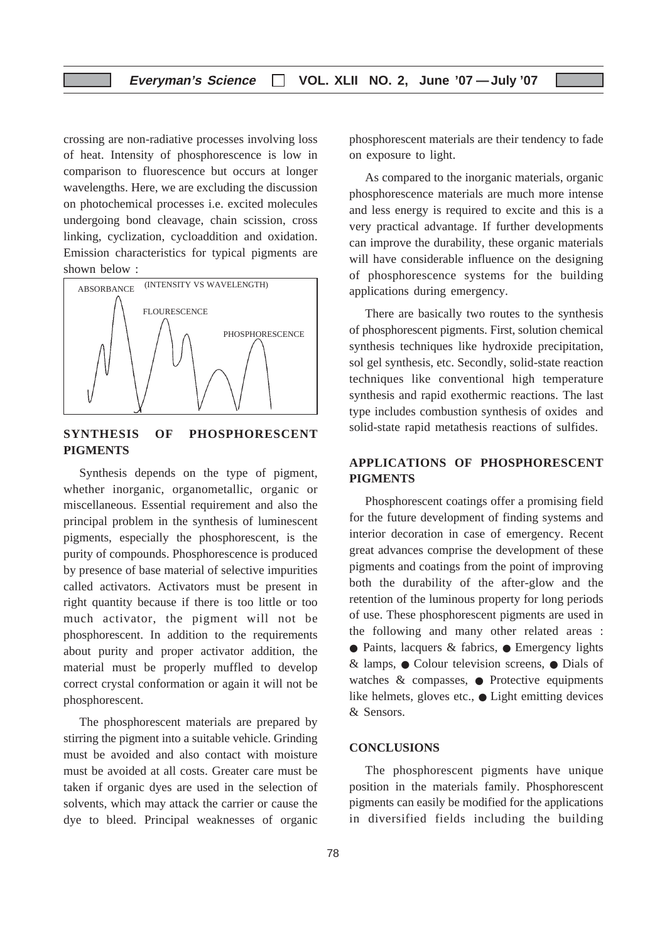crossing are non-radiative processes involving loss of heat. Intensity of phosphorescence is low in comparison to fluorescence but occurs at longer wavelengths. Here, we are excluding the discussion on photochemical processes i.e. excited molecules undergoing bond cleavage, chain scission, cross linking, cyclization, cycloaddition and oxidation. Emission characteristics for typical pigments are shown below :



#### **SYNTHESIS OF PHOSPHORESCENT PIGMENTS**

Synthesis depends on the type of pigment, whether inorganic, organometallic, organic or miscellaneous. Essential requirement and also the principal problem in the synthesis of luminescent pigments, especially the phosphorescent, is the purity of compounds. Phosphorescence is produced by presence of base material of selective impurities called activators. Activators must be present in right quantity because if there is too little or too much activator, the pigment will not be phosphorescent. In addition to the requirements about purity and proper activator addition, the material must be properly muffled to develop correct crystal conformation or again it will not be phosphorescent.

The phosphorescent materials are prepared by stirring the pigment into a suitable vehicle. Grinding must be avoided and also contact with moisture must be avoided at all costs. Greater care must be taken if organic dyes are used in the selection of solvents, which may attack the carrier or cause the dye to bleed. Principal weaknesses of organic

phosphorescent materials are their tendency to fade on exposure to light.

As compared to the inorganic materials, organic phosphorescence materials are much more intense and less energy is required to excite and this is a very practical advantage. If further developments can improve the durability, these organic materials will have considerable influence on the designing of phosphorescence systems for the building applications during emergency.

There are basically two routes to the synthesis of phosphorescent pigments. First, solution chemical synthesis techniques like hydroxide precipitation, sol gel synthesis, etc. Secondly, solid-state reaction techniques like conventional high temperature synthesis and rapid exothermic reactions. The last type includes combustion synthesis of oxides and solid-state rapid metathesis reactions of sulfides.

#### **APPLICATIONS OF PHOSPHORESCENT PIGMENTS**

Phosphorescent coatings offer a promising field for the future development of finding systems and interior decoration in case of emergency. Recent great advances comprise the development of these pigments and coatings from the point of improving both the durability of the after-glow and the retention of the luminous property for long periods of use. These phosphorescent pigments are used in the following and many other related areas : ● Paints, lacquers & fabrics, ● Emergency lights & lamps, ● Colour television screens, ● Dials of watches  $\&$  compasses,  $\bullet$  Protective equipments like helmets, gloves etc., ● Light emitting devices & Sensors.

#### **CONCLUSIONS**

The phosphorescent pigments have unique position in the materials family. Phosphorescent pigments can easily be modified for the applications in diversified fields including the building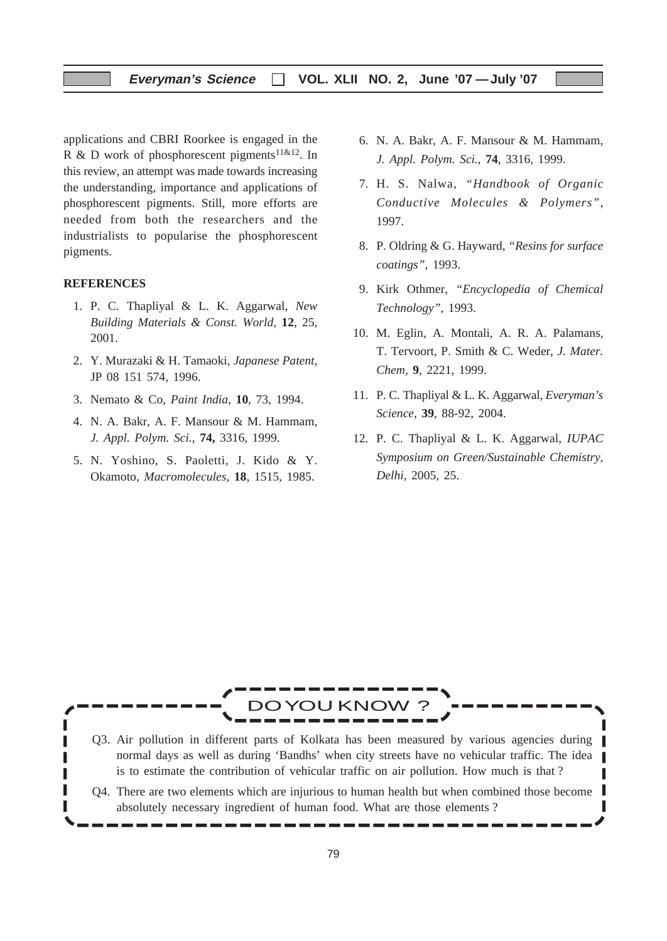applications and CBRI Roorkee is engaged in the R & D work of phosphorescent pigments<sup>11&12</sup>. In this review, an attempt was made towards increasing the understanding, importance and applications of phosphorescent pigments. Still, more efforts are needed from both the researchers and the industrialists to popularise the phosphorescent pigments.

#### **REFERENCES**

- 1. P. C. Thapliyal & L. K. Aggarwal, *New Building Materials & Const. World,* **12**, 25, 2001.
- 2. Y. Murazaki & H. Tamaoki, *Japanese Patent,* JP 08 151 574, 1996.
- 3. Nemato & Co, *Paint India,* **10**, 73, 1994.
- 4. N. A. Bakr, A. F. Mansour & M. Hammam, *J. Appl. Polym. Sci.,* **74,** 3316, 1999.
- 5. N. Yoshino, S. Paoletti, J. Kido & Y. Okamoto, *Macromolecules,* **18**, 1515, 1985.
- 6. N. A. Bakr, A. F. Mansour & M. Hammam, *J. Appl. Polym. Sci.*, **74**, 3316, 1999.
- 7. H. S. Nalwa, *"Handbook of Organic Conductive Molecules & Polymers",* 1997.
- 8. P. Oldring & G. Hayward, *"Resins for surface coatings"*, 1993.
- 9. Kirk Othmer, *"Encyclopedia of Chemical Technology"*, 1993.
- 10. M. Eglin, A. Montali, A. R. A. Palamans, T. Tervoort, P. Smith & C. Weder, *J. Mater. Chem*, **9**, 2221, 1999.
- 11. P. C. Thapliyal & L. K. Aggarwal, *Everyman's Science*, **39**, 88-92, 2004.
- 12. P. C. Thapliyal & L. K. Aggarwal, *IUPAC Symposium on Green/Sustainable Chemistry, Delhi,* 2005, 25.

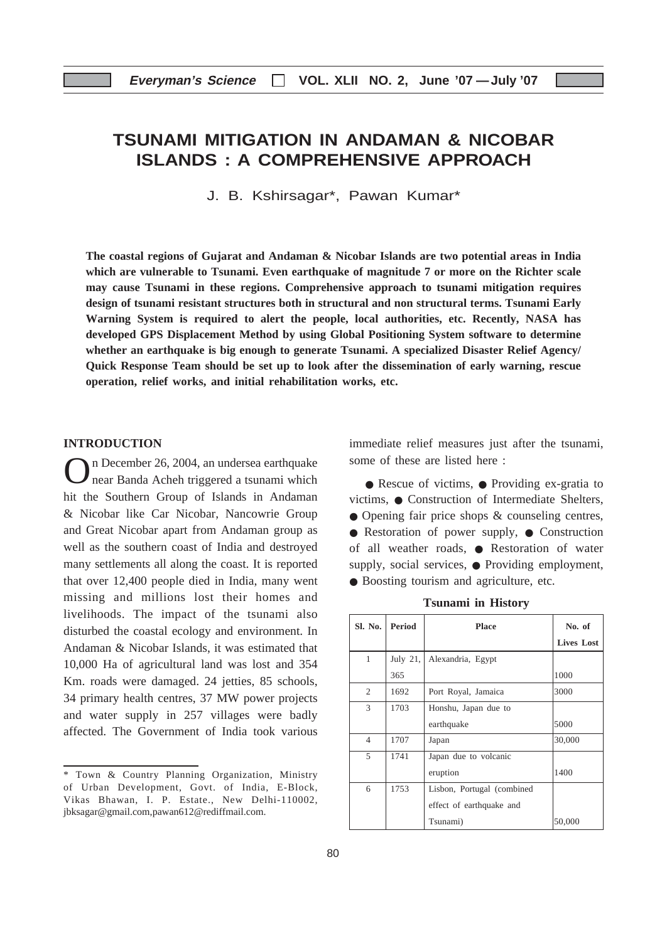## **TSUNAMI MITIGATION IN ANDAMAN & NICOBAR ISLANDS : A COMPREHENSIVE APPROACH**

J. B. Kshirsagar\*, Pawan Kumar\*

**The coastal regions of Gujarat and Andaman & Nicobar Islands are two potential areas in India which are vulnerable to Tsunami. Even earthquake of magnitude 7 or more on the Richter scale may cause Tsunami in these regions. Comprehensive approach to tsunami mitigation requires design of tsunami resistant structures both in structural and non structural terms. Tsunami Early Warning System is required to alert the people, local authorities, etc. Recently, NASA has developed GPS Displacement Method by using Global Positioning System software to determine whether an earthquake is big enough to generate Tsunami. A specialized Disaster Relief Agency/ Quick Response Team should be set up to look after the dissemination of early warning, rescue operation, relief works, and initial rehabilitation works, etc.**

#### **INTRODUCTION**

On December 26, 2004, an undersea earthquake near Banda Acheh triggered a tsunami which hit the Southern Group of Islands in Andaman & Nicobar like Car Nicobar, Nancowrie Group and Great Nicobar apart from Andaman group as well as the southern coast of India and destroyed many settlements all along the coast. It is reported that over 12,400 people died in India, many went missing and millions lost their homes and livelihoods. The impact of the tsunami also disturbed the coastal ecology and environment. In Andaman & Nicobar Islands, it was estimated that 10,000 Ha of agricultural land was lost and 354 Km. roads were damaged. 24 jetties, 85 schools, 34 primary health centres, 37 MW power projects and water supply in 257 villages were badly affected. The Government of India took various

immediate relief measures just after the tsunami, some of these are listed here :

● Rescue of victims, ● Providing ex-gratia to victims, ● Construction of Intermediate Shelters, ● Opening fair price shops & counseling centres, ● Restoration of power supply, ● Construction of all weather roads, ● Restoration of water supply, social services, ● Providing employment, ● Boosting tourism and agriculture, etc.

| <b>Tsunami</b> in History |  |  |
|---------------------------|--|--|
|---------------------------|--|--|

| Sl. No.        | <b>Period</b> | <b>Place</b>               | No. of            |
|----------------|---------------|----------------------------|-------------------|
|                |               |                            | <b>Lives Lost</b> |
| $\mathbf{1}$   | July 21,      | Alexandria, Egypt          |                   |
|                | 365           |                            | 1000              |
| 2              | 1692          | Port Royal, Jamaica        | 3000              |
| 3              | 1703          | Honshu, Japan due to       |                   |
|                |               | earthquake                 | 5000              |
| $\overline{4}$ | 1707          | Japan                      | 30,000            |
| 5              | 1741          | Japan due to volcanic      |                   |
|                |               | eruption                   | 1400              |
| 6              | 1753          | Lisbon, Portugal (combined |                   |
|                |               | effect of earthquake and   |                   |
|                |               | Tsunami)                   | 50,000            |

<sup>\*</sup> Town & Country Planning Organization, Ministry of Urban Development, Govt. of India, E-Block, Vikas Bhawan, I. P. Estate., New Delhi-110002, jbksagar@gmail.com,pawan612@rediffmail.com.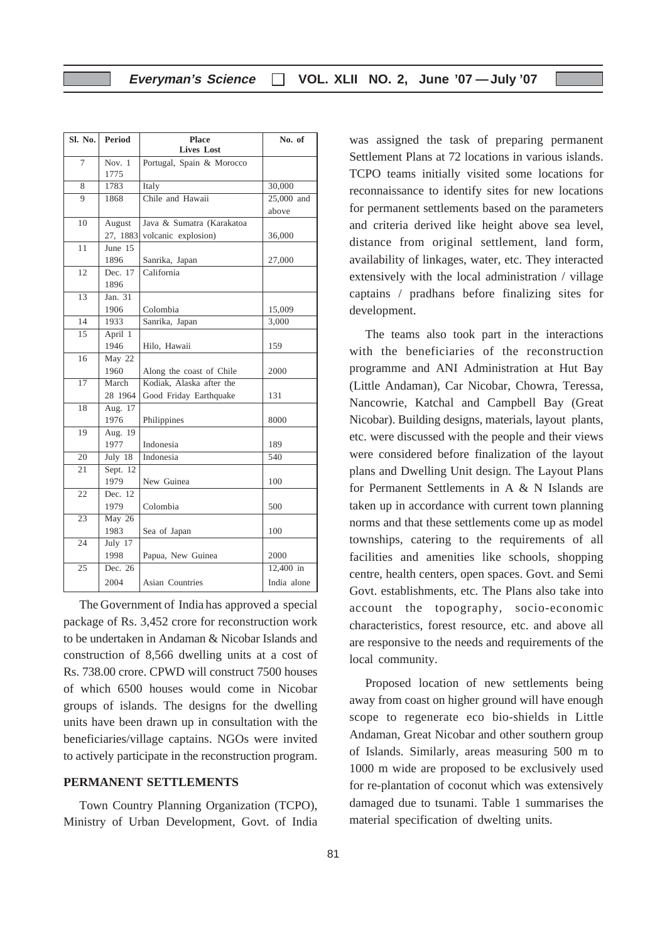| Sl. No.         | <b>Period</b>               | <b>Place</b>              | No. of      |
|-----------------|-----------------------------|---------------------------|-------------|
|                 |                             | <b>Lives Lost</b>         |             |
| 7               | Nov. $1$                    | Portugal, Spain & Morocco |             |
|                 | 1775                        |                           |             |
| 8               | 1783                        | Italy                     | 30,000      |
| 9               | 1868                        | Chile and Hawaii          | 25,000 and  |
|                 |                             |                           | above       |
| 10              | August                      | Java & Sumatra (Karakatoa |             |
|                 | 27, 1883                    | volcanic explosion)       | 36,000      |
| 11              | June 15                     |                           |             |
|                 | 1896                        | Sanrika, Japan            | 27,000      |
| 12              | Dec. 17                     | California                |             |
|                 | 1896                        |                           |             |
| $\overline{13}$ | Jan. $31$                   |                           |             |
|                 | 1906                        | Colombia                  | 15,009      |
| 14              | 1933                        | Sanrika, Japan            | 3.000       |
| $\overline{15}$ | April 1                     |                           |             |
|                 | 1946                        | Hilo, Hawaii              | 159         |
| 16              | May $22$                    |                           |             |
|                 | 1960                        | Along the coast of Chile  | 2000        |
| $\overline{17}$ | March                       | Kodiak, Alaska after the  |             |
|                 | 28 1964                     | Good Friday Earthquake    | 131         |
| 18              | Aug. 17                     |                           |             |
|                 | 1976                        | Philippines               | 8000        |
| 19              | Aug. $19$                   |                           |             |
|                 | 1977                        | Indonesia                 | 189         |
| 20              | July $18$                   | Indonesia                 | 540         |
| $\overline{21}$ | Sept. 12                    |                           |             |
|                 | 1979                        | New Guinea                | 100         |
| 22              | Dec. $12$                   |                           |             |
|                 | 1979                        | Colombia                  | 500         |
| 23              | $\overline{\text{May } 26}$ |                           |             |
|                 | 1983                        | Sea of Japan              | 100         |
| 24              | July 17                     |                           |             |
|                 | 1998                        | Papua, New Guinea         | 2000        |
| $\overline{25}$ | Dec. 26                     |                           | 12,400 in   |
|                 | 2004                        | Asian Countries           | India alone |

The Government of India has approved a special package of Rs. 3,452 crore for reconstruction work to be undertaken in Andaman & Nicobar Islands and construction of 8,566 dwelling units at a cost of Rs. 738.00 crore. CPWD will construct 7500 houses of which 6500 houses would come in Nicobar groups of islands. The designs for the dwelling units have been drawn up in consultation with the beneficiaries/village captains. NGOs were invited to actively participate in the reconstruction program.

#### **PERMANENT SETTLEMENTS**

Town Country Planning Organization (TCPO), Ministry of Urban Development, Govt. of India was assigned the task of preparing permanent Settlement Plans at 72 locations in various islands. TCPO teams initially visited some locations for reconnaissance to identify sites for new locations for permanent settlements based on the parameters and criteria derived like height above sea level, distance from original settlement, land form, availability of linkages, water, etc. They interacted extensively with the local administration / village captains / pradhans before finalizing sites for development.

The teams also took part in the interactions with the beneficiaries of the reconstruction programme and ANI Administration at Hut Bay (Little Andaman), Car Nicobar, Chowra, Teressa, Nancowrie, Katchal and Campbell Bay (Great Nicobar). Building designs, materials, layout plants, etc. were discussed with the people and their views were considered before finalization of the layout plans and Dwelling Unit design. The Layout Plans for Permanent Settlements in A & N Islands are taken up in accordance with current town planning norms and that these settlements come up as model townships, catering to the requirements of all facilities and amenities like schools, shopping centre, health centers, open spaces. Govt. and Semi Govt. establishments, etc. The Plans also take into account the topography, socio-economic characteristics, forest resource, etc. and above all are responsive to the needs and requirements of the local community.

Proposed location of new settlements being away from coast on higher ground will have enough scope to regenerate eco bio-shields in Little Andaman, Great Nicobar and other southern group of Islands. Similarly, areas measuring 500 m to 1000 m wide are proposed to be exclusively used for re-plantation of coconut which was extensively damaged due to tsunami. Table 1 summarises the material specification of dwelting units.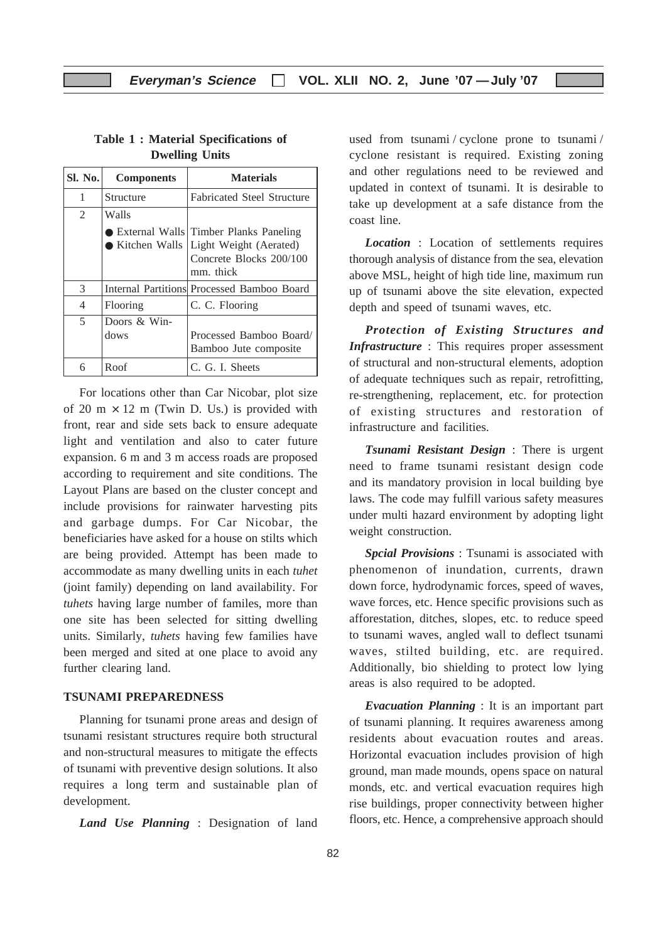| Sl. No. | <b>Components</b>    | <b>Materials</b>                                                                                               |
|---------|----------------------|----------------------------------------------------------------------------------------------------------------|
| 1       | Structure            | <b>Fabricated Steel Structure</b>                                                                              |
| 2       | Walls                |                                                                                                                |
|         | • Kitchen Walls      | <b>External Walls Timber Planks Paneling</b><br>Light Weight (Aerated)<br>Concrete Blocks 200/100<br>mm. thick |
| 3       |                      | Internal Partitions Processed Bamboo Board                                                                     |
| 4       | Flooring             | C. C. Flooring                                                                                                 |
| 5       | Doors & Win-<br>dows | Processed Bamboo Board/<br>Bamboo Jute composite                                                               |
| 6       | Roof                 | C. G. I. Sheets                                                                                                |

#### **Table 1 : Material Specifications of Dwelling Units**

For locations other than Car Nicobar, plot size of 20 m  $\times$  12 m (Twin D. Us.) is provided with front, rear and side sets back to ensure adequate light and ventilation and also to cater future expansion. 6 m and 3 m access roads are proposed according to requirement and site conditions. The Layout Plans are based on the cluster concept and include provisions for rainwater harvesting pits and garbage dumps. For Car Nicobar, the beneficiaries have asked for a house on stilts which are being provided. Attempt has been made to accommodate as many dwelling units in each *tuhet* (joint family) depending on land availability. For *tuhets* having large number of familes, more than one site has been selected for sitting dwelling units. Similarly, *tuhets* having few families have been merged and sited at one place to avoid any further clearing land.

#### **TSUNAMI PREPAREDNESS**

Planning for tsunami prone areas and design of tsunami resistant structures require both structural and non-structural measures to mitigate the effects of tsunami with preventive design solutions. It also requires a long term and sustainable plan of development.

*Land Use Planning* : Designation of land

used from tsunami / cyclone prone to tsunami / cyclone resistant is required. Existing zoning and other regulations need to be reviewed and updated in context of tsunami. It is desirable to take up development at a safe distance from the coast line.

*Location* : Location of settlements requires thorough analysis of distance from the sea, elevation above MSL, height of high tide line, maximum run up of tsunami above the site elevation, expected depth and speed of tsunami waves, etc.

*Protection of Existing Structures and Infrastructure* : This requires proper assessment of structural and non-structural elements, adoption of adequate techniques such as repair, retrofitting, re-strengthening, replacement, etc. for protection of existing structures and restoration of infrastructure and facilities.

*Tsunami Resistant Design* : There is urgent need to frame tsunami resistant design code and its mandatory provision in local building bye laws. The code may fulfill various safety measures under multi hazard environment by adopting light weight construction.

*Spcial Provisions* : Tsunami is associated with phenomenon of inundation, currents, drawn down force, hydrodynamic forces, speed of waves, wave forces, etc. Hence specific provisions such as afforestation, ditches, slopes, etc. to reduce speed to tsunami waves, angled wall to deflect tsunami waves, stilted building, etc. are required. Additionally, bio shielding to protect low lying areas is also required to be adopted.

*Evacuation Planning* : It is an important part of tsunami planning. It requires awareness among residents about evacuation routes and areas. Horizontal evacuation includes provision of high ground, man made mounds, opens space on natural monds, etc. and vertical evacuation requires high rise buildings, proper connectivity between higher floors, etc. Hence, a comprehensive approach should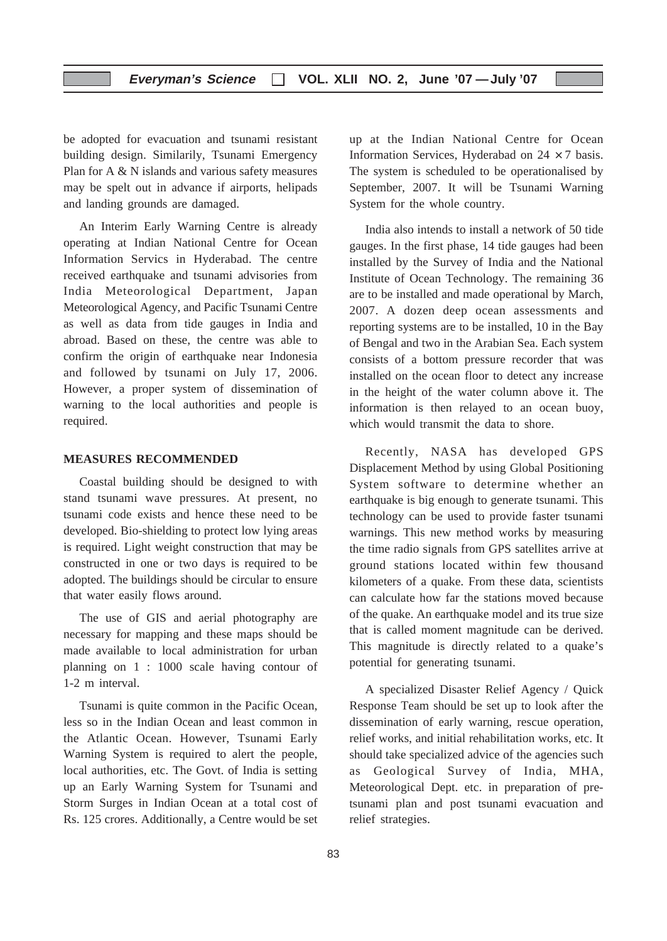be adopted for evacuation and tsunami resistant building design. Similarily, Tsunami Emergency Plan for A & N islands and various safety measures may be spelt out in advance if airports, helipads and landing grounds are damaged.

An Interim Early Warning Centre is already operating at Indian National Centre for Ocean Information Servics in Hyderabad. The centre received earthquake and tsunami advisories from India Meteorological Department, Japan Meteorological Agency, and Pacific Tsunami Centre as well as data from tide gauges in India and abroad. Based on these, the centre was able to confirm the origin of earthquake near Indonesia and followed by tsunami on July 17, 2006. However, a proper system of dissemination of warning to the local authorities and people is required.

#### **MEASURES RECOMMENDED**

Coastal building should be designed to with stand tsunami wave pressures. At present, no tsunami code exists and hence these need to be developed. Bio-shielding to protect low lying areas is required. Light weight construction that may be constructed in one or two days is required to be adopted. The buildings should be circular to ensure that water easily flows around.

The use of GIS and aerial photography are necessary for mapping and these maps should be made available to local administration for urban planning on 1 : 1000 scale having contour of 1-2 m interval.

Tsunami is quite common in the Pacific Ocean, less so in the Indian Ocean and least common in the Atlantic Ocean. However, Tsunami Early Warning System is required to alert the people, local authorities, etc. The Govt. of India is setting up an Early Warning System for Tsunami and Storm Surges in Indian Ocean at a total cost of Rs. 125 crores. Additionally, a Centre would be set up at the Indian National Centre for Ocean Information Services, Hyderabad on  $24 \times 7$  basis. The system is scheduled to be operationalised by September, 2007. It will be Tsunami Warning System for the whole country.

India also intends to install a network of 50 tide gauges. In the first phase, 14 tide gauges had been installed by the Survey of India and the National Institute of Ocean Technology. The remaining 36 are to be installed and made operational by March, 2007. A dozen deep ocean assessments and reporting systems are to be installed, 10 in the Bay of Bengal and two in the Arabian Sea. Each system consists of a bottom pressure recorder that was installed on the ocean floor to detect any increase in the height of the water column above it. The information is then relayed to an ocean buoy, which would transmit the data to shore.

Recently, NASA has developed GPS Displacement Method by using Global Positioning System software to determine whether an earthquake is big enough to generate tsunami. This technology can be used to provide faster tsunami warnings. This new method works by measuring the time radio signals from GPS satellites arrive at ground stations located within few thousand kilometers of a quake. From these data, scientists can calculate how far the stations moved because of the quake. An earthquake model and its true size that is called moment magnitude can be derived. This magnitude is directly related to a quake's potential for generating tsunami.

A specialized Disaster Relief Agency / Quick Response Team should be set up to look after the dissemination of early warning, rescue operation, relief works, and initial rehabilitation works, etc. It should take specialized advice of the agencies such as Geological Survey of India, MHA, Meteorological Dept. etc. in preparation of pretsunami plan and post tsunami evacuation and relief strategies.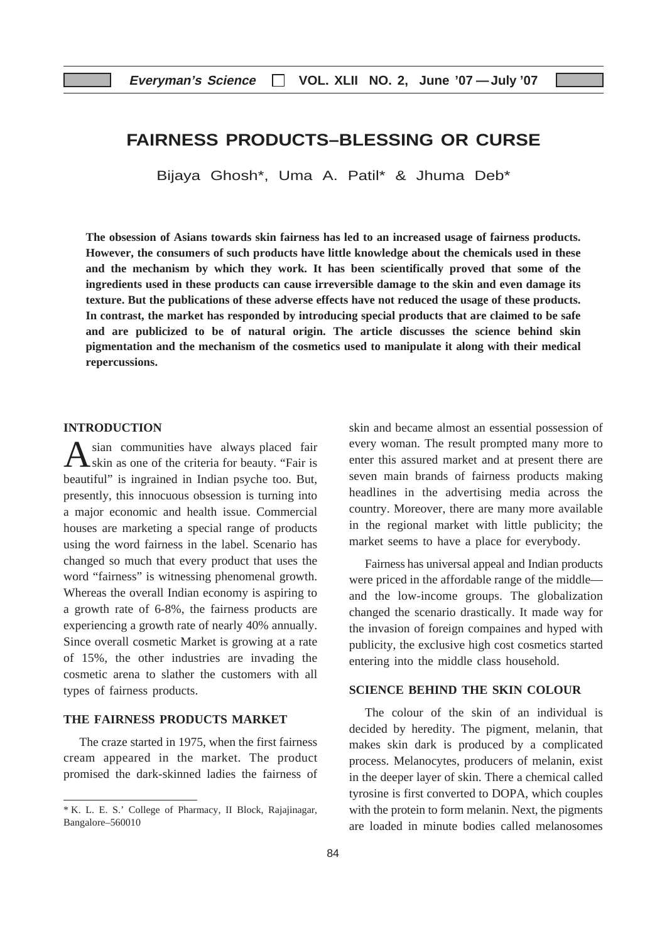## **FAIRNESS PRODUCTS–BLESSING OR CURSE**

Bijaya Ghosh\*, Uma A. Patil\* & Jhuma Deb\*

**The obsession of Asians towards skin fairness has led to an increased usage of fairness products. However, the consumers of such products have little knowledge about the chemicals used in these and the mechanism by which they work. It has been scientifically proved that some of the ingredients used in these products can cause irreversible damage to the skin and even damage its texture. But the publications of these adverse effects have not reduced the usage of these products. In contrast, the market has responded by introducing special products that are claimed to be safe and are publicized to be of natural origin. The article discusses the science behind skin pigmentation and the mechanism of the cosmetics used to manipulate it along with their medical repercussions.**

#### **INTRODUCTION**

sian communities have always placed fair skin as one of the criteria for beauty. "Fair is beautiful" is ingrained in Indian psyche too. But, presently, this innocuous obsession is turning into a major economic and health issue. Commercial houses are marketing a special range of products using the word fairness in the label. Scenario has changed so much that every product that uses the word "fairness" is witnessing phenomenal growth. Whereas the overall Indian economy is aspiring to a growth rate of 6-8%, the fairness products are experiencing a growth rate of nearly 40% annually. Since overall cosmetic Market is growing at a rate of 15%, the other industries are invading the cosmetic arena to slather the customers with all types of fairness products.

#### **THE FAIRNESS PRODUCTS MARKET**

The craze started in 1975, when the first fairness cream appeared in the market. The product promised the dark-skinned ladies the fairness of

skin and became almost an essential possession of every woman. The result prompted many more to enter this assured market and at present there are seven main brands of fairness products making headlines in the advertising media across the country. Moreover, there are many more available in the regional market with little publicity; the market seems to have a place for everybody.

Fairness has universal appeal and Indian products were priced in the affordable range of the middle and the low-income groups. The globalization changed the scenario drastically. It made way for the invasion of foreign compaines and hyped with publicity, the exclusive high cost cosmetics started entering into the middle class household.

#### **SCIENCE BEHIND THE SKIN COLOUR**

The colour of the skin of an individual is decided by heredity. The pigment, melanin, that makes skin dark is produced by a complicated process. Melanocytes, producers of melanin, exist in the deeper layer of skin. There a chemical called tyrosine is first converted to DOPA, which couples with the protein to form melanin. Next, the pigments are loaded in minute bodies called melanosomes

<sup>\*</sup> K. L. E. S.' College of Pharmacy, II Block, Rajajinagar, Bangalore–560010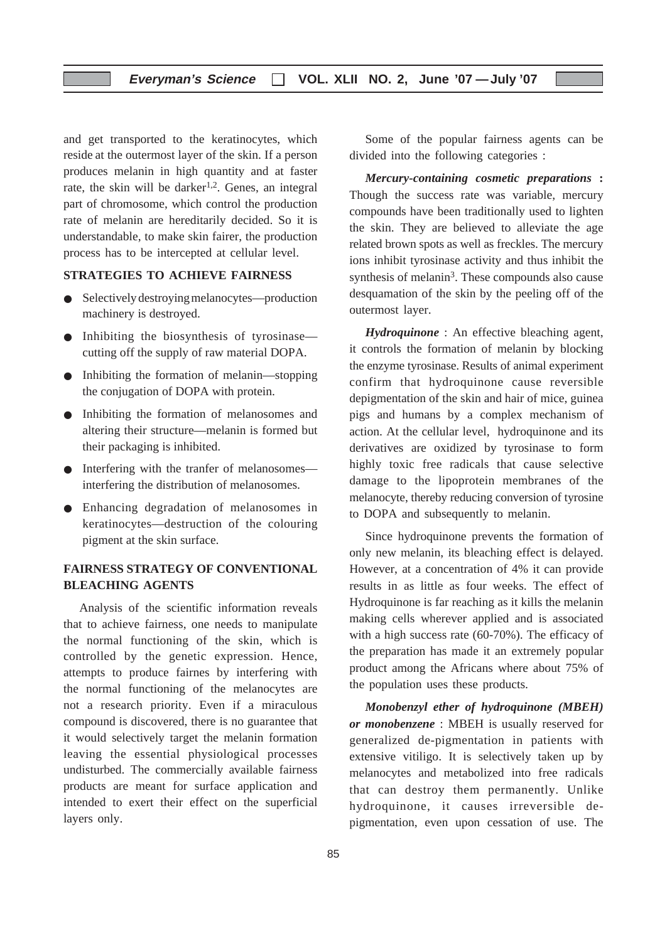and get transported to the keratinocytes, which reside at the outermost layer of the skin. If a person produces melanin in high quantity and at faster rate, the skin will be darker<sup>1,2</sup>. Genes, an integral part of chromosome, which control the production rate of melanin are hereditarily decided. So it is understandable, to make skin fairer, the production process has to be intercepted at cellular level.

#### **STRATEGIES TO ACHIEVE FAIRNESS**

- Selectively destroying melanocytes—production machinery is destroyed.
- Inhibiting the biosynthesis of tyrosinase cutting off the supply of raw material DOPA.
- Inhibiting the formation of melanin—stopping the conjugation of DOPA with protein.
- Inhibiting the formation of melanosomes and altering their structure—melanin is formed but their packaging is inhibited.
- Interfering with the tranfer of melanosomes interfering the distribution of melanosomes.
- Enhancing degradation of melanosomes in keratinocytes—destruction of the colouring pigment at the skin surface.

#### **FAIRNESS STRATEGY OF CONVENTIONAL BLEACHING AGENTS**

Analysis of the scientific information reveals that to achieve fairness, one needs to manipulate the normal functioning of the skin, which is controlled by the genetic expression. Hence, attempts to produce fairnes by interfering with the normal functioning of the melanocytes are not a research priority. Even if a miraculous compound is discovered, there is no guarantee that it would selectively target the melanin formation leaving the essential physiological processes undisturbed. The commercially available fairness products are meant for surface application and intended to exert their effect on the superficial layers only.

Some of the popular fairness agents can be divided into the following categories :

*Mercury-containing cosmetic preparations* **:** Though the success rate was variable, mercury compounds have been traditionally used to lighten the skin. They are believed to alleviate the age related brown spots as well as freckles. The mercury ions inhibit tyrosinase activity and thus inhibit the synthesis of melanin<sup>3</sup>. These compounds also cause desquamation of the skin by the peeling off of the outermost layer.

*Hydroquinone* : An effective bleaching agent, it controls the formation of melanin by blocking the enzyme tyrosinase. Results of animal experiment confirm that hydroquinone cause reversible depigmentation of the skin and hair of mice, guinea pigs and humans by a complex mechanism of action. At the cellular level, hydroquinone and its derivatives are oxidized by tyrosinase to form highly toxic free radicals that cause selective damage to the lipoprotein membranes of the melanocyte, thereby reducing conversion of tyrosine to DOPA and subsequently to melanin.

Since hydroquinone prevents the formation of only new melanin, its bleaching effect is delayed. However, at a concentration of 4% it can provide results in as little as four weeks. The effect of Hydroquinone is far reaching as it kills the melanin making cells wherever applied and is associated with a high success rate (60-70%). The efficacy of the preparation has made it an extremely popular product among the Africans where about 75% of the population uses these products.

*Monobenzyl ether of hydroquinone (MBEH) or monobenzene* : MBEH is usually reserved for generalized de-pigmentation in patients with extensive vitiligo. It is selectively taken up by melanocytes and metabolized into free radicals that can destroy them permanently. Unlike hydroquinone, it causes irreversible depigmentation, even upon cessation of use. The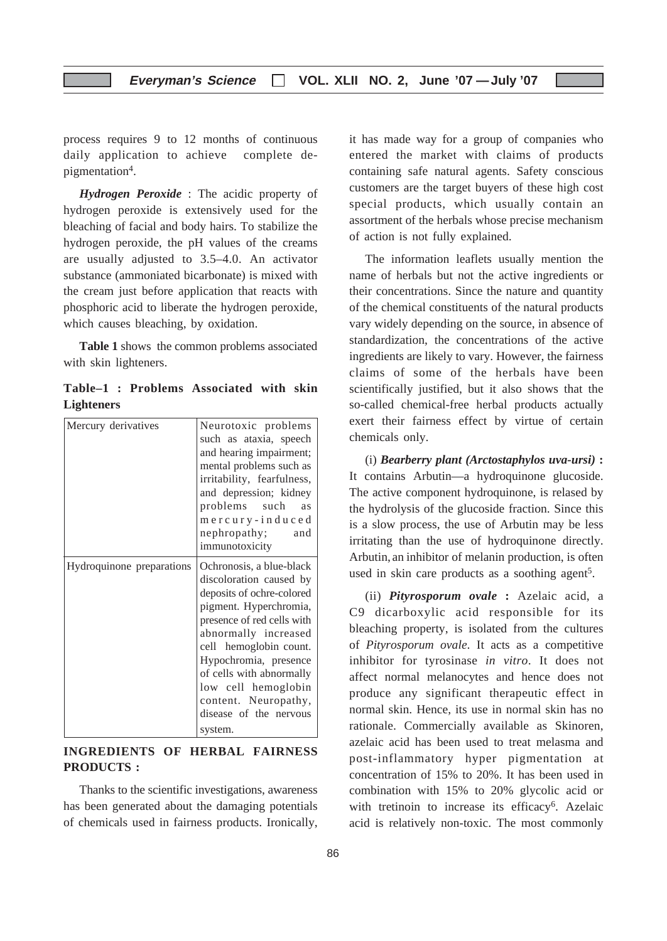process requires 9 to 12 months of continuous daily application to achieve complete depigmentation4.

*Hydrogen Peroxide* : The acidic property of hydrogen peroxide is extensively used for the bleaching of facial and body hairs. To stabilize the hydrogen peroxide, the pH values of the creams are usually adjusted to 3.5–4.0. An activator substance (ammoniated bicarbonate) is mixed with the cream just before application that reacts with phosphoric acid to liberate the hydrogen peroxide, which causes bleaching, by oxidation.

**Table 1** shows the common problems associated with skin lighteners.

**Table–1 : Problems Associated with skin Lighteners**

| Mercury derivatives       | Neurotoxic problems<br>such as ataxia, speech<br>and hearing impairment;<br>mental problems such as<br>irritability, fearfulness,<br>and depression; kidney<br>problems such<br>as<br>mercury-induced<br>nephropathy;<br>and                                                                                                        |
|---------------------------|-------------------------------------------------------------------------------------------------------------------------------------------------------------------------------------------------------------------------------------------------------------------------------------------------------------------------------------|
|                           | immunotoxicity                                                                                                                                                                                                                                                                                                                      |
| Hydroquinone preparations | Ochronosis, a blue-black<br>discoloration caused by<br>deposits of ochre-colored<br>pigment. Hyperchromia,<br>presence of red cells with<br>abnormally increased<br>cell hemoglobin count.<br>Hypochromia, presence<br>of cells with abnormally<br>low cell hemoglobin<br>content. Neuropathy,<br>disease of the nervous<br>system. |

### **INGREDIENTS OF HERBAL FAIRNESS PRODUCTS :**

Thanks to the scientific investigations, awareness has been generated about the damaging potentials of chemicals used in fairness products. Ironically, it has made way for a group of companies who entered the market with claims of products containing safe natural agents. Safety conscious customers are the target buyers of these high cost special products, which usually contain an assortment of the herbals whose precise mechanism of action is not fully explained.

The information leaflets usually mention the name of herbals but not the active ingredients or their concentrations. Since the nature and quantity of the chemical constituents of the natural products vary widely depending on the source, in absence of standardization, the concentrations of the active ingredients are likely to vary. However, the fairness claims of some of the herbals have been scientifically justified, but it also shows that the so-called chemical-free herbal products actually exert their fairness effect by virtue of certain chemicals only.

(i) *Bearberry plant (Arctostaphylos uva-ursi)* **:** It contains Arbutin—a hydroquinone glucoside. The active component hydroquinone, is relased by the hydrolysis of the glucoside fraction. Since this is a slow process, the use of Arbutin may be less irritating than the use of hydroquinone directly. Arbutin, an inhibitor of melanin production, is often used in skin care products as a soothing agent<sup>5</sup>.

(ii) *Pityrosporum ovale* **:** Azelaic acid, a C9 dicarboxylic acid responsible for its bleaching property, is isolated from the cultures of *Pityrosporum ovale*. It acts as a competitive inhibitor for tyrosinase *in vitro*. It does not affect normal melanocytes and hence does not produce any significant therapeutic effect in normal skin. Hence, its use in normal skin has no rationale. Commercially available as Skinoren, azelaic acid has been used to treat melasma and post-inflammatory hyper pigmentation at concentration of 15% to 20%. It has been used in combination with 15% to 20% glycolic acid or with tretinoin to increase its efficacy<sup>6</sup>. Azelaic acid is relatively non-toxic. The most commonly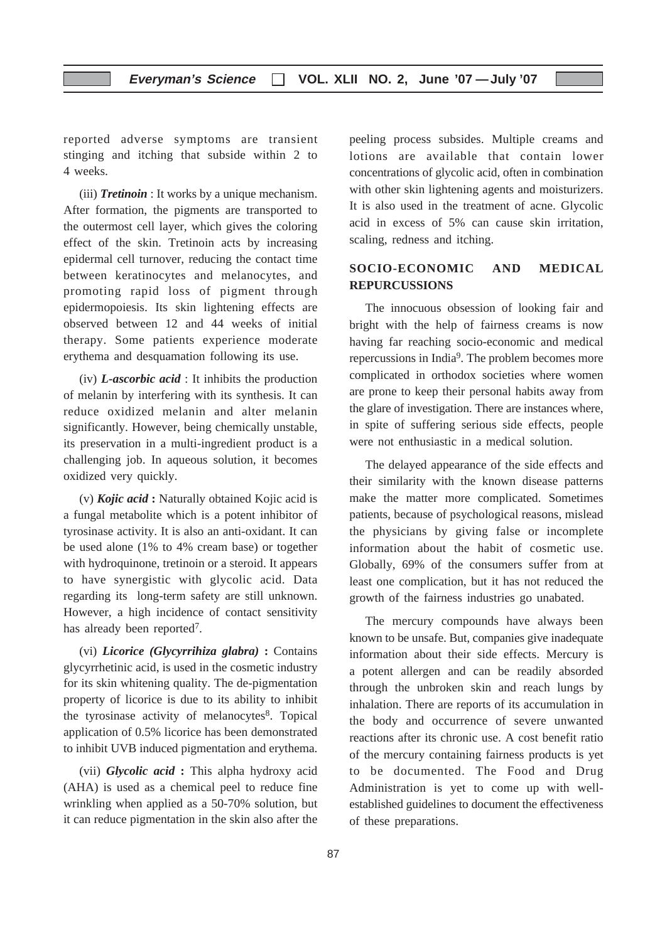reported adverse symptoms are transient stinging and itching that subside within 2 to 4 weeks.

(iii) *Tretinoin* : It works by a unique mechanism. After formation, the pigments are transported to the outermost cell layer, which gives the coloring effect of the skin. Tretinoin acts by increasing epidermal cell turnover, reducing the contact time between keratinocytes and melanocytes, and promoting rapid loss of pigment through epidermopoiesis. Its skin lightening effects are observed between 12 and 44 weeks of initial therapy. Some patients experience moderate erythema and desquamation following its use.

(iv) *L-ascorbic acid* : It inhibits the production of melanin by interfering with its synthesis. It can reduce oxidized melanin and alter melanin significantly. However, being chemically unstable, its preservation in a multi-ingredient product is a challenging job. In aqueous solution, it becomes oxidized very quickly.

(v) *Kojic acid* **:** Naturally obtained Kojic acid is a fungal metabolite which is a potent inhibitor of tyrosinase activity. It is also an anti-oxidant. It can be used alone (1% to 4% cream base) or together with hydroquinone, tretinoin or a steroid. It appears to have synergistic with glycolic acid. Data regarding its long-term safety are still unknown. However, a high incidence of contact sensitivity has already been reported<sup>7</sup>.

(vi) *Licorice (Glycyrrihiza glabra)* **:** Contains glycyrrhetinic acid, is used in the cosmetic industry for its skin whitening quality. The de-pigmentation property of licorice is due to its ability to inhibit the tyrosinase activity of melanocytes<sup>8</sup>. Topical application of 0.5% licorice has been demonstrated to inhibit UVB induced pigmentation and erythema.

(vii) *Glycolic acid* **:** This alpha hydroxy acid (AHA) is used as a chemical peel to reduce fine wrinkling when applied as a 50-70% solution, but it can reduce pigmentation in the skin also after the

peeling process subsides. Multiple creams and lotions are available that contain lower concentrations of glycolic acid, often in combination with other skin lightening agents and moisturizers. It is also used in the treatment of acne. Glycolic acid in excess of 5% can cause skin irritation, scaling, redness and itching.

#### **SOCIO-ECONOMIC AND MEDICAL REPURCUSSIONS**

The innocuous obsession of looking fair and bright with the help of fairness creams is now having far reaching socio-economic and medical repercussions in India9. The problem becomes more complicated in orthodox societies where women are prone to keep their personal habits away from the glare of investigation. There are instances where, in spite of suffering serious side effects, people were not enthusiastic in a medical solution.

The delayed appearance of the side effects and their similarity with the known disease patterns make the matter more complicated. Sometimes patients, because of psychological reasons, mislead the physicians by giving false or incomplete information about the habit of cosmetic use. Globally, 69% of the consumers suffer from at least one complication, but it has not reduced the growth of the fairness industries go unabated.

The mercury compounds have always been known to be unsafe. But, companies give inadequate information about their side effects. Mercury is a potent allergen and can be readily absorded through the unbroken skin and reach lungs by inhalation. There are reports of its accumulation in the body and occurrence of severe unwanted reactions after its chronic use. A cost benefit ratio of the mercury containing fairness products is yet to be documented. The Food and Drug Administration is yet to come up with wellestablished guidelines to document the effectiveness of these preparations.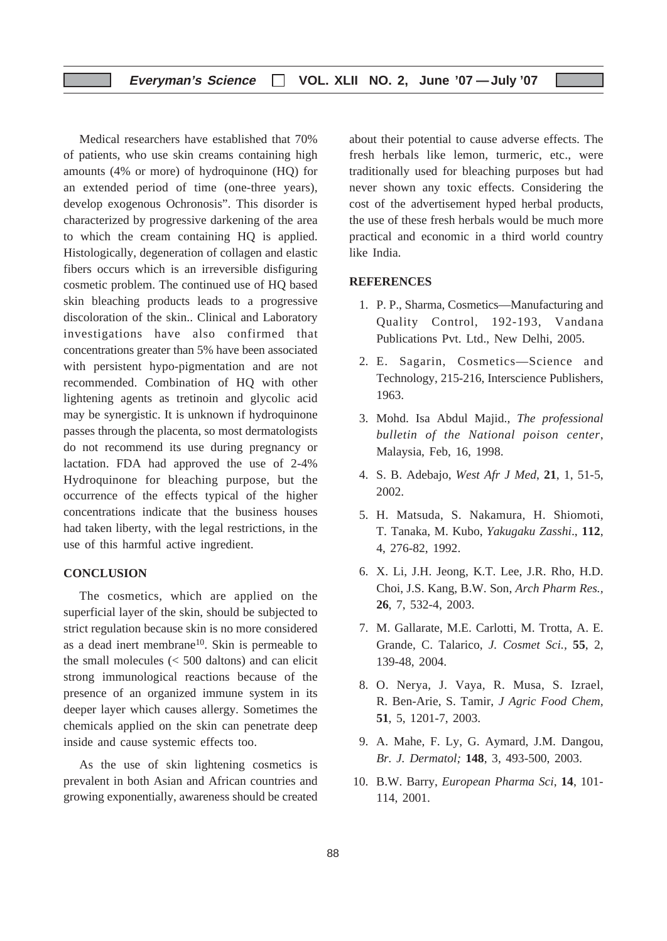#### **Everyman's Science VOL. XLII NO. 2, June '07 —July '07**

Medical researchers have established that 70% of patients, who use skin creams containing high amounts (4% or more) of hydroquinone (HQ) for an extended period of time (one-three years), develop exogenous Ochronosis". This disorder is characterized by progressive darkening of the area to which the cream containing HQ is applied. Histologically, degeneration of collagen and elastic fibers occurs which is an irreversible disfiguring cosmetic problem. The continued use of HQ based skin bleaching products leads to a progressive discoloration of the skin.. Clinical and Laboratory investigations have also confirmed that concentrations greater than 5% have been associated with persistent hypo-pigmentation and are not recommended. Combination of HQ with other lightening agents as tretinoin and glycolic acid may be synergistic. It is unknown if hydroquinone passes through the placenta, so most dermatologists do not recommend its use during pregnancy or lactation. FDA had approved the use of 2-4% Hydroquinone for bleaching purpose, but the occurrence of the effects typical of the higher concentrations indicate that the business houses had taken liberty, with the legal restrictions, in the use of this harmful active ingredient.

#### **CONCLUSION**

The cosmetics, which are applied on the superficial layer of the skin, should be subjected to strict regulation because skin is no more considered as a dead inert membrane<sup>10</sup>. Skin is permeable to the small molecules  $\langle \langle 500 \rangle$  daltons) and can elicit strong immunological reactions because of the presence of an organized immune system in its deeper layer which causes allergy. Sometimes the chemicals applied on the skin can penetrate deep inside and cause systemic effects too.

As the use of skin lightening cosmetics is prevalent in both Asian and African countries and growing exponentially, awareness should be created about their potential to cause adverse effects. The fresh herbals like lemon, turmeric, etc., were traditionally used for bleaching purposes but had never shown any toxic effects. Considering the cost of the advertisement hyped herbal products, the use of these fresh herbals would be much more practical and economic in a third world country like India.

#### **REFERENCES**

- 1. P. P., Sharma, Cosmetics—Manufacturing and Quality Control, 192-193, Vandana Publications Pvt. Ltd., New Delhi, 2005.
- 2. E. Sagarin, Cosmetics—Science and Technology, 215-216, Interscience Publishers, 1963.
- 3. Mohd. Isa Abdul Majid., *The professional bulletin of the National poison center*, Malaysia, Feb, 16, 1998.
- 4. S. B. Adebajo, *West Afr J Med*, **21**, 1, 51-5, 2002.
- 5. H. Matsuda, S. Nakamura, H. Shiomoti, T. Tanaka, M. Kubo, *Yakugaku Zasshi*., **112**, 4, 276-82, 1992.
- 6. X. Li, J.H. Jeong, K.T. Lee, J.R. Rho, H.D. Choi, J.S. Kang, B.W. Son, *Arch Pharm Res.,* **26**, 7, 532-4, 2003.
- 7. M. Gallarate, M.E. Carlotti, M. Trotta, A. E. Grande, C. Talarico, *J. Cosmet Sci.,* **55**, 2, 139-48, 2004.
- 8. O. Nerya, J. Vaya, R. Musa, S. Izrael, R. Ben-Arie, S. Tamir, *J Agric Food Chem,* **51**, 5, 1201-7, 2003.
- 9. A. Mahe, F. Ly, G. Aymard, J.M. Dangou, *Br. J. Dermatol;* **148**, 3, 493-500, 2003.
- 10. B.W. Barry, *European Pharma Sci*, **14**, 101- 114, 2001.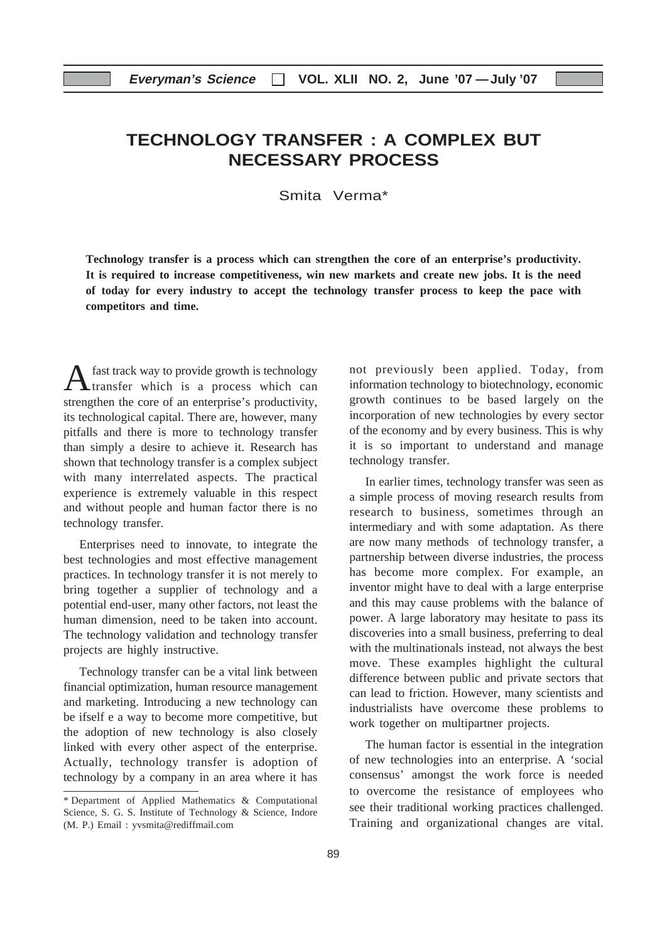## **TECHNOLOGY TRANSFER : A COMPLEX BUT NECESSARY PROCESS**

Smita Verma\*

**Technology transfer is a process which can strengthen the core of an enterprise's productivity. It is required to increase competitiveness, win new markets and create new jobs. It is the need of today for every industry to accept the technology transfer process to keep the pace with competitors and time.**

A fast track way to provide growth is technology<br>transfer which is a process which can strengthen the core of an enterprise's productivity, its technological capital. There are, however, many pitfalls and there is more to technology transfer than simply a desire to achieve it. Research has shown that technology transfer is a complex subject with many interrelated aspects. The practical experience is extremely valuable in this respect and without people and human factor there is no technology transfer.

Enterprises need to innovate, to integrate the best technologies and most effective management practices. In technology transfer it is not merely to bring together a supplier of technology and a potential end-user, many other factors, not least the human dimension, need to be taken into account. The technology validation and technology transfer projects are highly instructive.

Technology transfer can be a vital link between financial optimization, human resource management and marketing. Introducing a new technology can be ifself e a way to become more competitive, but the adoption of new technology is also closely linked with every other aspect of the enterprise. Actually, technology transfer is adoption of technology by a company in an area where it has

not previously been applied. Today, from information technology to biotechnology, economic growth continues to be based largely on the incorporation of new technologies by every sector of the economy and by every business. This is why it is so important to understand and manage technology transfer.

In earlier times, technology transfer was seen as a simple process of moving research results from research to business, sometimes through an intermediary and with some adaptation. As there are now many methods of technology transfer, a partnership between diverse industries, the process has become more complex. For example, an inventor might have to deal with a large enterprise and this may cause problems with the balance of power. A large laboratory may hesitate to pass its discoveries into a small business, preferring to deal with the multinationals instead, not always the best move. These examples highlight the cultural difference between public and private sectors that can lead to friction. However, many scientists and industrialists have overcome these problems to work together on multipartner projects.

The human factor is essential in the integration of new technologies into an enterprise. A 'social consensus' amongst the work force is needed to overcome the resistance of employees who see their traditional working practices challenged. Training and organizational changes are vital.

<sup>\*</sup> Department of Applied Mathematics & Computational Science, S. G. S. Institute of Technology & Science, Indore (M. P.) Email : yvsmita@rediffmail.com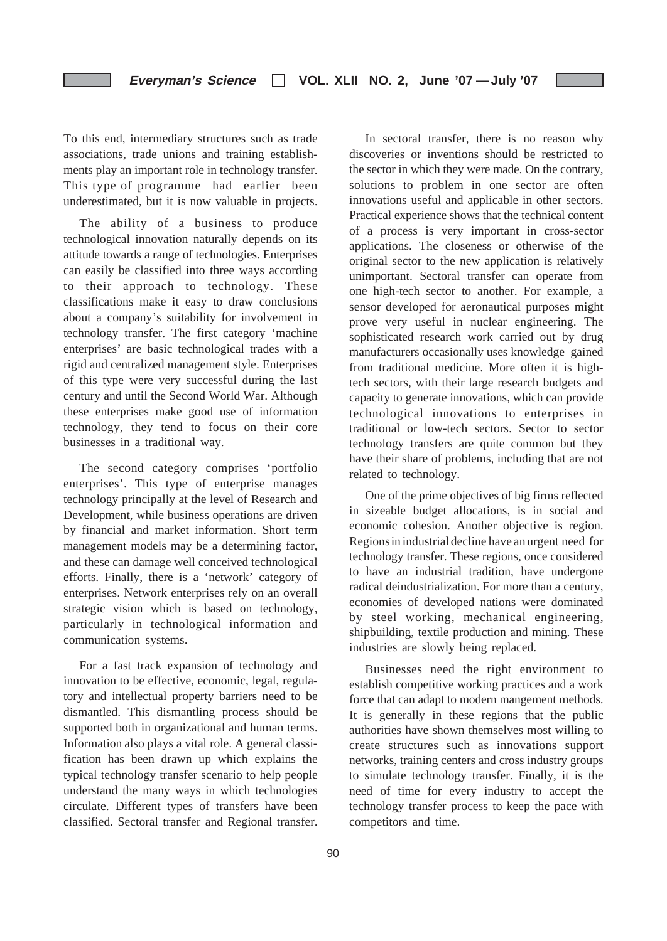To this end, intermediary structures such as trade associations, trade unions and training establishments play an important role in technology transfer. This type of programme had earlier been underestimated, but it is now valuable in projects.

The ability of a business to produce technological innovation naturally depends on its attitude towards a range of technologies. Enterprises can easily be classified into three ways according to their approach to technology. These classifications make it easy to draw conclusions about a company's suitability for involvement in technology transfer. The first category 'machine enterprises' are basic technological trades with a rigid and centralized management style. Enterprises of this type were very successful during the last century and until the Second World War. Although these enterprises make good use of information technology, they tend to focus on their core businesses in a traditional way.

The second category comprises 'portfolio enterprises'. This type of enterprise manages technology principally at the level of Research and Development, while business operations are driven by financial and market information. Short term management models may be a determining factor, and these can damage well conceived technological efforts. Finally, there is a 'network' category of enterprises. Network enterprises rely on an overall strategic vision which is based on technology, particularly in technological information and communication systems.

For a fast track expansion of technology and innovation to be effective, economic, legal, regulatory and intellectual property barriers need to be dismantled. This dismantling process should be supported both in organizational and human terms. Information also plays a vital role. A general classification has been drawn up which explains the typical technology transfer scenario to help people understand the many ways in which technologies circulate. Different types of transfers have been classified. Sectoral transfer and Regional transfer.

In sectoral transfer, there is no reason why discoveries or inventions should be restricted to the sector in which they were made. On the contrary, solutions to problem in one sector are often innovations useful and applicable in other sectors. Practical experience shows that the technical content of a process is very important in cross-sector applications. The closeness or otherwise of the original sector to the new application is relatively unimportant. Sectoral transfer can operate from one high-tech sector to another. For example, a sensor developed for aeronautical purposes might prove very useful in nuclear engineering. The sophisticated research work carried out by drug manufacturers occasionally uses knowledge gained from traditional medicine. More often it is hightech sectors, with their large research budgets and capacity to generate innovations, which can provide technological innovations to enterprises in traditional or low-tech sectors. Sector to sector technology transfers are quite common but they have their share of problems, including that are not related to technology.

One of the prime objectives of big firms reflected in sizeable budget allocations, is in social and economic cohesion. Another objective is region. Regionsin industrial decline have an urgent need for technology transfer. These regions, once considered to have an industrial tradition, have undergone radical deindustrialization. For more than a century, economies of developed nations were dominated by steel working, mechanical engineering, shipbuilding, textile production and mining. These industries are slowly being replaced.

Businesses need the right environment to establish competitive working practices and a work force that can adapt to modern mangement methods. It is generally in these regions that the public authorities have shown themselves most willing to create structures such as innovations support networks, training centers and cross industry groups to simulate technology transfer. Finally, it is the need of time for every industry to accept the technology transfer process to keep the pace with competitors and time.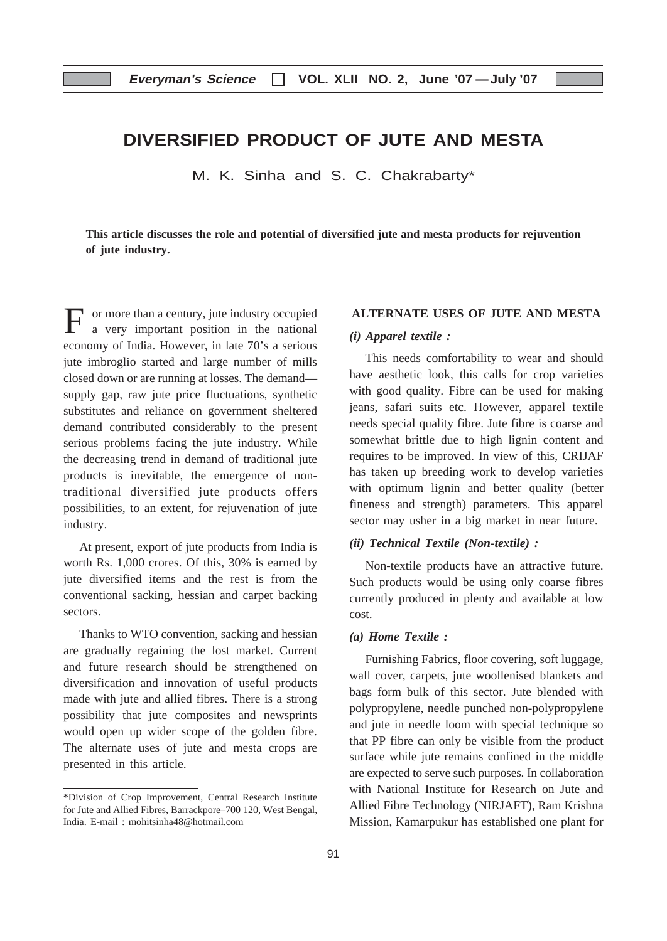## **DIVERSIFIED PRODUCT OF JUTE AND MESTA**

M. K. Sinha and S. C. Chakrabarty\*

**This article discusses the role and potential of diversified jute and mesta products for rejuvention of jute industry.**

or more than a century, jute industry occupied a very important position in the national economy of India. However, in late 70's a serious jute imbroglio started and large number of mills closed down or are running at losses. The demand supply gap, raw jute price fluctuations, synthetic substitutes and reliance on government sheltered demand contributed considerably to the present serious problems facing the jute industry. While the decreasing trend in demand of traditional jute products is inevitable, the emergence of nontraditional diversified jute products offers possibilities, to an extent, for rejuvenation of jute industry.

At present, export of jute products from India is worth Rs. 1,000 crores. Of this, 30% is earned by jute diversified items and the rest is from the conventional sacking, hessian and carpet backing sectors.

Thanks to WTO convention, sacking and hessian are gradually regaining the lost market. Current and future research should be strengthened on diversification and innovation of useful products made with jute and allied fibres. There is a strong possibility that jute composites and newsprints would open up wider scope of the golden fibre. The alternate uses of jute and mesta crops are presented in this article.

#### **ALTERNATE USES OF JUTE AND MESTA**

#### *(i) Apparel textile :*

This needs comfortability to wear and should have aesthetic look, this calls for crop varieties with good quality. Fibre can be used for making jeans, safari suits etc. However, apparel textile needs special quality fibre. Jute fibre is coarse and somewhat brittle due to high lignin content and requires to be improved. In view of this, CRIJAF has taken up breeding work to develop varieties with optimum lignin and better quality (better fineness and strength) parameters. This apparel sector may usher in a big market in near future.

#### *(ii) Technical Textile (Non-textile) :*

Non-textile products have an attractive future. Such products would be using only coarse fibres currently produced in plenty and available at low cost.

#### *(a) Home Textile :*

Furnishing Fabrics, floor covering, soft luggage, wall cover, carpets, jute woollenised blankets and bags form bulk of this sector. Jute blended with polypropylene, needle punched non-polypropylene and jute in needle loom with special technique so that PP fibre can only be visible from the product surface while jute remains confined in the middle are expected to serve such purposes. In collaboration with National Institute for Research on Jute and Allied Fibre Technology (NIRJAFT), Ram Krishna Mission, Kamarpukur has established one plant for

<sup>\*</sup>Division of Crop Improvement, Central Research Institute for Jute and Allied Fibres, Barrackpore–700 120, West Bengal, India. E-mail : mohitsinha48@hotmail.com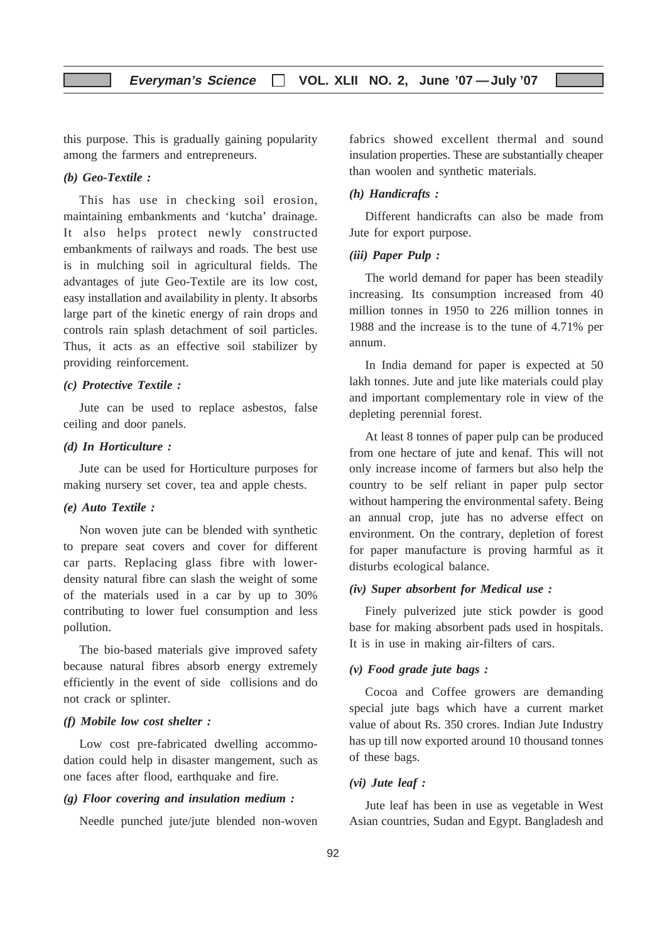this purpose. This is gradually gaining popularity among the farmers and entrepreneurs.

#### *(b) Geo-Textile :*

This has use in checking soil erosion, maintaining embankments and 'kutcha' drainage. It also helps protect newly constructed embankments of railways and roads. The best use is in mulching soil in agricultural fields. The advantages of jute Geo-Textile are its low cost, easy installation and availability in plenty. It absorbs large part of the kinetic energy of rain drops and controls rain splash detachment of soil particles. Thus, it acts as an effective soil stabilizer by providing reinforcement.

#### *(c) Protective Textile :*

Jute can be used to replace asbestos, false ceiling and door panels.

#### *(d) In Horticulture :*

Jute can be used for Horticulture purposes for making nursery set cover, tea and apple chests.

#### *(e) Auto Textile :*

Non woven jute can be blended with synthetic to prepare seat covers and cover for different car parts. Replacing glass fibre with lowerdensity natural fibre can slash the weight of some of the materials used in a car by up to 30% contributing to lower fuel consumption and less pollution.

The bio-based materials give improved safety because natural fibres absorb energy extremely efficiently in the event of side collisions and do not crack or splinter.

#### *(f) Mobile low cost shelter :*

Low cost pre-fabricated dwelling accommodation could help in disaster mangement, such as one faces after flood, earthquake and fire.

#### *(g) Floor covering and insulation medium :*

Needle punched jute/jute blended non-woven

fabrics showed excellent thermal and sound insulation properties. These are substantially cheaper than woolen and synthetic materials.

#### *(h) Handicrafts :*

Different handicrafts can also be made from Jute for export purpose.

#### *(iii) Paper Pulp :*

The world demand for paper has been steadily increasing. Its consumption increased from 40 million tonnes in 1950 to 226 million tonnes in 1988 and the increase is to the tune of 4.71% per annum.

In India demand for paper is expected at 50 lakh tonnes. Jute and jute like materials could play and important complementary role in view of the depleting perennial forest.

At least 8 tonnes of paper pulp can be produced from one hectare of jute and kenaf. This will not only increase income of farmers but also help the country to be self reliant in paper pulp sector without hampering the environmental safety. Being an annual crop, jute has no adverse effect on environment. On the contrary, depletion of forest for paper manufacture is proving harmful as it disturbs ecological balance.

#### *(iv) Super absorbent for Medical use :*

Finely pulverized jute stick powder is good base for making absorbent pads used in hospitals. It is in use in making air-filters of cars.

#### *(v) Food grade jute bags :*

Cocoa and Coffee growers are demanding special jute bags which have a current market value of about Rs. 350 crores. Indian Jute Industry has up till now exported around 10 thousand tonnes of these bags.

#### *(vi) Jute leaf :*

Jute leaf has been in use as vegetable in West Asian countries, Sudan and Egypt. Bangladesh and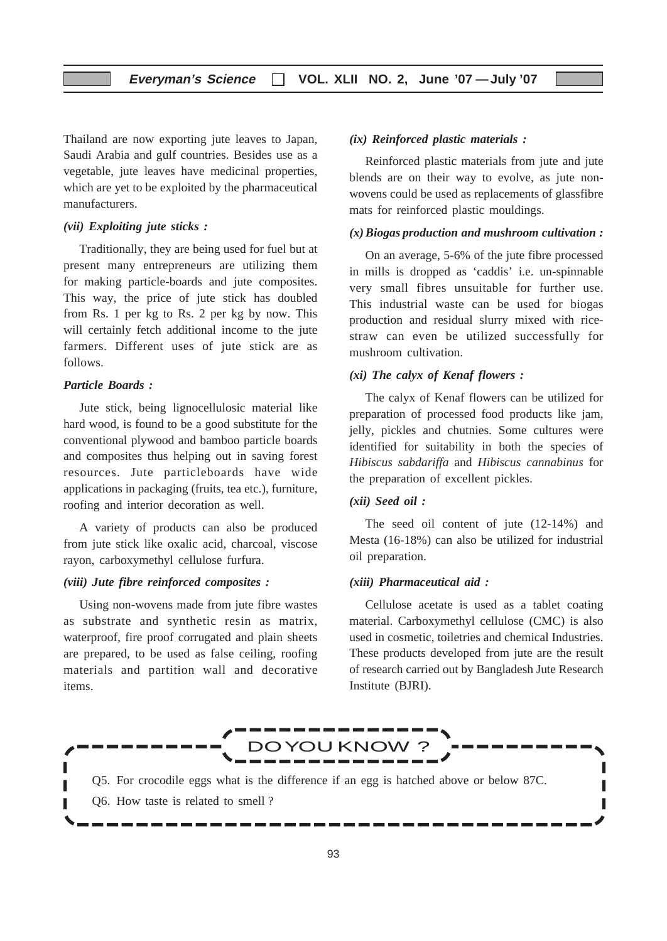Thailand are now exporting jute leaves to Japan, Saudi Arabia and gulf countries. Besides use as a vegetable, jute leaves have medicinal properties, which are yet to be exploited by the pharmaceutical manufacturers.

#### *(vii) Exploiting jute sticks :*

Traditionally, they are being used for fuel but at present many entrepreneurs are utilizing them for making particle-boards and jute composites. This way, the price of jute stick has doubled from Rs. 1 per kg to Rs. 2 per kg by now. This will certainly fetch additional income to the jute farmers. Different uses of jute stick are as follows.

#### *Particle Boards :*

Jute stick, being lignocellulosic material like hard wood, is found to be a good substitute for the conventional plywood and bamboo particle boards and composites thus helping out in saving forest resources. Jute particleboards have wide applications in packaging (fruits, tea etc.), furniture, roofing and interior decoration as well.

A variety of products can also be produced from jute stick like oxalic acid, charcoal, viscose rayon, carboxymethyl cellulose furfura.

#### *(viii) Jute fibre reinforced composites :*

Using non-wovens made from jute fibre wastes as substrate and synthetic resin as matrix, waterproof, fire proof corrugated and plain sheets are prepared, to be used as false ceiling, roofing materials and partition wall and decorative items.

#### *(ix) Reinforced plastic materials :*

Reinforced plastic materials from jute and jute blends are on their way to evolve, as jute nonwovens could be used as replacements of glassfibre mats for reinforced plastic mouldings.

#### *(x)Biogas production and mushroom cultivation :*

On an average, 5-6% of the jute fibre processed in mills is dropped as 'caddis' i.e. un-spinnable very small fibres unsuitable for further use. This industrial waste can be used for biogas production and residual slurry mixed with ricestraw can even be utilized successfully for mushroom cultivation.

#### *(xi) The calyx of Kenaf flowers :*

The calyx of Kenaf flowers can be utilized for preparation of processed food products like jam, jelly, pickles and chutnies. Some cultures were identified for suitability in both the species of *Hibiscus sabdariffa* and *Hibiscus cannabinus* for the preparation of excellent pickles.

#### *(xii) Seed oil :*

The seed oil content of jute (12-14%) and Mesta (16-18%) can also be utilized for industrial oil preparation.

#### *(xiii) Pharmaceutical aid :*

Cellulose acetate is used as a tablet coating material. Carboxymethyl cellulose (CMC) is also used in cosmetic, toiletries and chemical Industries. These products developed from jute are the result of research carried out by Bangladesh Jute Research Institute (BJRI).

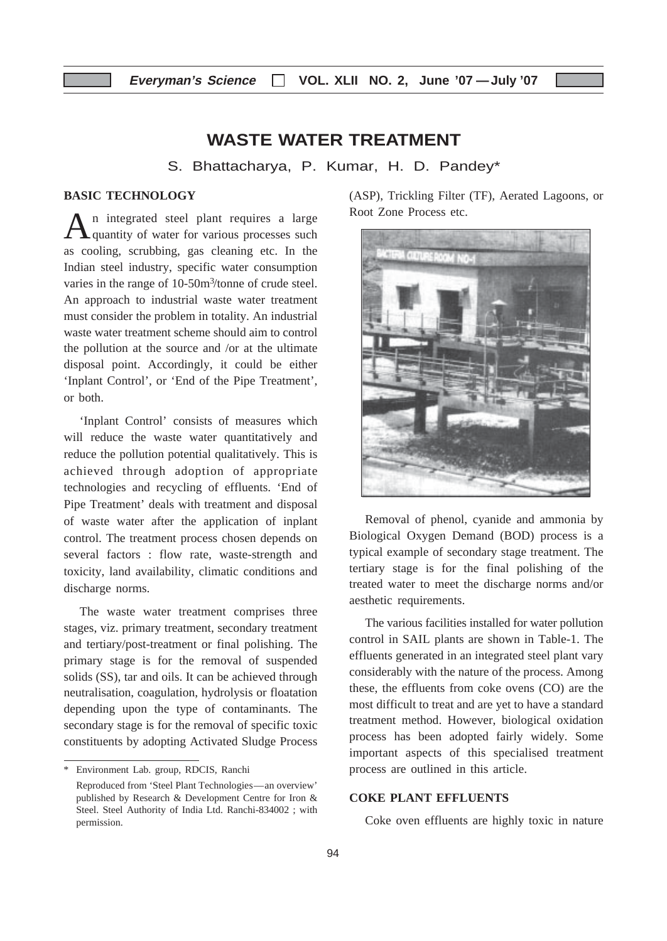## **WASTE WATER TREATMENT**

S. Bhattacharya, P. Kumar, H. D. Pandey\*

#### **BASIC TECHNOLOGY**

An integrated steel plant requires a large<br>quantity of water for various processes such as cooling, scrubbing, gas cleaning etc. In the Indian steel industry, specific water consumption varies in the range of 10-50m<sup>3</sup>/tonne of crude steel. An approach to industrial waste water treatment must consider the problem in totality. An industrial waste water treatment scheme should aim to control the pollution at the source and /or at the ultimate disposal point. Accordingly, it could be either 'Inplant Control', or 'End of the Pipe Treatment', or both.

'Inplant Control' consists of measures which will reduce the waste water quantitatively and reduce the pollution potential qualitatively. This is achieved through adoption of appropriate technologies and recycling of effluents. 'End of Pipe Treatment' deals with treatment and disposal of waste water after the application of inplant control. The treatment process chosen depends on several factors : flow rate, waste-strength and toxicity, land availability, climatic conditions and discharge norms.

The waste water treatment comprises three stages, viz. primary treatment, secondary treatment and tertiary/post-treatment or final polishing. The primary stage is for the removal of suspended solids (SS), tar and oils. It can be achieved through neutralisation, coagulation, hydrolysis or floatation depending upon the type of contaminants. The secondary stage is for the removal of specific toxic constituents by adopting Activated Sludge Process

(ASP), Trickling Filter (TF), Aerated Lagoons, or Root Zone Process etc.



Removal of phenol, cyanide and ammonia by Biological Oxygen Demand (BOD) process is a typical example of secondary stage treatment. The tertiary stage is for the final polishing of the treated water to meet the discharge norms and/or aesthetic requirements.

The various facilities installed for water pollution control in SAIL plants are shown in Table-1. The effluents generated in an integrated steel plant vary considerably with the nature of the process. Among these, the effluents from coke ovens (CO) are the most difficult to treat and are yet to have a standard treatment method. However, biological oxidation process has been adopted fairly widely. Some important aspects of this specialised treatment process are outlined in this article.

#### **COKE PLANT EFFLUENTS**

Coke oven effluents are highly toxic in nature

<sup>\*</sup> Environment Lab. group, RDCIS, Ranchi Reproduced from 'Steel Plant Technologies—an overview' published by Research & Development Centre for Iron & Steel. Steel Authority of India Ltd. Ranchi-834002 ; with permission.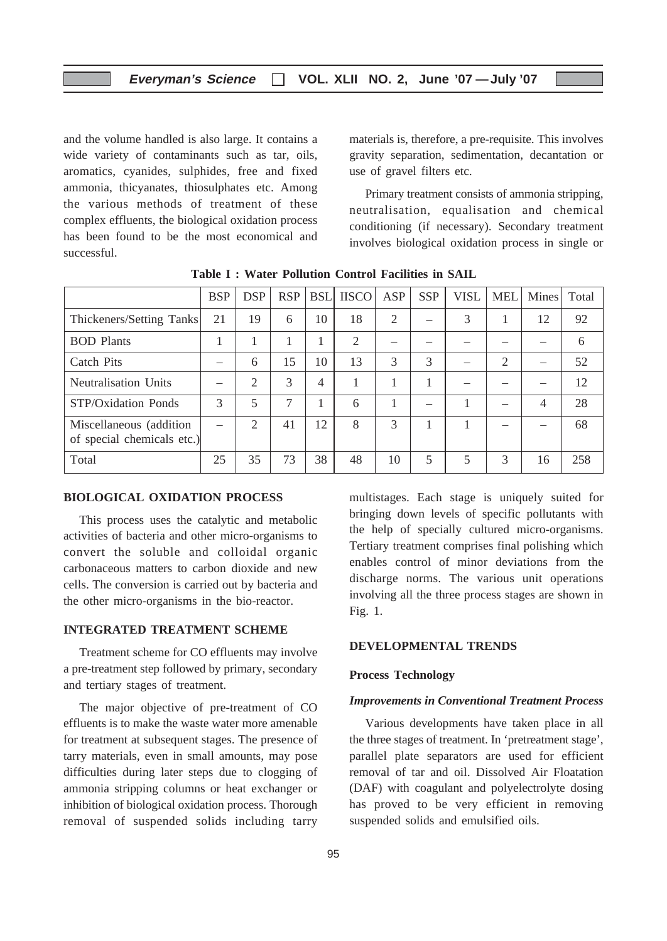and the volume handled is also large. It contains a wide variety of contaminants such as tar, oils, aromatics, cyanides, sulphides, free and fixed ammonia, thicyanates, thiosulphates etc. Among the various methods of treatment of these complex effluents, the biological oxidation process has been found to be the most economical and successful.

materials is, therefore, a pre-requisite. This involves gravity separation, sedimentation, decantation or use of gravel filters etc.

Primary treatment consists of ammonia stripping, neutralisation, equalisation and chemical conditioning (if necessary). Secondary treatment involves biological oxidation process in single or

|                                                        | <b>BSP</b> | <b>DSP</b>     | <b>RSP</b>     | <b>BSL</b> | <b>IISCO</b>   | ASP | <b>SSP</b> | <b>VISL</b> | <b>MEL</b>     | Mines | Total |
|--------------------------------------------------------|------------|----------------|----------------|------------|----------------|-----|------------|-------------|----------------|-------|-------|
| Thickeners/Setting Tanks                               | 21         | 19             | 6              | 10         | 18             | 2   |            | 3           |                | 12    | 92    |
| <b>BOD</b> Plants                                      |            |                |                |            | $\overline{2}$ |     |            |             |                |       | 6     |
| Catch Pits                                             |            | 6              | 15             | 10         | 13             | 3   | 3          |             | $\overline{2}$ |       | 52    |
| Neutralisation Units                                   |            | 2              | 3              | 4          |                |     |            |             |                |       | 12    |
| STP/Oxidation Ponds                                    | 3          | 5              | $\overline{7}$ |            | 6              |     |            |             |                | 4     | 28    |
| Miscellaneous (addition)<br>of special chemicals etc.) |            | $\mathfrak{D}$ | 41             | 12         | 8              | 3   |            |             |                |       | 68    |
| Total                                                  | 25         | 35             | 73             | 38         | 48             | 10  | 5          | 5           | 3              | 16    | 258   |

**Table I : Water Pollution Control Facilities in SAIL**

#### **BIOLOGICAL OXIDATION PROCESS**

This process uses the catalytic and metabolic activities of bacteria and other micro-organisms to convert the soluble and colloidal organic carbonaceous matters to carbon dioxide and new cells. The conversion is carried out by bacteria and the other micro-organisms in the bio-reactor.

#### **INTEGRATED TREATMENT SCHEME**

Treatment scheme for CO effluents may involve a pre-treatment step followed by primary, secondary and tertiary stages of treatment.

The major objective of pre-treatment of CO effluents is to make the waste water more amenable for treatment at subsequent stages. The presence of tarry materials, even in small amounts, may pose difficulties during later steps due to clogging of ammonia stripping columns or heat exchanger or inhibition of biological oxidation process. Thorough removal of suspended solids including tarry

multistages. Each stage is uniquely suited for bringing down levels of specific pollutants with the help of specially cultured micro-organisms. Tertiary treatment comprises final polishing which enables control of minor deviations from the discharge norms. The various unit operations involving all the three process stages are shown in Fig. 1.

#### **DEVELOPMENTAL TRENDS**

#### **Process Technology**

#### *Improvements in Conventional Treatment Process*

Various developments have taken place in all the three stages of treatment. In 'pretreatment stage', parallel plate separators are used for efficient removal of tar and oil. Dissolved Air Floatation (DAF) with coagulant and polyelectrolyte dosing has proved to be very efficient in removing suspended solids and emulsified oils.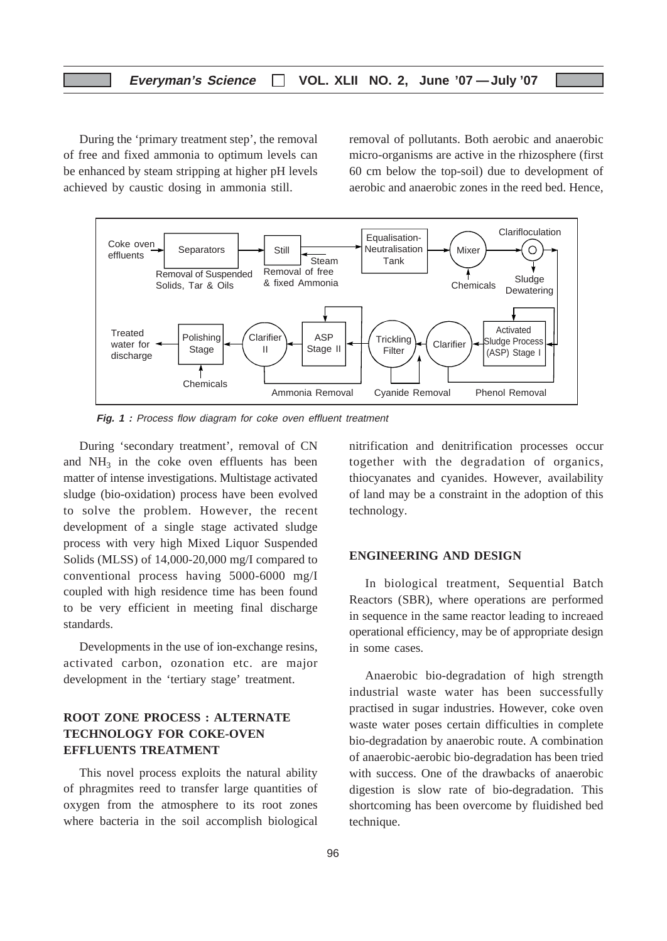#### **Everyman's Science VOL. XLII NO. 2, June '07 —July '07**

During the 'primary treatment step', the removal of free and fixed ammonia to optimum levels can be enhanced by steam stripping at higher pH levels achieved by caustic dosing in ammonia still.

removal of pollutants. Both aerobic and anaerobic micro-organisms are active in the rhizosphere (first 60 cm below the top-soil) due to development of aerobic and anaerobic zones in the reed bed. Hence,



 **Fig. 1 :** Process flow diagram for coke oven effluent treatment

During 'secondary treatment', removal of CN and  $NH<sub>3</sub>$  in the coke oven effluents has been matter of intense investigations. Multistage activated sludge (bio-oxidation) process have been evolved to solve the problem. However, the recent development of a single stage activated sludge process with very high Mixed Liquor Suspended Solids (MLSS) of 14,000-20,000 mg/I compared to conventional process having 5000-6000 mg/I coupled with high residence time has been found to be very efficient in meeting final discharge standards.

Developments in the use of ion-exchange resins, activated carbon, ozonation etc. are major development in the 'tertiary stage' treatment.

#### **ROOT ZONE PROCESS : ALTERNATE TECHNOLOGY FOR COKE-OVEN EFFLUENTS TREATMENT**

This novel process exploits the natural ability of phragmites reed to transfer large quantities of oxygen from the atmosphere to its root zones where bacteria in the soil accomplish biological

nitrification and denitrification processes occur together with the degradation of organics, thiocyanates and cyanides. However, availability of land may be a constraint in the adoption of this technology.

#### **ENGINEERING AND DESIGN**

In biological treatment, Sequential Batch Reactors (SBR), where operations are performed in sequence in the same reactor leading to increaed operational efficiency, may be of appropriate design in some cases.

Anaerobic bio-degradation of high strength industrial waste water has been successfully practised in sugar industries. However, coke oven waste water poses certain difficulties in complete bio-degradation by anaerobic route. A combination of anaerobic-aerobic bio-degradation has been tried with success. One of the drawbacks of anaerobic digestion is slow rate of bio-degradation. This shortcoming has been overcome by fluidished bed technique.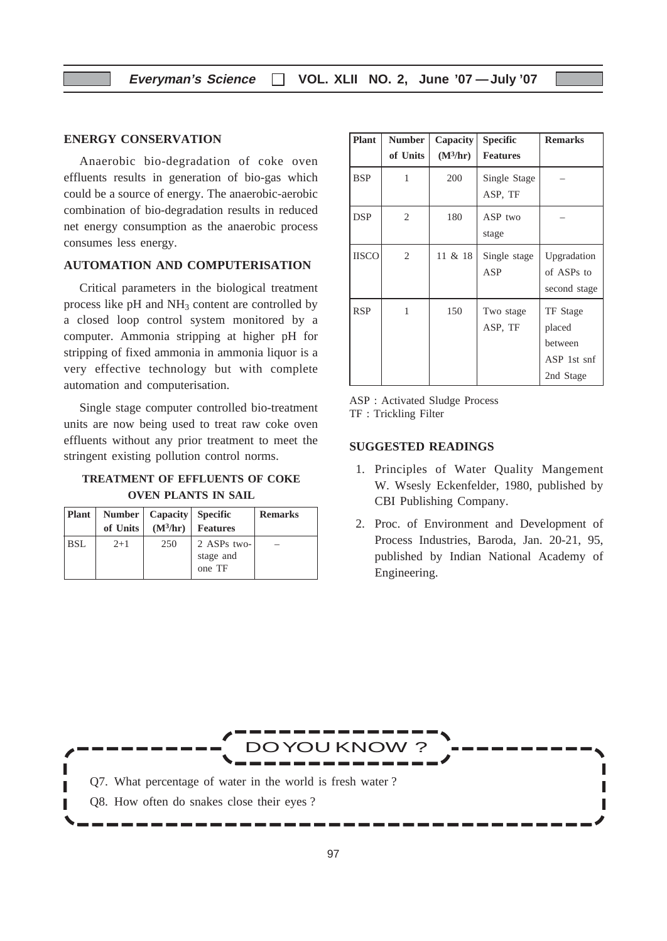#### **ENERGY CONSERVATION**

Anaerobic bio-degradation of coke oven effluents results in generation of bio-gas which could be a source of energy. The anaerobic-aerobic combination of bio-degradation results in reduced net energy consumption as the anaerobic process consumes less energy.

#### **AUTOMATION AND COMPUTERISATION**

Critical parameters in the biological treatment process like  $pH$  and  $NH<sub>3</sub>$  content are controlled by a closed loop control system monitored by a computer. Ammonia stripping at higher pH for stripping of fixed ammonia in ammonia liquor is a very effective technology but with complete automation and computerisation.

Single stage computer controlled bio-treatment units are now being used to treat raw coke oven effluents without any prior treatment to meet the stringent existing pollution control norms.

## **TREATMENT OF EFFLUENTS OF COKE OVEN PLANTS IN SAIL**

| Plant      |          | Number   Capacity   Specific |                 | <b>Remarks</b> |
|------------|----------|------------------------------|-----------------|----------------|
|            | of Units | $(M^3/hr)$                   | <b>Features</b> |                |
| <b>BSL</b> | $2+1$    | 250                          | 2 ASPs two-     |                |
|            |          |                              | stage and       |                |
|            |          |                              | one TF          |                |

| <b>Plant</b> | <b>Number</b>  | <b>Capacity</b> | <b>Specific</b>         | <b>Remarks</b>                                            |
|--------------|----------------|-----------------|-------------------------|-----------------------------------------------------------|
|              | of Units       | $(M^3/hr)$      | <b>Features</b>         |                                                           |
| <b>BSP</b>   | 1              | 200             | Single Stage<br>ASP, TF |                                                           |
| <b>DSP</b>   | 2              | 180             | ASP two<br>stage        |                                                           |
| <b>IISCO</b> | $\overline{c}$ | 11 & 18         | Single stage<br>ASP     | Upgradation<br>of ASPs to<br>second stage                 |
| <b>RSP</b>   | 1              | 150             | Two stage<br>ASP, TF    | TF Stage<br>placed<br>between<br>ASP 1st snf<br>2nd Stage |

ASP : Activated Sludge Process TF : Trickling Filter

#### **SUGGESTED READINGS**

- 1. Principles of Water Quality Mangement W. Wsesly Eckenfelder, 1980, published by CBI Publishing Company.
- 2. Proc. of Environment and Development of Process Industries, Baroda, Jan. 20-21, 95, published by Indian National Academy of Engineering.

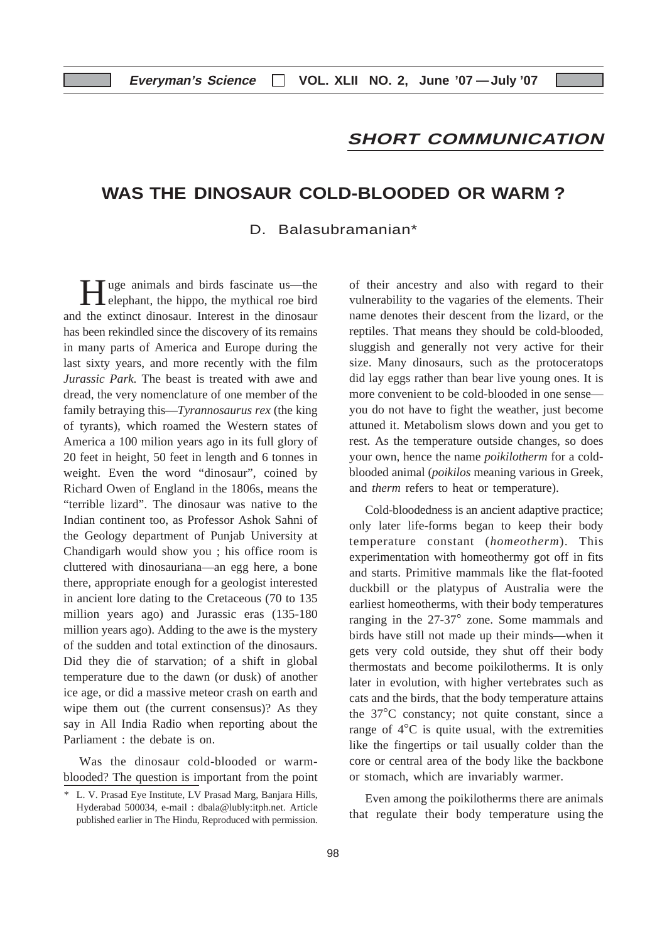## **SHORT COMMUNICATION**

## **WAS THE DINOSAUR COLD-BLOODED OR WARM ?**

#### D. Balasubramanian\*

Tuge animals and birds fascinate us—the **L** elephant, the hippo, the mythical roe bird and the extinct dinosaur. Interest in the dinosaur has been rekindled since the discovery of its remains in many parts of America and Europe during the last sixty years, and more recently with the film *Jurassic Park*. The beast is treated with awe and dread, the very nomenclature of one member of the family betraying this—*Tyrannosaurus rex* (the king of tyrants), which roamed the Western states of America a 100 milion years ago in its full glory of 20 feet in height, 50 feet in length and 6 tonnes in weight. Even the word "dinosaur", coined by Richard Owen of England in the 1806s, means the "terrible lizard". The dinosaur was native to the Indian continent too, as Professor Ashok Sahni of the Geology department of Punjab University at Chandigarh would show you ; his office room is cluttered with dinosauriana—an egg here, a bone there, appropriate enough for a geologist interested in ancient lore dating to the Cretaceous (70 to 135 million years ago) and Jurassic eras (135-180 million years ago). Adding to the awe is the mystery of the sudden and total extinction of the dinosaurs. Did they die of starvation; of a shift in global temperature due to the dawn (or dusk) of another ice age, or did a massive meteor crash on earth and wipe them out (the current consensus)? As they say in All India Radio when reporting about the Parliament : the debate is on.

Was the dinosaur cold-blooded or warmblooded? The question is important from the point of their ancestry and also with regard to their vulnerability to the vagaries of the elements. Their name denotes their descent from the lizard, or the reptiles. That means they should be cold-blooded, sluggish and generally not very active for their size. Many dinosaurs, such as the protoceratops did lay eggs rather than bear live young ones. It is more convenient to be cold-blooded in one sense you do not have to fight the weather, just become attuned it. Metabolism slows down and you get to rest. As the temperature outside changes, so does your own, hence the name *poikilotherm* for a coldblooded animal (*poikilos* meaning various in Greek, and *therm* refers to heat or temperature).

Cold-bloodedness is an ancient adaptive practice; only later life-forms began to keep their body temperature constant (*homeotherm*). This experimentation with homeothermy got off in fits and starts. Primitive mammals like the flat-footed duckbill or the platypus of Australia were the earliest homeotherms, with their body temperatures ranging in the 27-37° zone. Some mammals and birds have still not made up their minds—when it gets very cold outside, they shut off their body thermostats and become poikilotherms. It is only later in evolution, with higher vertebrates such as cats and the birds, that the body temperature attains the 37°C constancy; not quite constant, since a range of 4°C is quite usual, with the extremities like the fingertips or tail usually colder than the core or central area of the body like the backbone or stomach, which are invariably warmer.

Even among the poikilotherms there are animals that regulate their body temperature using the

<sup>\*</sup> L. V. Prasad Eye Institute, LV Prasad Marg, Banjara Hills, Hyderabad 500034, e-mail : dbala@lubly:itph.net. Article published earlier in The Hindu, Reproduced with permission.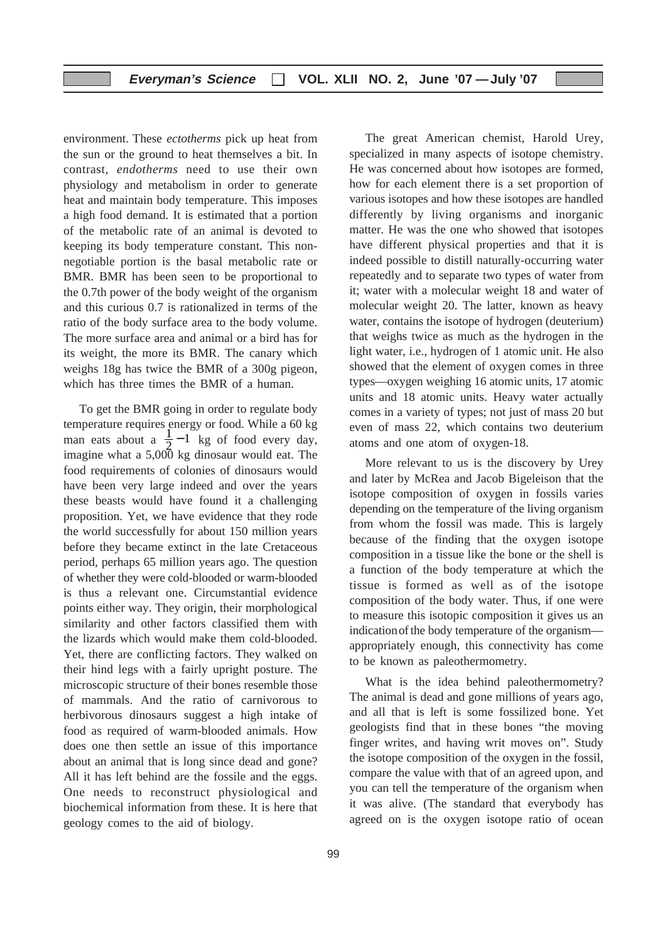environment. These *ectotherms* pick up heat from the sun or the ground to heat themselves a bit. In contrast, *endotherms* need to use their own physiology and metabolism in order to generate heat and maintain body temperature. This imposes a high food demand. It is estimated that a portion of the metabolic rate of an animal is devoted to keeping its body temperature constant. This nonnegotiable portion is the basal metabolic rate or BMR. BMR has been seen to be proportional to the 0.7th power of the body weight of the organism and this curious 0.7 is rationalized in terms of the ratio of the body surface area to the body volume. The more surface area and animal or a bird has for its weight, the more its BMR. The canary which weighs 18g has twice the BMR of a 300g pigeon, which has three times the BMR of a human.

To get the BMR going in order to regulate body temperature requires energy or food. While a 60 kg man eats about a  $\frac{1}{2}$  - 1 kg of food every day, imagine what a  $5,000$  kg dinosaur would eat. The food requirements of colonies of dinosaurs would have been very large indeed and over the years these beasts would have found it a challenging proposition. Yet, we have evidence that they rode the world successfully for about 150 million years before they became extinct in the late Cretaceous period, perhaps 65 million years ago. The question of whether they were cold-blooded or warm-blooded is thus a relevant one. Circumstantial evidence points either way. They origin, their morphological similarity and other factors classified them with the lizards which would make them cold-blooded. Yet, there are conflicting factors. They walked on their hind legs with a fairly upright posture. The microscopic structure of their bones resemble those of mammals. And the ratio of carnivorous to herbivorous dinosaurs suggest a high intake of food as required of warm-blooded animals. How does one then settle an issue of this importance about an animal that is long since dead and gone? All it has left behind are the fossile and the eggs. One needs to reconstruct physiological and biochemical information from these. It is here that geology comes to the aid of biology.

The great American chemist, Harold Urey, specialized in many aspects of isotope chemistry. He was concerned about how isotopes are formed, how for each element there is a set proportion of various isotopes and how these isotopes are handled differently by living organisms and inorganic matter. He was the one who showed that isotopes have different physical properties and that it is indeed possible to distill naturally-occurring water repeatedly and to separate two types of water from it; water with a molecular weight 18 and water of molecular weight 20. The latter, known as heavy water, contains the isotope of hydrogen (deuterium) that weighs twice as much as the hydrogen in the light water, i.e., hydrogen of 1 atomic unit. He also showed that the element of oxygen comes in three types—oxygen weighing 16 atomic units, 17 atomic units and 18 atomic units. Heavy water actually comes in a variety of types; not just of mass 20 but even of mass 22, which contains two deuterium atoms and one atom of oxygen-18.

More relevant to us is the discovery by Urey and later by McRea and Jacob Bigeleison that the isotope composition of oxygen in fossils varies depending on the temperature of the living organism from whom the fossil was made. This is largely because of the finding that the oxygen isotope composition in a tissue like the bone or the shell is a function of the body temperature at which the tissue is formed as well as of the isotope composition of the body water. Thus, if one were to measure this isotopic composition it gives us an indication of the body temperature of the organism appropriately enough, this connectivity has come to be known as paleothermometry.

What is the idea behind paleothermometry? The animal is dead and gone millions of years ago, and all that is left is some fossilized bone. Yet geologists find that in these bones "the moving finger writes, and having writ moves on". Study the isotope composition of the oxygen in the fossil, compare the value with that of an agreed upon, and you can tell the temperature of the organism when it was alive. (The standard that everybody has agreed on is the oxygen isotope ratio of ocean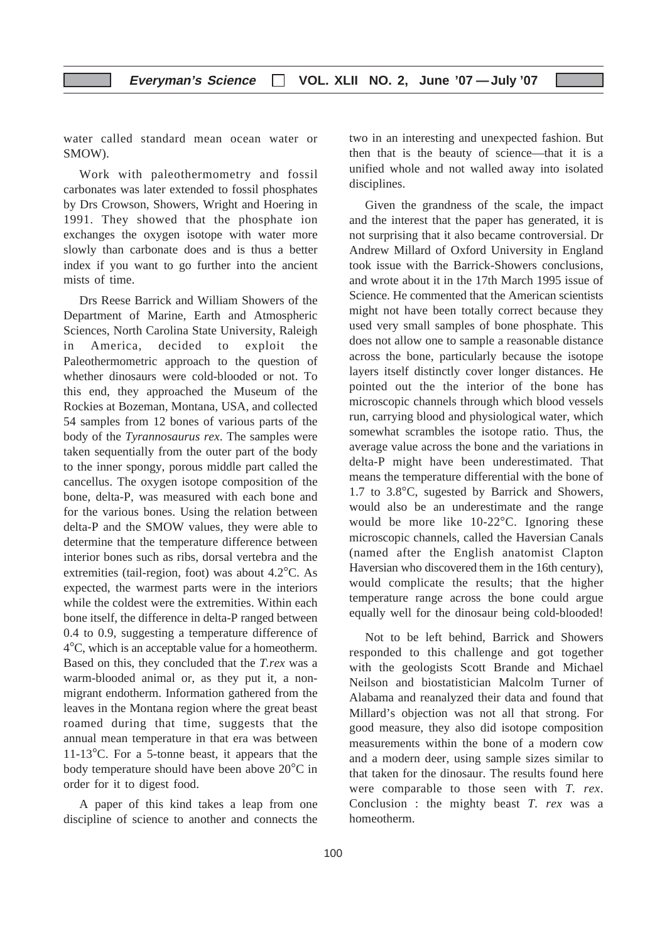water called standard mean ocean water or SMOW).

Work with paleothermometry and fossil carbonates was later extended to fossil phosphates by Drs Crowson, Showers, Wright and Hoering in 1991. They showed that the phosphate ion exchanges the oxygen isotope with water more slowly than carbonate does and is thus a better index if you want to go further into the ancient mists of time.

Drs Reese Barrick and William Showers of the Department of Marine, Earth and Atmospheric Sciences, North Carolina State University, Raleigh in America, decided to exploit the Paleothermometric approach to the question of whether dinosaurs were cold-blooded or not. To this end, they approached the Museum of the Rockies at Bozeman, Montana, USA, and collected 54 samples from 12 bones of various parts of the body of the *Tyrannosaurus rex*. The samples were taken sequentially from the outer part of the body to the inner spongy, porous middle part called the cancellus. The oxygen isotope composition of the bone, delta-P, was measured with each bone and for the various bones. Using the relation between delta-P and the SMOW values, they were able to determine that the temperature difference between interior bones such as ribs, dorsal vertebra and the extremities (tail-region, foot) was about 4.2°C. As expected, the warmest parts were in the interiors while the coldest were the extremities. Within each bone itself, the difference in delta-P ranged between 0.4 to 0.9, suggesting a temperature difference of 4°C, which is an acceptable value for a homeotherm. Based on this, they concluded that the *T.rex* was a warm-blooded animal or, as they put it, a nonmigrant endotherm. Information gathered from the leaves in the Montana region where the great beast roamed during that time, suggests that the annual mean temperature in that era was between 11-13°C. For a 5-tonne beast, it appears that the body temperature should have been above 20°C in order for it to digest food.

A paper of this kind takes a leap from one discipline of science to another and connects the

two in an interesting and unexpected fashion. But then that is the beauty of science—that it is a unified whole and not walled away into isolated disciplines.

Given the grandness of the scale, the impact and the interest that the paper has generated, it is not surprising that it also became controversial. Dr Andrew Millard of Oxford University in England took issue with the Barrick-Showers conclusions, and wrote about it in the 17th March 1995 issue of Science. He commented that the American scientists might not have been totally correct because they used very small samples of bone phosphate. This does not allow one to sample a reasonable distance across the bone, particularly because the isotope layers itself distinctly cover longer distances. He pointed out the the interior of the bone has microscopic channels through which blood vessels run, carrying blood and physiological water, which somewhat scrambles the isotope ratio. Thus, the average value across the bone and the variations in delta-P might have been underestimated. That means the temperature differential with the bone of 1.7 to 3.8°C, sugested by Barrick and Showers, would also be an underestimate and the range would be more like 10-22°C. Ignoring these microscopic channels, called the Haversian Canals (named after the English anatomist Clapton Haversian who discovered them in the 16th century), would complicate the results; that the higher temperature range across the bone could argue equally well for the dinosaur being cold-blooded!

Not to be left behind, Barrick and Showers responded to this challenge and got together with the geologists Scott Brande and Michael Neilson and biostatistician Malcolm Turner of Alabama and reanalyzed their data and found that Millard's objection was not all that strong. For good measure, they also did isotope composition measurements within the bone of a modern cow and a modern deer, using sample sizes similar to that taken for the dinosaur. The results found here were comparable to those seen with *T. rex*. Conclusion : the mighty beast *T. rex* was a homeotherm.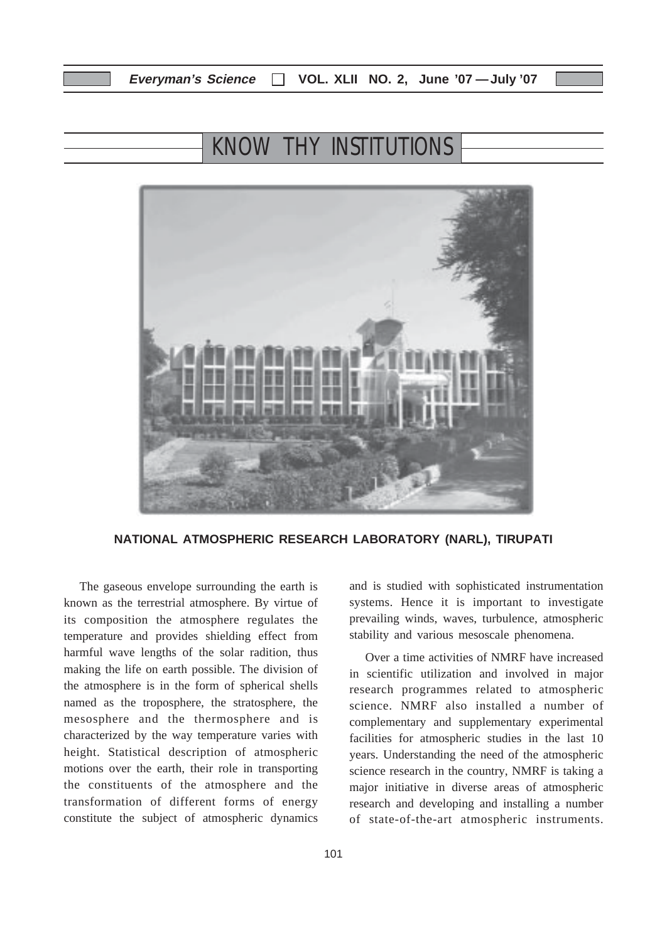## KNOW THY INSTITUTIONS



**NATIONAL ATMOSPHERIC RESEARCH LABORATORY (NARL), TIRUPATI**

The gaseous envelope surrounding the earth is known as the terrestrial atmosphere. By virtue of its composition the atmosphere regulates the temperature and provides shielding effect from harmful wave lengths of the solar radition, thus making the life on earth possible. The division of the atmosphere is in the form of spherical shells named as the troposphere, the stratosphere, the mesosphere and the thermosphere and is characterized by the way temperature varies with height. Statistical description of atmospheric motions over the earth, their role in transporting the constituents of the atmosphere and the transformation of different forms of energy constitute the subject of atmospheric dynamics and is studied with sophisticated instrumentation systems. Hence it is important to investigate prevailing winds, waves, turbulence, atmospheric stability and various mesoscale phenomena.

Over a time activities of NMRF have increased in scientific utilization and involved in major research programmes related to atmospheric science. NMRF also installed a number of complementary and supplementary experimental facilities for atmospheric studies in the last 10 years. Understanding the need of the atmospheric science research in the country, NMRF is taking a major initiative in diverse areas of atmospheric research and developing and installing a number of state-of-the-art atmospheric instruments.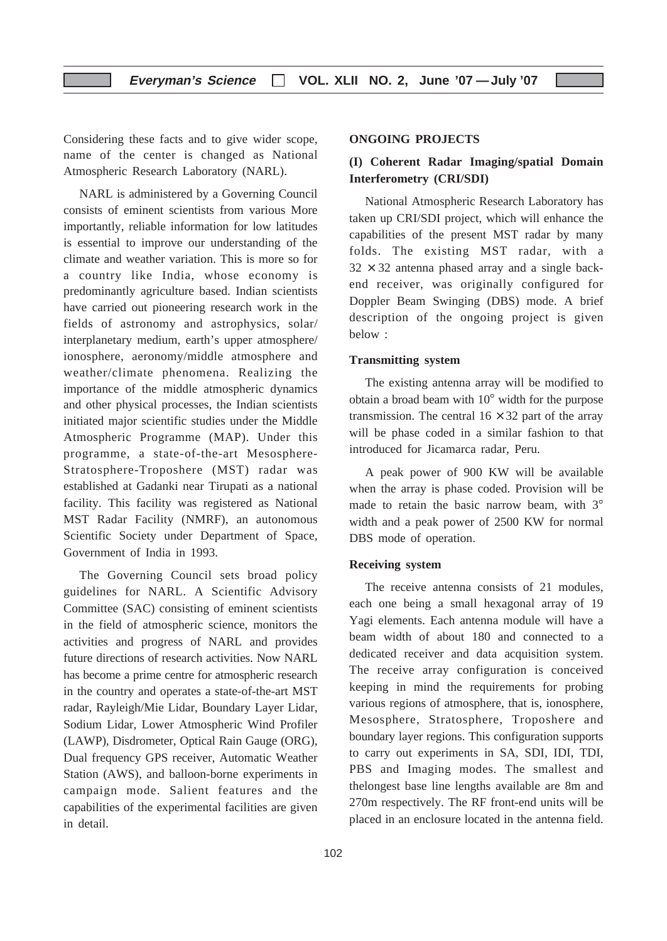Considering these facts and to give wider scope, name of the center is changed as National Atmospheric Research Laboratory (NARL).

NARL is administered by a Governing Council consists of eminent scientists from various More importantly, reliable information for low latitudes is essential to improve our understanding of the climate and weather variation. This is more so for a country like India, whose economy is predominantly agriculture based. Indian scientists have carried out pioneering research work in the fields of astronomy and astrophysics, solar/ interplanetary medium, earth's upper atmosphere/ ionosphere, aeronomy/middle atmosphere and weather/climate phenomena. Realizing the importance of the middle atmospheric dynamics and other physical processes, the Indian scientists initiated major scientific studies under the Middle Atmospheric Programme (MAP). Under this programme, a state-of-the-art Mesosphere-Stratosphere-Troposhere (MST) radar was established at Gadanki near Tirupati as a national facility. This facility was registered as National MST Radar Facility (NMRF), an autonomous Scientific Society under Department of Space, Government of India in 1993.

The Governing Council sets broad policy guidelines for NARL. A Scientific Advisory Committee (SAC) consisting of eminent scientists in the field of atmospheric science, monitors the activities and progress of NARL and provides future directions of research activities. Now NARL has become a prime centre for atmospheric research in the country and operates a state-of-the-art MST radar, Rayleigh/Mie Lidar, Boundary Layer Lidar, Sodium Lidar, Lower Atmospheric Wind Profiler (LAWP), Disdrometer, Optical Rain Gauge (ORG), Dual frequency GPS receiver, Automatic Weather Station (AWS), and balloon-borne experiments in campaign mode. Salient features and the capabilities of the experimental facilities are given in detail.

#### **ONGOING PROJECTS**

## **(I) Coherent Radar Imaging/spatial Domain Interferometry (CRI/SDI)**

National Atmospheric Research Laboratory has taken up CRI/SDI project, which will enhance the capabilities of the present MST radar by many folds. The existing MST radar, with a  $32 \times 32$  antenna phased array and a single backend receiver, was originally configured for Doppler Beam Swinging (DBS) mode. A brief description of the ongoing project is given below :

#### **Transmitting system**

The existing antenna array will be modified to obtain a broad beam with 10° width for the purpose transmission. The central  $16 \times 32$  part of the array will be phase coded in a similar fashion to that introduced for Jicamarca radar, Peru.

A peak power of 900 KW will be available when the array is phase coded. Provision will be made to retain the basic narrow beam, with 3<sup>°</sup> width and a peak power of 2500 KW for normal DBS mode of operation.

#### **Receiving system**

The receive antenna consists of 21 modules, each one being a small hexagonal array of 19 Yagi elements. Each antenna module will have a beam width of about 180 and connected to a dedicated receiver and data acquisition system. The receive array configuration is conceived keeping in mind the requirements for probing various regions of atmosphere, that is, ionosphere, Mesosphere, Stratosphere, Troposhere and boundary layer regions. This configuration supports to carry out experiments in SA, SDI, IDI, TDI, PBS and Imaging modes. The smallest and thelongest base line lengths available are 8m and 270m respectively. The RF front-end units will be placed in an enclosure located in the antenna field.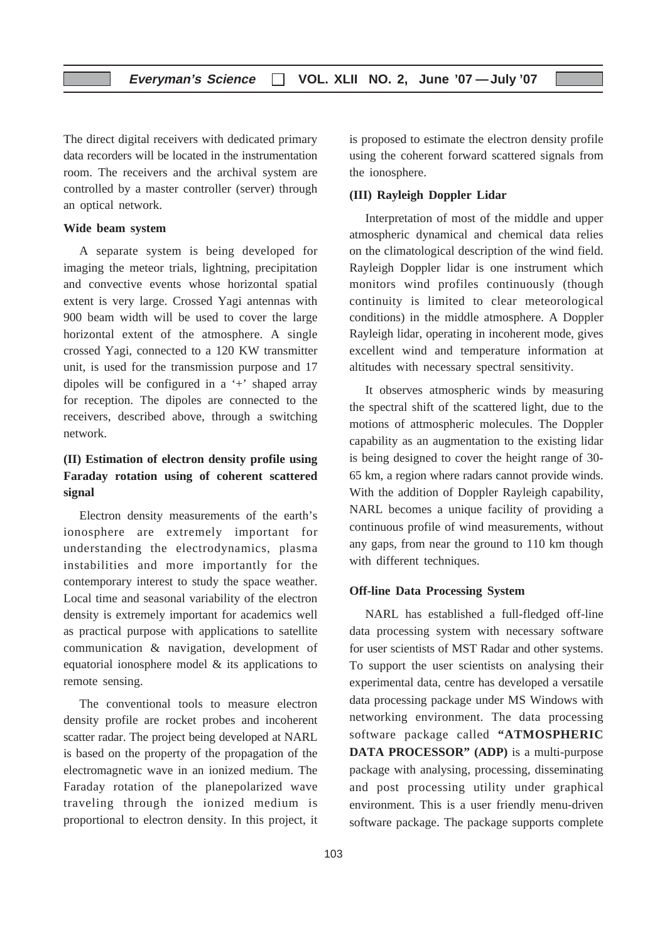The direct digital receivers with dedicated primary data recorders will be located in the instrumentation room. The receivers and the archival system are controlled by a master controller (server) through an optical network.

#### **Wide beam system**

A separate system is being developed for imaging the meteor trials, lightning, precipitation and convective events whose horizontal spatial extent is very large. Crossed Yagi antennas with 900 beam width will be used to cover the large horizontal extent of the atmosphere. A single crossed Yagi, connected to a 120 KW transmitter unit, is used for the transmission purpose and 17 dipoles will be configured in a '+' shaped array for reception. The dipoles are connected to the receivers, described above, through a switching network.

## **(II) Estimation of electron density profile using Faraday rotation using of coherent scattered signal**

Electron density measurements of the earth's ionosphere are extremely important for understanding the electrodynamics, plasma instabilities and more importantly for the contemporary interest to study the space weather. Local time and seasonal variability of the electron density is extremely important for academics well as practical purpose with applications to satellite communication & navigation, development of equatorial ionosphere model & its applications to remote sensing.

The conventional tools to measure electron density profile are rocket probes and incoherent scatter radar. The project being developed at NARL is based on the property of the propagation of the electromagnetic wave in an ionized medium. The Faraday rotation of the planepolarized wave traveling through the ionized medium is proportional to electron density. In this project, it is proposed to estimate the electron density profile using the coherent forward scattered signals from the ionosphere.

#### **(III) Rayleigh Doppler Lidar**

Interpretation of most of the middle and upper atmospheric dynamical and chemical data relies on the climatological description of the wind field. Rayleigh Doppler lidar is one instrument which monitors wind profiles continuously (though continuity is limited to clear meteorological conditions) in the middle atmosphere. A Doppler Rayleigh lidar, operating in incoherent mode, gives excellent wind and temperature information at altitudes with necessary spectral sensitivity.

It observes atmospheric winds by measuring the spectral shift of the scattered light, due to the motions of attmospheric molecules. The Doppler capability as an augmentation to the existing lidar is being designed to cover the height range of 30- 65 km, a region where radars cannot provide winds. With the addition of Doppler Rayleigh capability, NARL becomes a unique facility of providing a continuous profile of wind measurements, without any gaps, from near the ground to 110 km though with different techniques.

#### **Off-line Data Processing System**

NARL has established a full-fledged off-line data processing system with necessary software for user scientists of MST Radar and other systems. To support the user scientists on analysing their experimental data, centre has developed a versatile data processing package under MS Windows with networking environment. The data processing software package called **"ATMOSPHERIC DATA PROCESSOR" (ADP)** is a multi-purpose package with analysing, processing, disseminating and post processing utility under graphical environment. This is a user friendly menu-driven software package. The package supports complete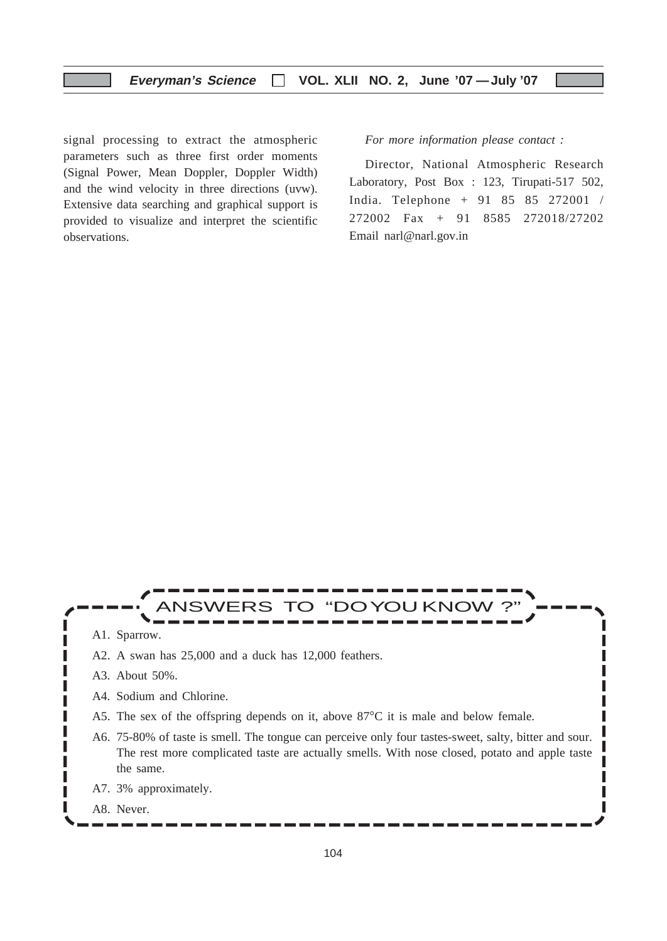signal processing to extract the atmospheric parameters such as three first order moments (Signal Power, Mean Doppler, Doppler Width) and the wind velocity in three directions (uvw). Extensive data searching and graphical support is provided to visualize and interpret the scientific observations.

*For more information please contact :*

Director, National Atmospheric Research Laboratory, Post Box : 123, Tirupati-517 502, India. Telephone + 91 85 85 272001 / 272002 Fax + 91 8585 272018/27202 Email narl@narl.gov.in

> ı П

# VERS TO "DOYOU KNOW

A1. Sparrow.

Г

ı Г ı

L Г I

- A2. A swan has 25,000 and a duck has 12,000 feathers.
- A3. About 50%.
- A4. Sodium and Chlorine.
- A5. The sex of the offspring depends on it, above 87°C it is male and below female.
- A6. 75-80% of taste is smell. The tongue can perceive only four tastes-sweet, salty, bitter and sour. The rest more complicated taste are actually smells. With nose closed, potato and apple taste the same.
- A7. 3% approximately.
- A8. Never.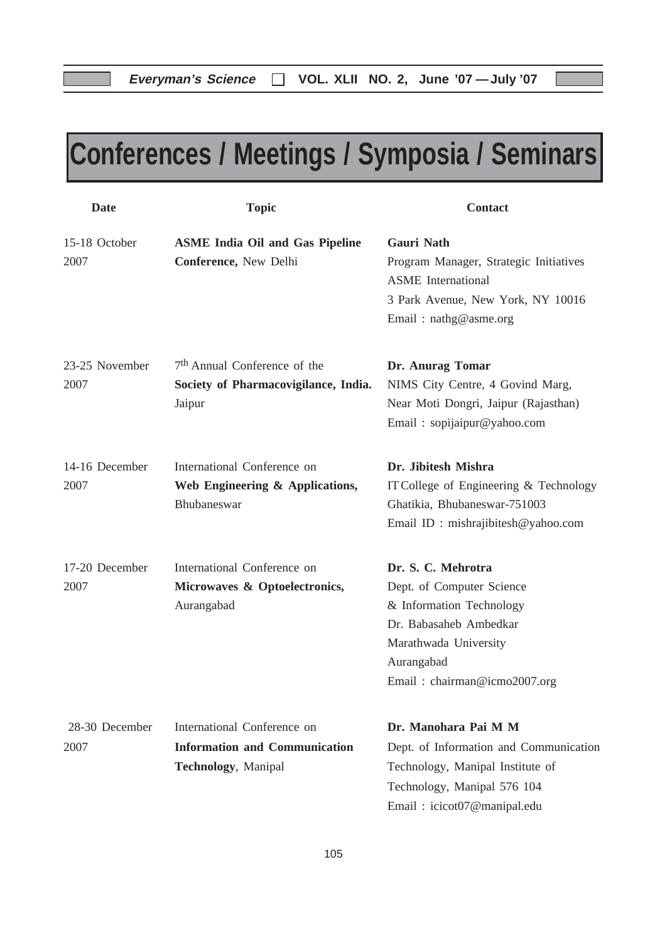# **Conferences / Meetings / Symposia / Seminars**

| <b>Date</b>            | <b>Topic</b>                                                                                      | <b>Contact</b>                                                                                                                                                               |
|------------------------|---------------------------------------------------------------------------------------------------|------------------------------------------------------------------------------------------------------------------------------------------------------------------------------|
| 15-18 October<br>2007  | <b>ASME India Oil and Gas Pipeline</b><br>Conference, New Delhi                                   | <b>Gauri Nath</b><br>Program Manager, Strategic Initiatives<br><b>ASME</b> International<br>3 Park Avenue, New York, NY 10016<br>Email: nathg@asme.org                       |
| 23-25 November<br>2007 | 7 <sup>th</sup> Annual Conference of the<br>Society of Pharmacovigilance, India.<br>Jaipur        | Dr. Anurag Tomar<br>NIMS City Centre, 4 Govind Marg,<br>Near Moti Dongri, Jaipur (Rajasthan)<br>Email: sopijaipur@yahoo.com                                                  |
| 14-16 December<br>2007 | International Conference on<br>Web Engineering & Applications,<br>Bhubaneswar                     | Dr. Jibitesh Mishra<br>IT College of Engineering & Technology<br>Ghatikia, Bhubaneswar-751003<br>Email ID: mishrajibitesh@yahoo.com                                          |
| 17-20 December<br>2007 | International Conference on<br>Microwaves & Optoelectronics,<br>Aurangabad                        | Dr. S. C. Mehrotra<br>Dept. of Computer Science<br>& Information Technology<br>Dr. Babasaheb Ambedkar<br>Marathwada University<br>Aurangabad<br>Email: chairman@icmo2007.org |
| 28-30 December<br>2007 | International Conference on<br><b>Information and Communication</b><br><b>Technology, Manipal</b> | Dr. Manohara Pai M M<br>Dept. of Information and Communication<br>Technology, Manipal Institute of<br>Technology, Manipal 576 104<br>Email: icicot07@manipal.edu             |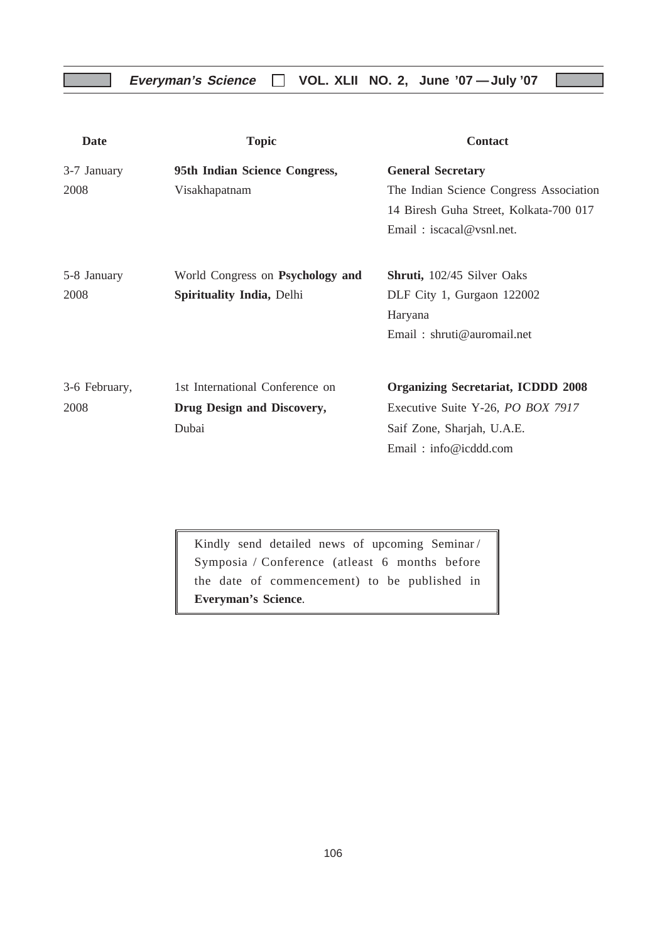## **Everyman's Science VOL. XLII NO. 2, June '07 —July '07**

| <b>Date</b>   | <b>Topic</b>                     | <b>Contact</b>                            |
|---------------|----------------------------------|-------------------------------------------|
| 3-7 January   | 95th Indian Science Congress,    | <b>General Secretary</b>                  |
| 2008          | Visakhapatnam                    | The Indian Science Congress Association   |
|               |                                  | 14 Biresh Guha Street, Kolkata-700 017    |
|               |                                  | Email: $iscacal@vsnl.net$ .               |
| 5-8 January   | World Congress on Psychology and | <b>Shruti,</b> 102/45 Silver Oaks         |
| 2008          | <b>Spirituality India, Delhi</b> | DLF City 1, Gurgaon 122002                |
|               |                                  | Haryana                                   |
|               |                                  | Email: $shruti@auromial.net$              |
| 3-6 February, | 1st International Conference on  | <b>Organizing Secretariat, ICDDD 2008</b> |
| 2008          | Drug Design and Discovery,       | Executive Suite Y-26, PO BOX 7917         |
|               | Dubai                            | Saif Zone, Sharjah, U.A.E.                |
|               |                                  | Email: info@icddd.com                     |

Kindly send detailed news of upcoming Seminar / Symposia / Conference (atleast 6 months before the date of commencement) to be published in **Everyman's Science**.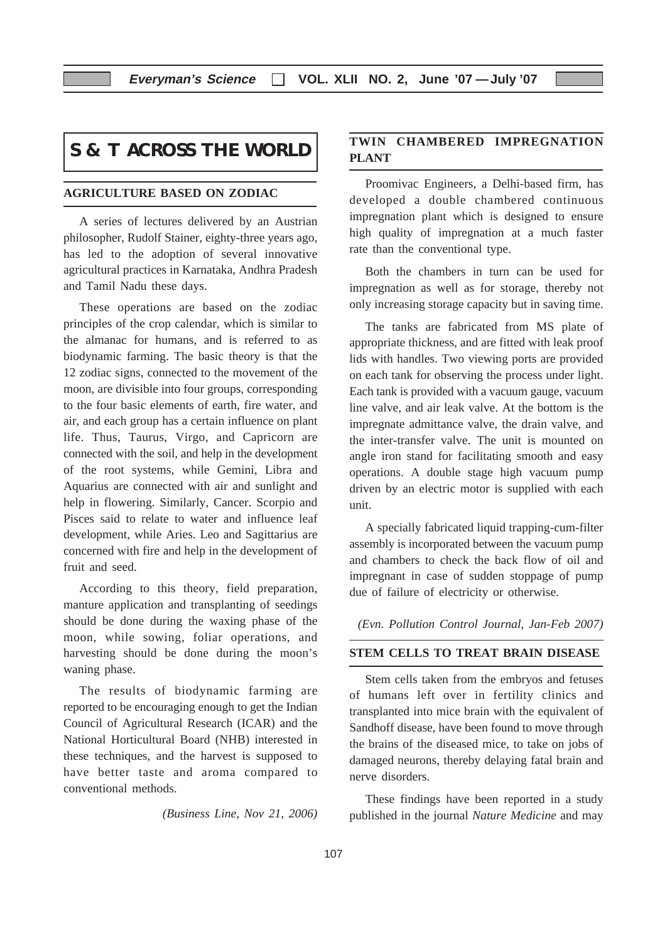## **S & T ACROSS THE WORLD**

#### **AGRICULTURE BASED ON ZODIAC**

A series of lectures delivered by an Austrian philosopher, Rudolf Stainer, eighty-three years ago, has led to the adoption of several innovative agricultural practices in Karnataka, Andhra Pradesh and Tamil Nadu these days.

These operations are based on the zodiac principles of the crop calendar, which is similar to the almanac for humans, and is referred to as biodynamic farming. The basic theory is that the 12 zodiac signs, connected to the movement of the moon, are divisible into four groups, corresponding to the four basic elements of earth, fire water, and air, and each group has a certain influence on plant life. Thus, Taurus, Virgo, and Capricorn are connected with the soil, and help in the development of the root systems, while Gemini, Libra and Aquarius are connected with air and sunlight and help in flowering. Similarly, Cancer. Scorpio and Pisces said to relate to water and influence leaf development, while Aries. Leo and Sagittarius are concerned with fire and help in the development of fruit and seed.

According to this theory, field preparation, manture application and transplanting of seedings should be done during the waxing phase of the moon, while sowing, foliar operations, and harvesting should be done during the moon's waning phase.

The results of biodynamic farming are reported to be encouraging enough to get the Indian Council of Agricultural Research (ICAR) and the National Horticultural Board (NHB) interested in these techniques, and the harvest is supposed to have better taste and aroma compared to conventional methods.

*(Business Line, Nov 21, 2006)*

## **TWIN CHAMBERED IMPREGNATION PLANT**

Proomivac Engineers, a Delhi-based firm, has developed a double chambered continuous impregnation plant which is designed to ensure high quality of impregnation at a much faster rate than the conventional type.

Both the chambers in turn can be used for impregnation as well as for storage, thereby not only increasing storage capacity but in saving time.

The tanks are fabricated from MS plate of appropriate thickness, and are fitted with leak proof lids with handles. Two viewing ports are provided on each tank for observing the process under light. Each tank is provided with a vacuum gauge, vacuum line valve, and air leak valve. At the bottom is the impregnate admittance valve, the drain valve, and the inter-transfer valve. The unit is mounted on angle iron stand for facilitating smooth and easy operations. A double stage high vacuum pump driven by an electric motor is supplied with each unit.

A specially fabricated liquid trapping-cum-filter assembly is incorporated between the vacuum pump and chambers to check the back flow of oil and impregnant in case of sudden stoppage of pump due of failure of electricity or otherwise.

*(Evn. Pollution Control Journal, Jan-Feb 2007)*

#### **STEM CELLS TO TREAT BRAIN DISEASE**

Stem cells taken from the embryos and fetuses of humans left over in fertility clinics and transplanted into mice brain with the equivalent of Sandhoff disease, have been found to move through the brains of the diseased mice, to take on jobs of damaged neurons, thereby delaying fatal brain and nerve disorders.

These findings have been reported in a study published in the journal *Nature Medicine* and may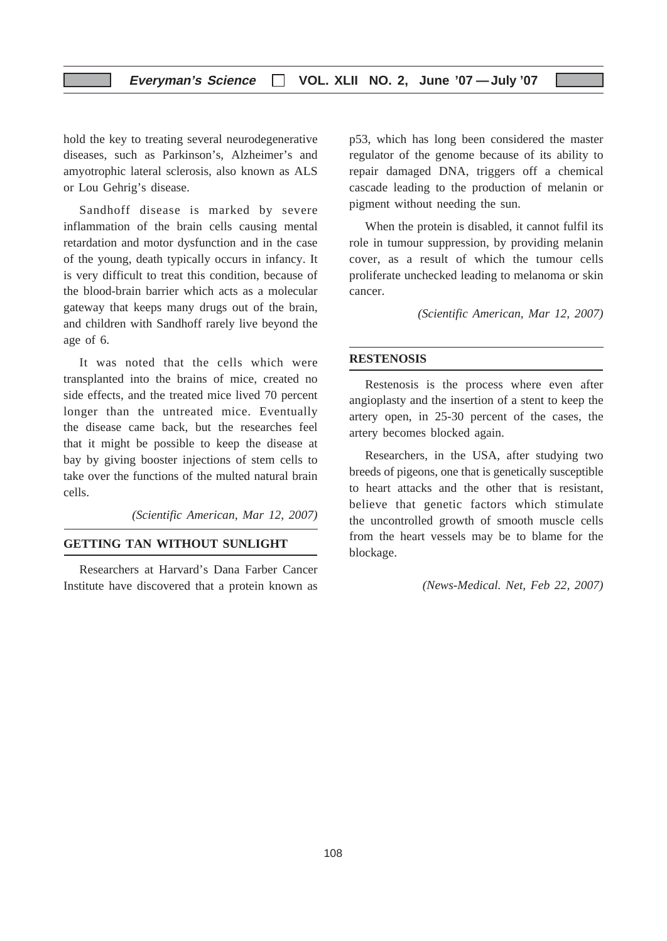#### **Everyman's Science VOL. XLII NO. 2, June '07 —July '07**

hold the key to treating several neurodegenerative diseases, such as Parkinson's, Alzheimer's and amyotrophic lateral sclerosis, also known as ALS or Lou Gehrig's disease.

Sandhoff disease is marked by severe inflammation of the brain cells causing mental retardation and motor dysfunction and in the case of the young, death typically occurs in infancy. It is very difficult to treat this condition, because of the blood-brain barrier which acts as a molecular gateway that keeps many drugs out of the brain, and children with Sandhoff rarely live beyond the age of 6.

It was noted that the cells which were transplanted into the brains of mice, created no side effects, and the treated mice lived 70 percent longer than the untreated mice. Eventually the disease came back, but the researches feel that it might be possible to keep the disease at bay by giving booster injections of stem cells to take over the functions of the multed natural brain cells.

*(Scientific American, Mar 12, 2007)*

#### **GETTING TAN WITHOUT SUNLIGHT**

Researchers at Harvard's Dana Farber Cancer Institute have discovered that a protein known as p53, which has long been considered the master regulator of the genome because of its ability to repair damaged DNA, triggers off a chemical cascade leading to the production of melanin or pigment without needing the sun.

When the protein is disabled, it cannot fulfil its role in tumour suppression, by providing melanin cover, as a result of which the tumour cells proliferate unchecked leading to melanoma or skin cancer.

*(Scientific American, Mar 12, 2007)*

#### **RESTENOSIS**

Restenosis is the process where even after angioplasty and the insertion of a stent to keep the artery open, in 25-30 percent of the cases, the artery becomes blocked again.

Researchers, in the USA, after studying two breeds of pigeons, one that is genetically susceptible to heart attacks and the other that is resistant, believe that genetic factors which stimulate the uncontrolled growth of smooth muscle cells from the heart vessels may be to blame for the blockage.

*(News-Medical. Net, Feb 22, 2007)*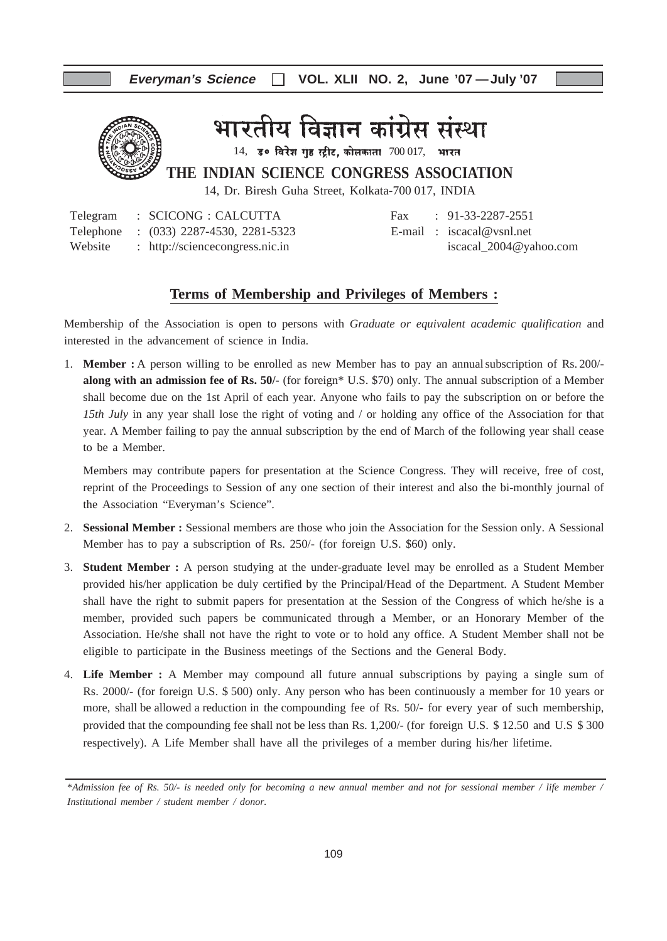

रतीय विज्ञान कांग्रेस संस्था

 $14$ , उ० विरेश गृह स्ट्रीट, कोलकाता  $700017$ , भारत

**THE INDIAN SCIENCE CONGRESS ASSOCIATION**

14, Dr. Biresh Guha Street, Kolkata-700 017, INDIA

|  | Telegram : SCICONG : CALCUTTA           |  | Fax: $91-33-2287-2551$     |
|--|-----------------------------------------|--|----------------------------|
|  | Telephone : (033) 2287-4530, 2281-5323  |  | E-mail: $iscacal@vsnl.net$ |
|  | Website : http://sciencecongress.nic.in |  | iscacal $2004@$ vahoo.com  |

| rax | $91 - 33 - 2287 - 2221$   |
|-----|---------------------------|
|     | E-mail: $iscaca@vsnl.net$ |
|     | iscacal_2004@yahoo.com    |

#### **Terms of Membership and Privileges of Members :**

Membership of the Association is open to persons with *Graduate or equivalent academic qualification* and interested in the advancement of science in India.

1. **Member :** A person willing to be enrolled as new Member has to pay an annualsubscription of Rs. 200/ **along with an admission fee of Rs. 50/-** (for foreign\* U.S. \$70) only. The annual subscription of a Member shall become due on the 1st April of each year. Anyone who fails to pay the subscription on or before the *15th July* in any year shall lose the right of voting and / or holding any office of the Association for that year. A Member failing to pay the annual subscription by the end of March of the following year shall cease to be a Member.

Members may contribute papers for presentation at the Science Congress. They will receive, free of cost, reprint of the Proceedings to Session of any one section of their interest and also the bi-monthly journal of the Association "Everyman's Science".

- 2. **Sessional Member :** Sessional members are those who join the Association for the Session only. A Sessional Member has to pay a subscription of Rs. 250/- (for foreign U.S. \$60) only.
- 3. **Student Member :** A person studying at the under-graduate level may be enrolled as a Student Member provided his/her application be duly certified by the Principal/Head of the Department. A Student Member shall have the right to submit papers for presentation at the Session of the Congress of which he/she is a member, provided such papers be communicated through a Member, or an Honorary Member of the Association. He/she shall not have the right to vote or to hold any office. A Student Member shall not be eligible to participate in the Business meetings of the Sections and the General Body.
- 4. **Life Member :** A Member may compound all future annual subscriptions by paying a single sum of Rs. 2000/- (for foreign U.S. \$ 500) only. Any person who has been continuously a member for 10 years or more, shall be allowed a reduction in the compounding fee of Rs. 50/- for every year of such membership, provided that the compounding fee shall not be less than Rs. 1,200/- (for foreign U.S. \$ 12.50 and U.S \$ 300 respectively). A Life Member shall have all the privileges of a member during his/her lifetime.

<sup>\*</sup>*Admission fee of Rs. 50/- is needed only for becoming a new annual member and not for sessional member / life member / Institutional member / student member / donor.*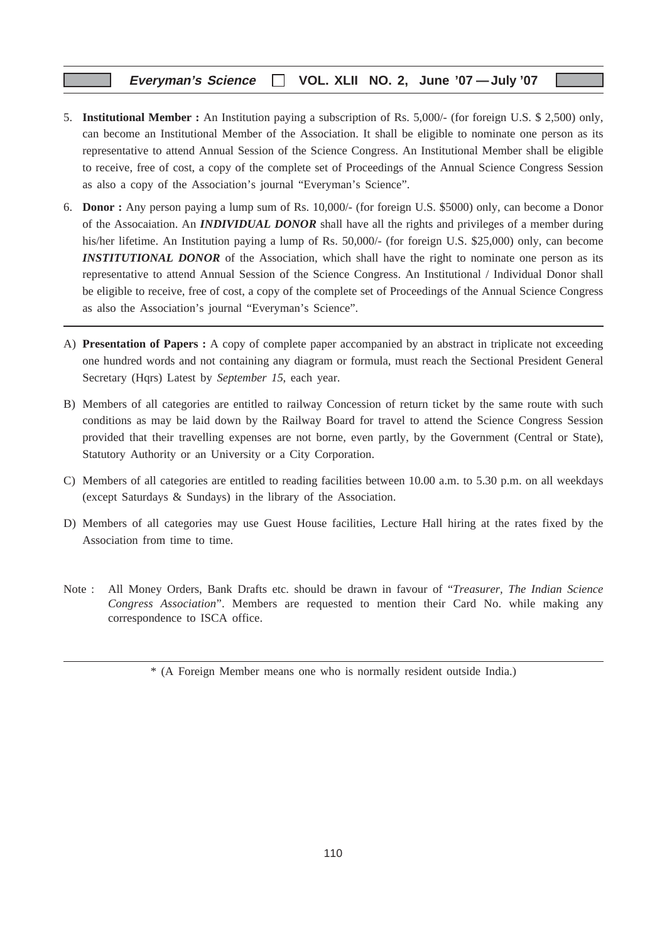#### **Everyman's Science VOL. XLII NO. 2, June '07 —July '07**

- 5. **Institutional Member :** An Institution paying a subscription of Rs. 5,000/- (for foreign U.S. \$ 2,500) only, can become an Institutional Member of the Association. It shall be eligible to nominate one person as its representative to attend Annual Session of the Science Congress. An Institutional Member shall be eligible to receive, free of cost, a copy of the complete set of Proceedings of the Annual Science Congress Session as also a copy of the Association's journal "Everyman's Science".
- 6. **Donor :** Any person paying a lump sum of Rs. 10,000/- (for foreign U.S. \$5000) only, can become a Donor of the Assocaiation. An *INDIVIDUAL DONOR* shall have all the rights and privileges of a member during his/her lifetime. An Institution paying a lump of Rs. 50,000/- (for foreign U.S. \$25,000) only, can become **INSTITUTIONAL DONOR** of the Association, which shall have the right to nominate one person as its representative to attend Annual Session of the Science Congress. An Institutional / Individual Donor shall be eligible to receive, free of cost, a copy of the complete set of Proceedings of the Annual Science Congress as also the Association's journal "Everyman's Science".
- A) **Presentation of Papers :** A copy of complete paper accompanied by an abstract in triplicate not exceeding one hundred words and not containing any diagram or formula, must reach the Sectional President General Secretary (Hqrs) Latest by *September 15*, each year.
- B) Members of all categories are entitled to railway Concession of return ticket by the same route with such conditions as may be laid down by the Railway Board for travel to attend the Science Congress Session provided that their travelling expenses are not borne, even partly, by the Government (Central or State), Statutory Authority or an University or a City Corporation.
- C) Members of all categories are entitled to reading facilities between 10.00 a.m. to 5.30 p.m. on all weekdays (except Saturdays & Sundays) in the library of the Association.
- D) Members of all categories may use Guest House facilities, Lecture Hall hiring at the rates fixed by the Association from time to time.
- Note : All Money Orders, Bank Drafts etc. should be drawn in favour of "*Treasurer, The Indian Science Congress Association*". Members are requested to mention their Card No. while making any correspondence to ISCA office.

<sup>\* (</sup>A Foreign Member means one who is normally resident outside India.)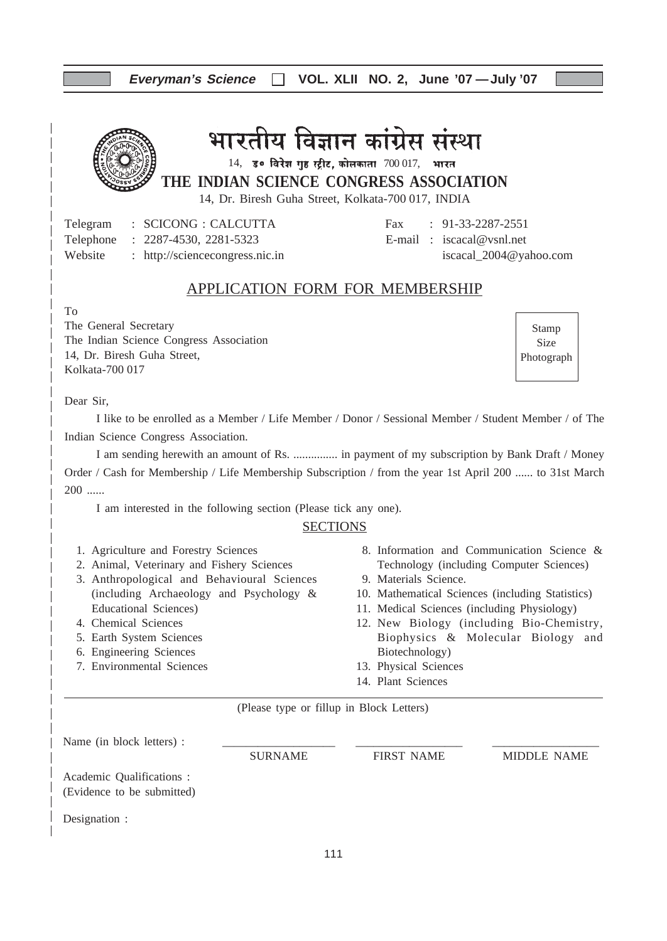## **Everyman's Science VOL. XLII NO. 2, June '07 —July '07**

## भारतीय विज्ञान कांग्रेस संस्था

 $14$ , उ० विरेश गृह स्ट्रीट, कोलकाता  $700017$ , भारत

**THE INDIAN SCIENCE CONGRESS ASSOCIATION**

14, Dr. Biresh Guha Street, Kolkata-700 017, INDIA

Telegram : SCICONG : CALCUTTA Fax : 91-33-2287-2551 Telephone : 2287-4530, 2281-5323 E-mail : iscacal@vsnl.net Website : http://sciencecongress.nic.in iscacal\_2004@yahoo.com

## APPLICATION FORM FOR MEMBERSHIP

To

The General Secretary The Indian Science Congress Association 14, Dr. Biresh Guha Street, Kolkata-700 017

Stamp Size Photograph

Dear Sir,

I like to be enrolled as a Member / Life Member / Donor / Sessional Member / Student Member / of The Indian Science Congress Association.

I am sending herewith an amount of Rs. ............... in payment of my subscription by Bank Draft / Money Order / Cash for Membership / Life Membership Subscription / from the year 1st April 200 ...... to 31st March  $200$  ......

I am interested in the following section (Please tick any one).

#### **SECTIONS**

- 1. Agriculture and Forestry Sciences
- 2. Animal, Veterinary and Fishery Sciences
- 3. Anthropological and Behavioural Sciences (including Archaeology and Psychology & Educational Sciences)
- 4. Chemical Sciences
- 5. Earth System Sciences
- 6. Engineering Sciences
- 7. Environmental Sciences
- 8. Information and Communication Science & Technology (including Computer Sciences)
- 9. Materials Science.
- 10. Mathematical Sciences (including Statistics)
- 11. Medical Sciences (including Physiology)
- 12. New Biology (including Bio-Chemistry, Biophysics & Molecular Biology and Biotechnology)
- 13. Physical Sciences
- 14. Plant Sciences

(Please type or fillup in Block Letters)

| Name (in block letters) :                               |                |                   |                    |
|---------------------------------------------------------|----------------|-------------------|--------------------|
|                                                         | <b>SURNAME</b> | <b>FIRST NAME</b> | <b>MIDDLE NAME</b> |
| Academic Qualifications :<br>(Evidence to be submitted) |                |                   |                    |
| Designation :                                           |                |                   |                    |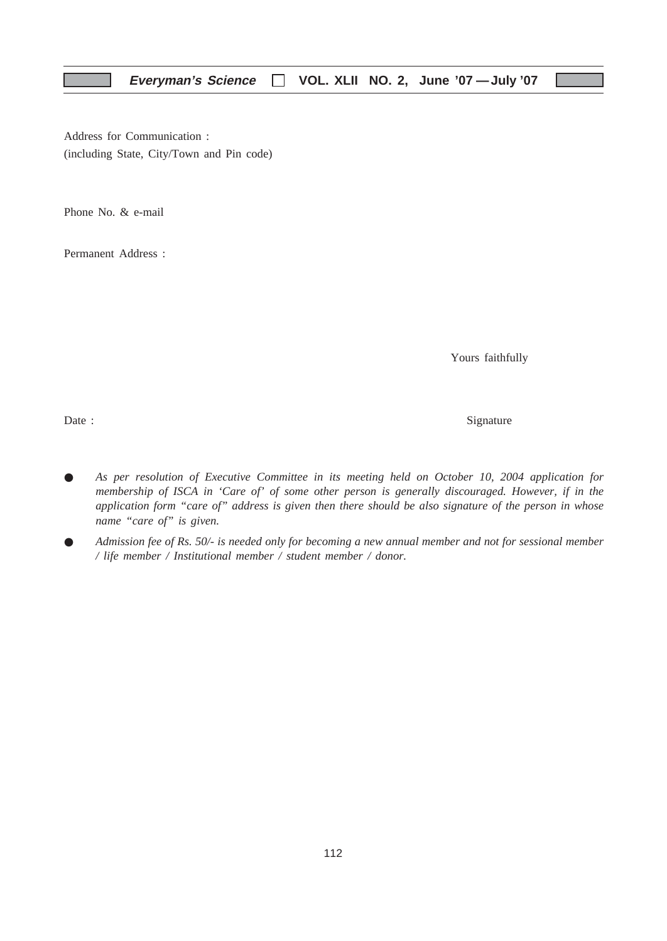Address for Communication : (including State, City/Town and Pin code)

Phone No. & e-mail

Permanent Address :

Yours faithfully

Date : Signature  $\sum_{n=1}^{\infty}$  Signature

- *As per resolution of Executive Committee in its meeting held on October 10, 2004 application for membership of ISCA in 'Care of' of some other person is generally discouraged. However, if in the application form "care of" address is given then there should be also signature of the person in whose name "care of" is given.*
- *Admission fee of Rs. 50/- is needed only for becoming a new annual member and not for sessional member / life member / Institutional member / student member / donor.*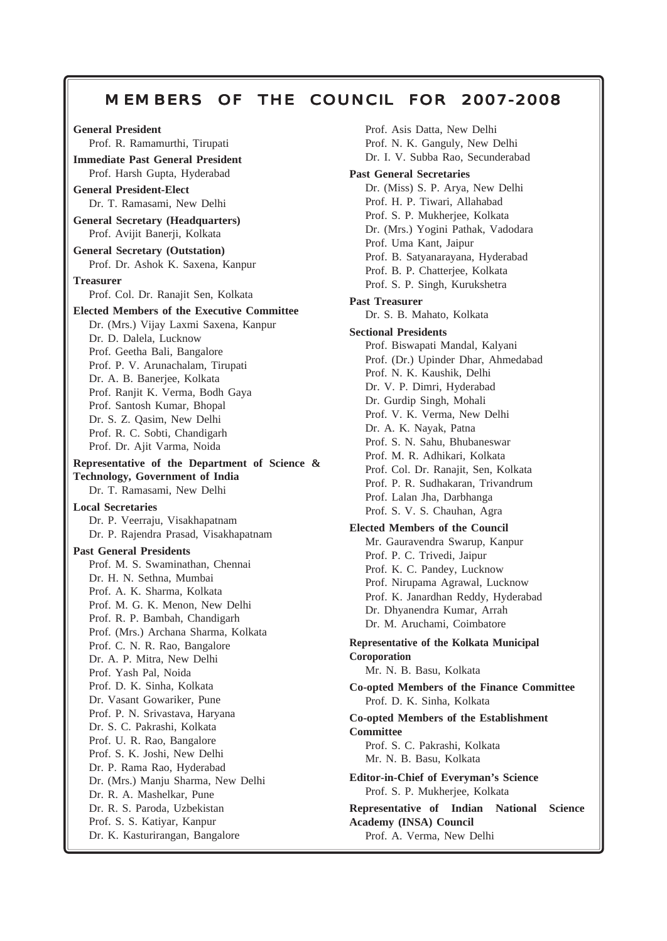## **Everyman's Science VOL. XLII NO. 2, June '07 —July '07** MEMBERS OF THE COUNCIL FOR 2007-2008

113

**General President** Prof. R. Ramamurthi, Tirupati **Immediate Past General President** Prof. Harsh Gupta, Hyderabad **General President-Elect** Dr. T. Ramasami, New Delhi **General Secretary (Headquarters)** Prof. Avijit Banerji, Kolkata **General Secretary (Outstation)** Prof. Dr. Ashok K. Saxena, Kanpur **Treasurer** Prof. Col. Dr. Ranajit Sen, Kolkata **Elected Members of the Executive Committee** Dr. (Mrs.) Vijay Laxmi Saxena, Kanpur Dr. D. Dalela, Lucknow Prof. Geetha Bali, Bangalore Prof. P. V. Arunachalam, Tirupati Dr. A. B. Banerjee, Kolkata Prof. Ranjit K. Verma, Bodh Gaya Prof. Santosh Kumar, Bhopal Dr. S. Z. Qasim, New Delhi Prof. R. C. Sobti, Chandigarh Prof. Dr. Ajit Varma, Noida **Representative of the Department of Science & Technology, Government of India** Dr. T. Ramasami, New Delhi **Local Secretaries** Dr. P. Veerraju, Visakhapatnam Dr. P. Rajendra Prasad, Visakhapatnam **Past General Presidents** Prof. M. S. Swaminathan, Chennai Dr. H. N. Sethna, Mumbai Prof. A. K. Sharma, Kolkata Prof. M. G. K. Menon, New Delhi Prof. R. P. Bambah, Chandigarh Prof. (Mrs.) Archana Sharma, Kolkata Prof. C. N. R. Rao, Bangalore Dr. A. P. Mitra, New Delhi Prof. Yash Pal, Noida Prof. D. K. Sinha, Kolkata Dr. Vasant Gowariker, Pune Prof. P. N. Srivastava, Haryana Dr. S. C. Pakrashi, Kolkata Prof. U. R. Rao, Bangalore Prof. S. K. Joshi, New Delhi Dr. P. Rama Rao, Hyderabad Dr. (Mrs.) Manju Sharma, New Delhi Dr. R. A. Mashelkar, Pune Dr. R. S. Paroda, Uzbekistan Prof. S. S. Katiyar, Kanpur Dr. K. Kasturirangan, Bangalore

Prof. Asis Datta, New Delhi Prof. N. K. Ganguly, New Delhi Dr. I. V. Subba Rao, Secunderabad **Past General Secretaries** Dr. (Miss) S. P. Arya, New Delhi Prof. H. P. Tiwari, Allahabad Prof. S. P. Mukherjee, Kolkata Dr. (Mrs.) Yogini Pathak, Vadodara Prof. Uma Kant, Jaipur Prof. B. Satyanarayana, Hyderabad Prof. B. P. Chatterjee, Kolkata Prof. S. P. Singh, Kurukshetra **Past Treasurer** Dr. S. B. Mahato, Kolkata **Sectional Presidents** Prof. Biswapati Mandal, Kalyani Prof. (Dr.) Upinder Dhar, Ahmedabad Prof. N. K. Kaushik, Delhi Dr. V. P. Dimri, Hyderabad Dr. Gurdip Singh, Mohali Prof. V. K. Verma, New Delhi Dr. A. K. Nayak, Patna Prof. S. N. Sahu, Bhubaneswar Prof. M. R. Adhikari, Kolkata Prof. Col. Dr. Ranajit, Sen, Kolkata Prof. P. R. Sudhakaran, Trivandrum Prof. Lalan Jha, Darbhanga Prof. S. V. S. Chauhan, Agra **Elected Members of the Council** Mr. Gauravendra Swarup, Kanpur Prof. P. C. Trivedi, Jaipur Prof. K. C. Pandey, Lucknow Prof. Nirupama Agrawal, Lucknow Prof. K. Janardhan Reddy, Hyderabad Dr. Dhyanendra Kumar, Arrah Dr. M. Aruchami, Coimbatore **Representative of the Kolkata Municipal Coroporation** Mr. N. B. Basu, Kolkata **Co-opted Members of the Finance Committee** Prof. D. K. Sinha, Kolkata **Co-opted Members of the Establishment Committee** Prof. S. C. Pakrashi, Kolkata Mr. N. B. Basu, Kolkata **Editor-in-Chief of Everyman's Science** Prof. S. P. Mukherjee, Kolkata **Representative of Indian National Science Academy (INSA) Council** Prof. A. Verma, New Delhi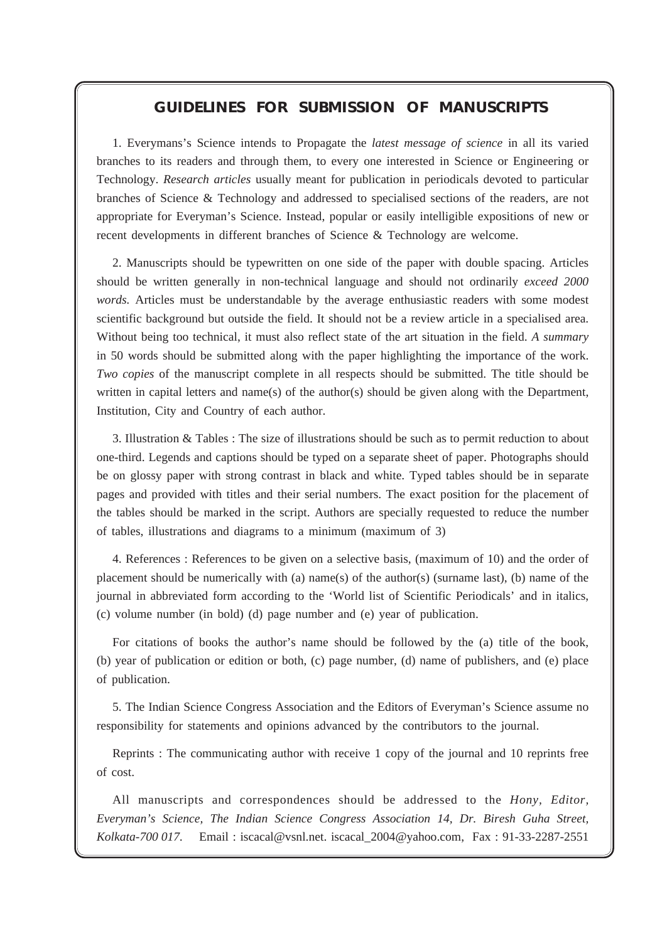## *GUIDELINES FOR SUBMISSION OF MANUSCRIPTS*

**Everyman's Science VOL. XLII NO. 2, June '07 —July '07**

1. Everymans's Science intends to Propagate the *latest message of science* in all its varied branches to its readers and through them, to every one interested in Science or Engineering or Technology. *Research articles* usually meant for publication in periodicals devoted to particular branches of Science & Technology and addressed to specialised sections of the readers, are not appropriate for Everyman's Science. Instead, popular or easily intelligible expositions of new or recent developments in different branches of Science & Technology are welcome.

2. Manuscripts should be typewritten on one side of the paper with double spacing. Articles should be written generally in non-technical language and should not ordinarily *exceed 2000 words.* Articles must be understandable by the average enthusiastic readers with some modest scientific background but outside the field. It should not be a review article in a specialised area. Without being too technical, it must also reflect state of the art situation in the field. *A summary* in 50 words should be submitted along with the paper highlighting the importance of the work. *Two copies* of the manuscript complete in all respects should be submitted. The title should be written in capital letters and name(s) of the author(s) should be given along with the Department, Institution, City and Country of each author.

3. Illustration & Tables : The size of illustrations should be such as to permit reduction to about one-third. Legends and captions should be typed on a separate sheet of paper. Photographs should be on glossy paper with strong contrast in black and white. Typed tables should be in separate pages and provided with titles and their serial numbers. The exact position for the placement of the tables should be marked in the script. Authors are specially requested to reduce the number of tables, illustrations and diagrams to a minimum (maximum of 3)

4. References : References to be given on a selective basis, (maximum of 10) and the order of placement should be numerically with (a) name(s) of the author(s) (surname last), (b) name of the journal in abbreviated form according to the 'World list of Scientific Periodicals' and in italics, (c) volume number (in bold) (d) page number and (e) year of publication.

For citations of books the author's name should be followed by the (a) title of the book, (b) year of publication or edition or both, (c) page number, (d) name of publishers, and (e) place of publication.

5. The Indian Science Congress Association and the Editors of Everyman's Science assume no responsibility for statements and opinions advanced by the contributors to the journal.

Reprints : The communicating author with receive 1 copy of the journal and 10 reprints free of cost.

All manuscripts and correspondences should be addressed to the *Hony, Editor, Everyman's Science, The Indian Science Congress Association 14, Dr. Biresh Guha Street, Kolkata-700 017.* Email : iscacal@vsnl.net. iscacal\_2004@yahoo.com, Fax : 91-33-2287-2551

114